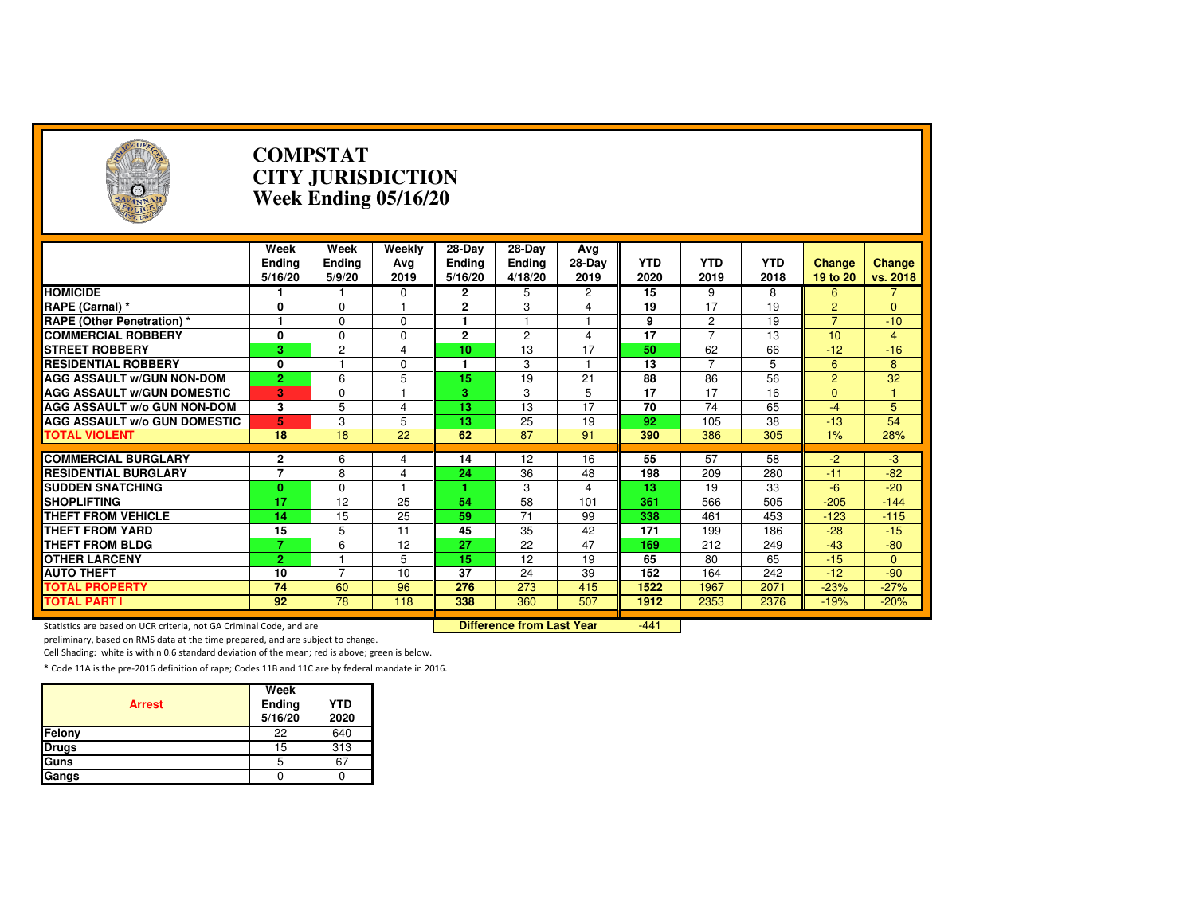| $(\cdot, \cdot)$                                                    |                   | <b>COMPSTAT</b>  | <b>CITY JURISDICTION</b><br>Week Ending 05/16/20 |                          |                                  |                  |                 |                 |                 |                           |                    |
|---------------------------------------------------------------------|-------------------|------------------|--------------------------------------------------|--------------------------|----------------------------------|------------------|-----------------|-----------------|-----------------|---------------------------|--------------------|
|                                                                     | Week              | Week             | Weekly                                           | $28-Day$                 | $28-Day$                         | Ava              | <b>YTD</b>      | <b>YTD</b>      | <b>YTD</b>      |                           |                    |
|                                                                     | Ending<br>5/16/20 | Ending<br>5/9/20 | Ava<br>2019                                      | <b>Ending</b><br>5/16/20 | Ending<br>4/18/20                | $28-Day$<br>2019 | 2020            | 2019            | 2018            | <b>Change</b><br>19 to 20 | Change<br>vs. 2018 |
| <b>HOMICIDE</b>                                                     |                   |                  | 0                                                | $\mathbf{2}$             | 5                                | 2                | 15              | 9               | 8               | 6                         | 7                  |
| RAPE (Carnal) *                                                     | 0                 | $\Omega$         |                                                  | $\mathbf{2}$             | 3                                | 4                | 19              | 17              | 19              | $\overline{2}$            | $\Omega$           |
| <b>RAPE (Other Penetration) *</b>                                   | 1                 | $\Omega$         | $\Omega$                                         | 1                        | $\mathbf{1}$                     | $\overline{1}$   | 9               | $\overline{2}$  | 19              | $\overline{7}$            | $-10$              |
| <b>COMMERCIAL ROBBERY</b>                                           | 0                 | $\Omega$         | $\Omega$                                         | $\mathbf{2}$             | $\overline{2}$                   | 4                | $\overline{17}$ | $\overline{7}$  | 13              | 10                        | $\overline{4}$     |
| <b>STREET ROBBERY</b>                                               | 3                 | 2                | $\overline{\mathbf{4}}$                          | 10                       | 13                               | 17               | 50              | 62              | 66              | $-12$                     | $-16$              |
| <b>RESIDENTIAL ROBBERY</b>                                          | 0                 | $\overline{1}$   | $\Omega$                                         | 1                        | 3                                | $\overline{1}$   | 13              | $\overline{7}$  | 5               | 6                         | 8                  |
| <b>AGG ASSAULT w/GUN NON-DOM</b>                                    | $\overline{2}$    | 6                | 5                                                | $\overline{15}$          | $\overline{19}$                  | 21               | $\overline{88}$ | 86              | 56              | $\overline{2}$            | 32                 |
| <b>AGG ASSAULT W/GUN DOMESTIC</b>                                   | 3                 | $\mathbf 0$      |                                                  | 3                        | 3                                | $\overline{5}$   | $\overline{17}$ | $\overline{17}$ | $\overline{16}$ | $\overline{0}$            |                    |
| <b>AGG ASSAULT W/o GUN NON-DOM</b>                                  | 3                 | 5                | 4                                                | 13                       | 13                               | 17               | 70              | 74              | 65              | $-4$                      | 5                  |
| <b>AGG ASSAULT W/o GUN DOMESTIC</b>                                 | 5                 | 3                | 5                                                | 13                       | 25                               | 19               | 92              | 105             | 38              | $-13$                     | $\overline{54}$    |
| <b>TOTAL VIOLENT</b>                                                | $\overline{18}$   | $\overline{18}$  | $\overline{22}$                                  | 62                       | 87                               | 91               | 390             | 386             | 305             | 1%                        | 28%                |
|                                                                     |                   |                  |                                                  |                          |                                  |                  |                 |                 |                 |                           |                    |
| <b>COMMERCIAL BURGLARY</b>                                          | 2                 | 6                | 4                                                | 14                       | 12                               | 16               | 55              | 57              | 58              | $-2$                      | $-3$               |
| <b>RESIDENTIAL BURGLARY</b>                                         | $\overline{7}$    | 8                | 4                                                | 24                       | 36                               | 48               | 198             | 209             | 280             | $-11$                     | $-82$              |
| <b>SUDDEN SNATCHING</b>                                             | $\mathbf{0}$      | $\Omega$         | 1                                                |                          | 3                                | 4                | $\overline{13}$ | 19              | 33              | $-6$                      | $-20$              |
| <b>SHOPLIFTING</b>                                                  | $\overline{17}$   | $\overline{12}$  | 25                                               | 54                       | $\overline{58}$                  | 101              | 361             | 566             | 505             | $-205$                    | $-144$             |
| <b>THEFT FROM VEHICLE</b>                                           | 14                | 15               | 25                                               | 59                       | 71                               | 99               | 338             | 461             | 453             | $-123$                    | $-115$             |
| <b>THEFT FROM YARD</b>                                              | 15                | 5                | 11                                               | 45                       | 35                               | 42               | 171             | 199             | 186             | $-28$                     | $-15$              |
| <b>THEFT FROM BLDG</b>                                              | $\overline{7}$    | 6                | 12                                               | 27                       | 22                               | 47               | 169             | 212             | 249             | $-43$                     | $-80$              |
| <b>OTHER LARCENY</b>                                                | $\overline{2}$    |                  | 5                                                | 15                       | 12                               | 19               | 65              | 80              | 65              | $-15$                     | $\mathbf{0}$       |
| <b>AUTO THEFT</b>                                                   | 10                | $\overline{7}$   | 10                                               | 37                       | 24                               | 39               | 152             | 164             | 242             | $-12$                     | $-90$              |
| <b>TOTAL PROPERTY</b>                                               | 74                | 60               | 96                                               | 276                      | 273                              | 415              | 1522            | 1967            | 2071            | $-23%$                    | $-27%$             |
| <b>TOTAL PART I</b>                                                 | 92                | 78               | 118                                              | 338                      | 360                              | 507              | 1912            | 2353            | 2376            | $-19%$                    | $-20%$             |
| Statistics are based on UCR criteria, not GA Criminal Code, and are |                   |                  |                                                  |                          | <b>Difference from Last Year</b> |                  | $-441$          |                 |                 |                           |                    |

Statistics are based on UCR criteria, not GA Criminal Code, and are **Difference from Last Year** 

preliminary, based on RMS data at the time prepared, and are subject to change.

Cell Shading: white is within 0.6 standard deviation of the mean; red is above; green is below.

| <b>Arrest</b> | Week<br>Ending<br>5/16/20 | <b>YTD</b><br>2020 |
|---------------|---------------------------|--------------------|
| Felony        | 22                        | 640                |
| <b>Drugs</b>  | 15                        | 313                |
| Guns          | 5                         | 67                 |
| Gangs         |                           |                    |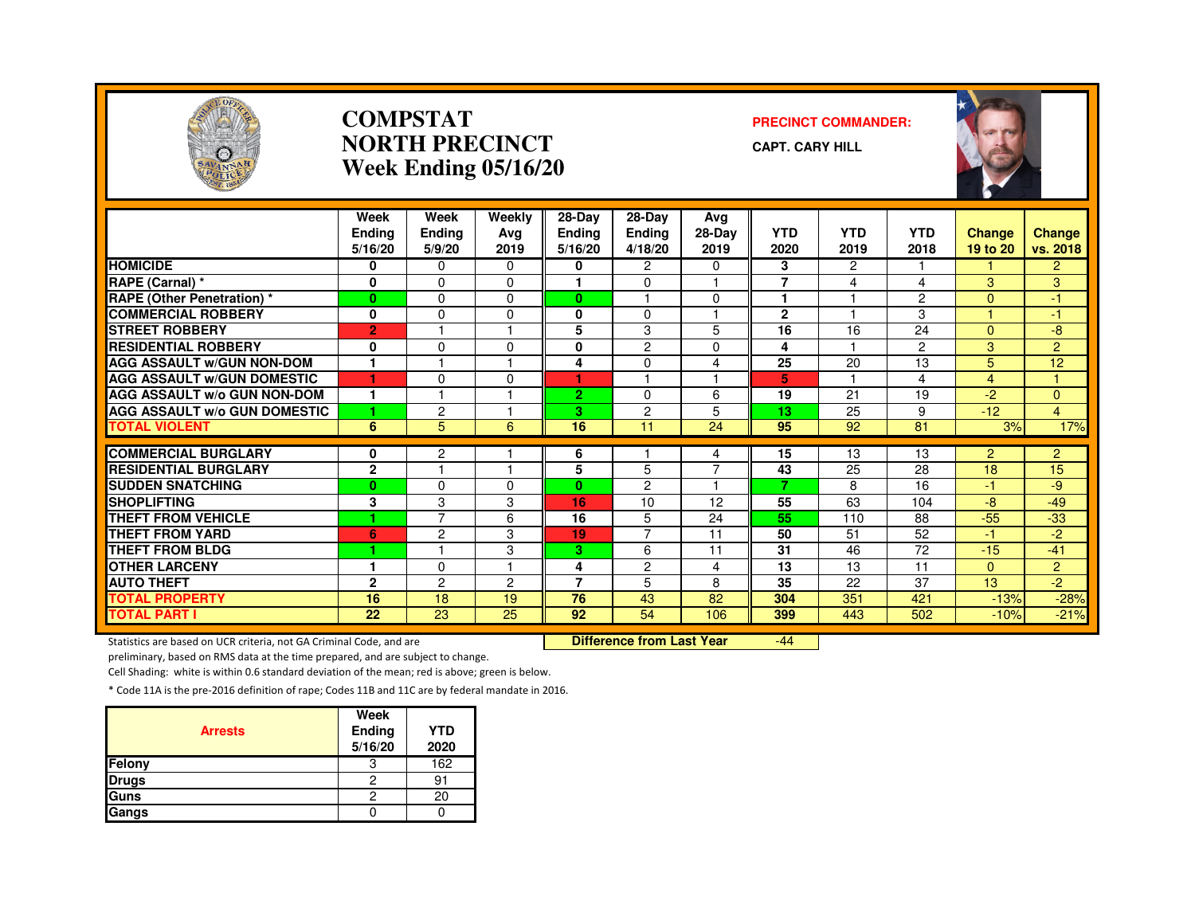

#### **COMPSTATNORTH PRECINCTWeek Ending 05/16/20**

#### **PRECINCT COMMANDER:**

**CAPT. CARY HILL**



|                                                        | Week<br><b>Endina</b> | Week<br>Ending      | Weekly<br>Ava   | $28-Dav$<br><b>Ending</b> | 28-Day<br><b>Ending</b> | Ava<br>28-Day | <b>YTD</b>              | <b>YTD</b>     | <b>YTD</b>     | Change         | Change         |
|--------------------------------------------------------|-----------------------|---------------------|-----------------|---------------------------|-------------------------|---------------|-------------------------|----------------|----------------|----------------|----------------|
|                                                        | 5/16/20               | 5/9/20              | 2019            | 5/16/20                   | 4/18/20                 | 2019          | 2020                    | 2019           | 2018           | 19 to 20       | vs. 2018       |
| <b>HOMICIDE</b>                                        | 0                     | $\Omega$            | 0               | 0                         | $\overline{c}$          | 0             | 3                       | $\overline{c}$ |                |                | $\overline{2}$ |
| RAPE (Carnal) *                                        | $\mathbf{0}$          | $\Omega$            | $\Omega$        |                           | $\Omega$                | н             | $\overline{\mathbf{z}}$ | 4              | 4              | 3              | $\overline{3}$ |
| <b>RAPE (Other Penetration) *</b>                      | $\bf{0}$              | $\Omega$            | $\Omega$        | $\bf{0}$                  |                         | $\Omega$      | 1                       |                | $\overline{2}$ | $\Omega$       | $-1$           |
| <b>COMMERCIAL ROBBERY</b>                              | $\mathbf 0$           | $\Omega$            | 0               | $\bf{0}$                  | 0                       | н             | $\mathbf{2}$            |                | 3              |                | $-1$           |
| <b>STREET ROBBERY</b>                                  | $\overline{2}$        |                     |                 | 5                         | 3                       | 5             | 16                      | 16             | 24             | $\Omega$       | -8             |
| <b>RESIDENTIAL ROBBERY</b>                             | 0                     | $\Omega$            | $\Omega$        | $\bf{0}$                  | 2                       | 0             | 4                       |                | 2              | 3              | $\overline{2}$ |
| <b>AGG ASSAULT w/GUN NON-DOM</b>                       | 1                     |                     |                 | 4                         | $\Omega$                | 4             | 25                      | 20             | 13             | 5              | 12             |
| <b>AGG ASSAULT W/GUN DOMESTIC</b>                      | ٠                     | $\Omega$            | $\Omega$        | ٠                         |                         | 1             | 5                       | -1             | 4              | 4              |                |
| <b>AGG ASSAULT w/o GUN NON-DOM</b>                     | и                     | 1                   |                 | $\overline{2}$            | 0                       | 6             | 19                      | 21             | 19             | $-2$           | $\Omega$       |
| <b>AGG ASSAULT W/o GUN DOMESTIC</b>                    | 1                     | 2                   |                 | З.                        | 2                       | 5             | 13                      | 25             | 9              | $-12$          | $\overline{4}$ |
| <b>TOTAL VIOLENT</b>                                   | 6                     | 5                   | 6               | 16                        | 11                      | 24            | 95                      | 92             | 81             | 3%             | 17%            |
| <b>COMMERCIAL BURGLARY</b>                             |                       |                     |                 |                           |                         |               |                         |                |                |                |                |
|                                                        | 0                     | 2<br>н              |                 | 6                         |                         | 4<br>7        | 15                      | 13             | 13             | $\overline{2}$ | $\overline{2}$ |
| <b>RESIDENTIAL BURGLARY</b><br><b>SUDDEN SNATCHING</b> | $\overline{2}$        | $\Omega$            | 0               | 5                         | 5<br>$\overline{c}$     | 1             | 43<br>7                 | 25<br>8        | 28<br>16       | 18             | 15             |
| <b>SHOPLIFTING</b>                                     | $\bf{0}$              |                     |                 | $\bf{0}$                  |                         |               | 55                      |                |                | -1.<br>$-8$    | -9<br>$-49$    |
| <b>THEFT FROM VEHICLE</b>                              | 3<br>1                | 3<br>$\overline{7}$ | 3               | 16<br>16                  | 10<br>5                 | 12            | 55                      | 63<br>110      | 104<br>88      | $-55$          |                |
|                                                        |                       |                     | 6               |                           | $\overline{7}$          | 24            |                         |                |                |                | $-33$          |
| <b>THEFT FROM YARD</b>                                 | 6<br>٠                | $\overline{2}$      | 3               | 19                        |                         | 11            | 50                      | 51             | 52             | -1             | $-2$           |
| <b>THEFT FROM BLDG</b>                                 | и                     |                     | 3               | 3.                        | 6                       | 11            | 31                      | 46             | 72             | $-15$          | $-41$          |
| <b>OTHER LARCENY</b>                                   |                       | $\Omega$            |                 | 4                         | $\overline{c}$          | 4             | 13                      | 13             | 11             | $\mathbf{0}$   | $\overline{2}$ |
| <b>AUTO THEFT</b>                                      | $\mathbf{2}$          | 2                   | 2               | $\overline{7}$            | 5                       | 8             | 35                      | 22             | 37             | 13             | $-2$           |
| <b>TOTAL PROPERTY</b>                                  | 16                    | 18                  | 19              | 76                        | 43                      | 82            | 304                     | 351            | 421            | $-13%$         | $-28%$         |
| <b>TOTAL PART I</b>                                    | $\overline{22}$       | $\overline{23}$     | $\overline{25}$ | 92                        | 54                      | 106           | 399                     | 443            | 502            | $-10%$         | $-21%$         |

Statistics are based on UCR criteria, not GA Criminal Code, and are **Difference from Last Year** 

-44

preliminary, based on RMS data at the time prepared, and are subject to change.

Cell Shading: white is within 0.6 standard deviation of the mean; red is above; green is below.

| <b>Arrests</b> | Week<br><b>Ending</b><br>5/16/20 | <b>YTD</b><br>2020 |
|----------------|----------------------------------|--------------------|
| Felony         | 3                                | 162                |
| <b>Drugs</b>   | 2                                | 91                 |
| Guns           | 2                                | 20                 |
| Gangs          |                                  |                    |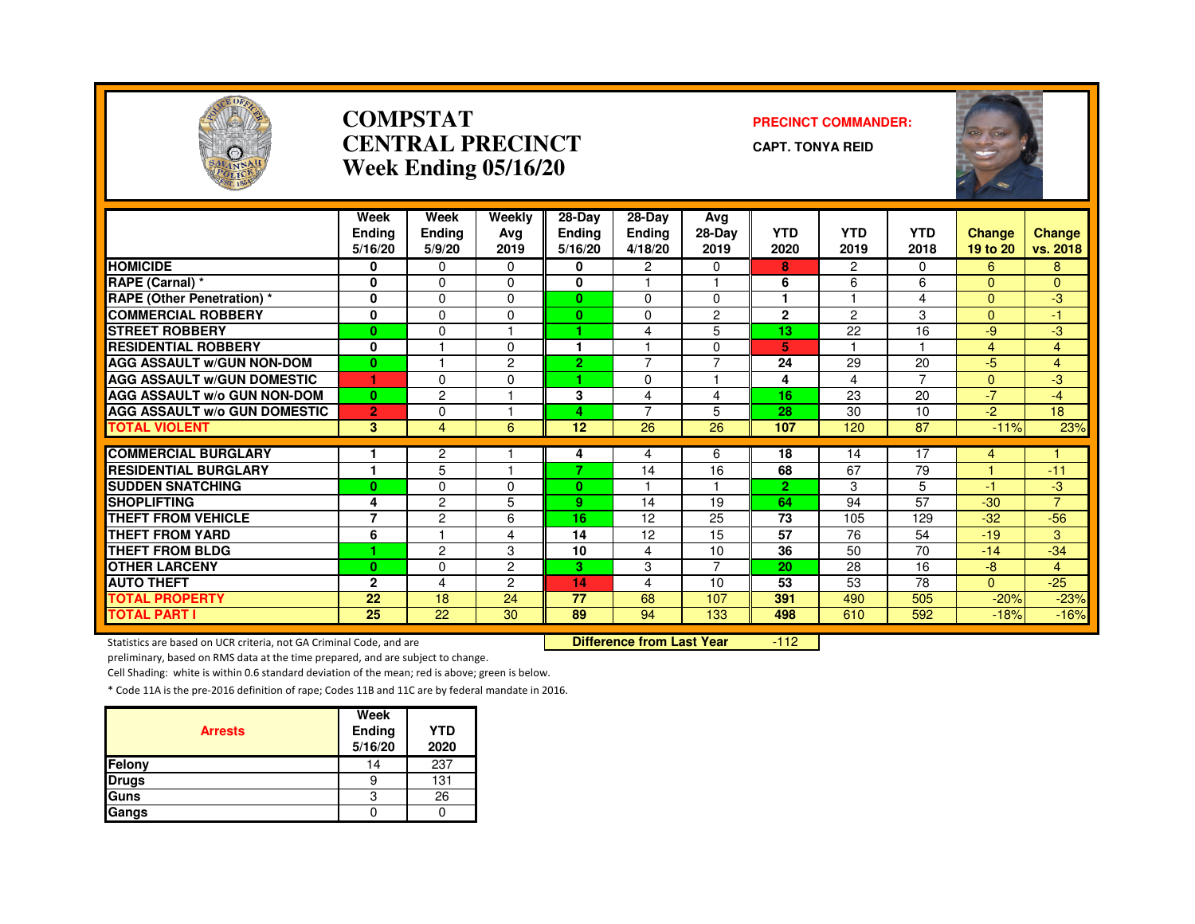

#### **COMPSTATCENTRAL PRECINCTWeek Ending 05/16/20**

#### **PRECINCT COMMANDER:**

**CAPT. TONYA REID**



|                                     | Week                     | Week                    | Weekly         | 28-Day                   | 28-Day                   | Avg            |                    | <b>YTD</b>    |                    |                           |                           |
|-------------------------------------|--------------------------|-------------------------|----------------|--------------------------|--------------------------|----------------|--------------------|---------------|--------------------|---------------------------|---------------------------|
|                                     | <b>Ending</b><br>5/16/20 | <b>Ending</b><br>5/9/20 | Avg<br>2019    | <b>Ending</b><br>5/16/20 | <b>Ending</b><br>4/18/20 | 28-Day<br>2019 | <b>YTD</b><br>2020 | 2019          | <b>YTD</b><br>2018 | <b>Change</b><br>19 to 20 | <b>Change</b><br>vs. 2018 |
| <b>HOMICIDE</b>                     | 0                        | $\Omega$                | $\Omega$       | 0                        | $\overline{2}$           | $\Omega$       | 8                  | $\mathcal{P}$ | 0                  | 6                         | 8                         |
| <b>RAPE (Carnal) *</b>              | 0                        | $\Omega$                | 0              | 0                        |                          |                | 6                  | 6             | 6                  | $\Omega$                  | $\Omega$                  |
| <b>RAPE (Other Penetration)</b> *   | $\bf{0}$                 | $\Omega$                | 0              | $\mathbf{0}$             | $\Omega$                 | 0              |                    |               | 4                  | $\Omega$                  | لې.                       |
| <b>COMMERCIAL ROBBERY</b>           | 0                        | $\Omega$                | 0              | $\mathbf{0}$             | $\mathbf 0$              | $\overline{2}$ | $\mathbf{2}$       | $\mathcal{P}$ | 3                  | $\Omega$                  | -1                        |
| <b>STREET ROBBERY</b>               | $\bf{0}$                 | $\Omega$                |                |                          | 4                        | 5              | 13                 | 22            | 16                 | $-9$                      | $-3$                      |
| <b>RESIDENTIAL ROBBERY</b>          | $\bf{0}$                 |                         | $\Omega$       | ٠                        |                          | $\Omega$       | 5                  |               |                    | $\overline{4}$            | $\overline{4}$            |
| <b>AGG ASSAULT W/GUN NON-DOM</b>    | $\bf{0}$                 |                         | $\overline{2}$ | $\overline{2}$           | $\overline{7}$           | $\overline{7}$ | 24                 | 29            | 20                 | $-5$                      | $\overline{4}$            |
| <b>AGG ASSAULT W/GUN DOMESTIC</b>   | 4                        | $\Omega$                | $\Omega$       | 4                        | $\mathbf 0$              |                | 4                  | 4             | $\overline{7}$     | $\Omega$                  | $-3$                      |
| <b>AGG ASSAULT W/o GUN NON-DOM</b>  | $\bf{0}$                 | $\overline{2}$          |                | 3                        | 4                        | 4              | 16                 | 23            | 20                 | $-7$                      | $-4$                      |
| <b>AGG ASSAULT w/o GUN DOMESTIC</b> | $\overline{2}$           | $\Omega$                |                | 4                        | 7                        | 5              | 28                 | 30            | 10                 | $-2$                      | 18                        |
| <b>TOTAL VIOLENT</b>                | 3                        | 4                       | 6              | 12                       | 26                       | 26             | 107                | 120           | 87                 | $-11%$                    | 23%                       |
| <b>COMMERCIAL BURGLARY</b>          |                          | $\overline{c}$          |                | 4                        | 4                        | 6              | 18                 | 14            | 17                 | 4                         |                           |
| <b>RESIDENTIAL BURGLARY</b>         | 1                        | 5                       |                | 7                        | 14                       | 16             | 68                 | 67            | 79                 |                           | $-11$                     |
| <b>SUDDEN SNATCHING</b>             | $\bf{0}$                 | $\mathbf{0}$            | 0              | $\mathbf{0}$             |                          |                | $\overline{2}$     | 3             | 5                  | -1                        | $-3$                      |
| <b>SHOPLIFTING</b>                  | 4                        | $\overline{c}$          | 5              | 9                        | 14                       | 19             | 64                 | 94            | $\overline{57}$    | $-30$                     | $\overline{7}$            |
| <b>THEFT FROM VEHICLE</b>           | $\overline{7}$           | $\overline{c}$          | 6              | 16                       | 12                       | 25             | 73                 | 105           | 129                | $-32$                     | $-56$                     |
| <b>THEFT FROM YARD</b>              | 6                        |                         | 4              | 14                       | 12                       | 15             | $\overline{57}$    | 76            | 54                 | $-19$                     | 3                         |
| <b>THEFT FROM BLDG</b>              | н                        | 2                       | 3              | 10                       | 4                        | 10             | 36                 | 50            | 70                 | $-14$                     | $-34$                     |
| <b>OTHER LARCENY</b>                | $\bf{0}$                 | $\Omega$                | $\overline{c}$ | З.                       | 3                        | 7              | 20                 | 28            | 16                 | $-8$                      | $\overline{4}$            |
| <b>AUTO THEFT</b>                   | $\mathbf{2}$             | 4                       | $\overline{2}$ | 14                       | 4                        | 10             | 53                 | 53            | 78                 | $\Omega$                  | $-25$                     |
| <b>TOTAL PROPERTY</b>               | 22                       | 18                      | 24             | 77                       | 68                       | 107            | 391                | 490           | 505                | $-20%$                    | $-23%$                    |
| <b>TOTAL PART I</b>                 | 25                       | 22                      | 30             | 89                       | 94                       | 133            | 498                | 610           | 592                | $-18%$                    | $-16%$                    |

Statistics are based on UCR criteria, not GA Criminal Code, and are **Difference from Last Year** 

 $-112$ 

preliminary, based on RMS data at the time prepared, and are subject to change.

Cell Shading: white is within 0.6 standard deviation of the mean; red is above; green is below.

| <b>Arrests</b> | Week<br>Ending<br>5/16/20 | <b>YTD</b><br>2020 |
|----------------|---------------------------|--------------------|
| Felony         | 14                        | 237                |
| <b>Drugs</b>   |                           | 131                |
| Guns           |                           | 26                 |
| Gangs          |                           |                    |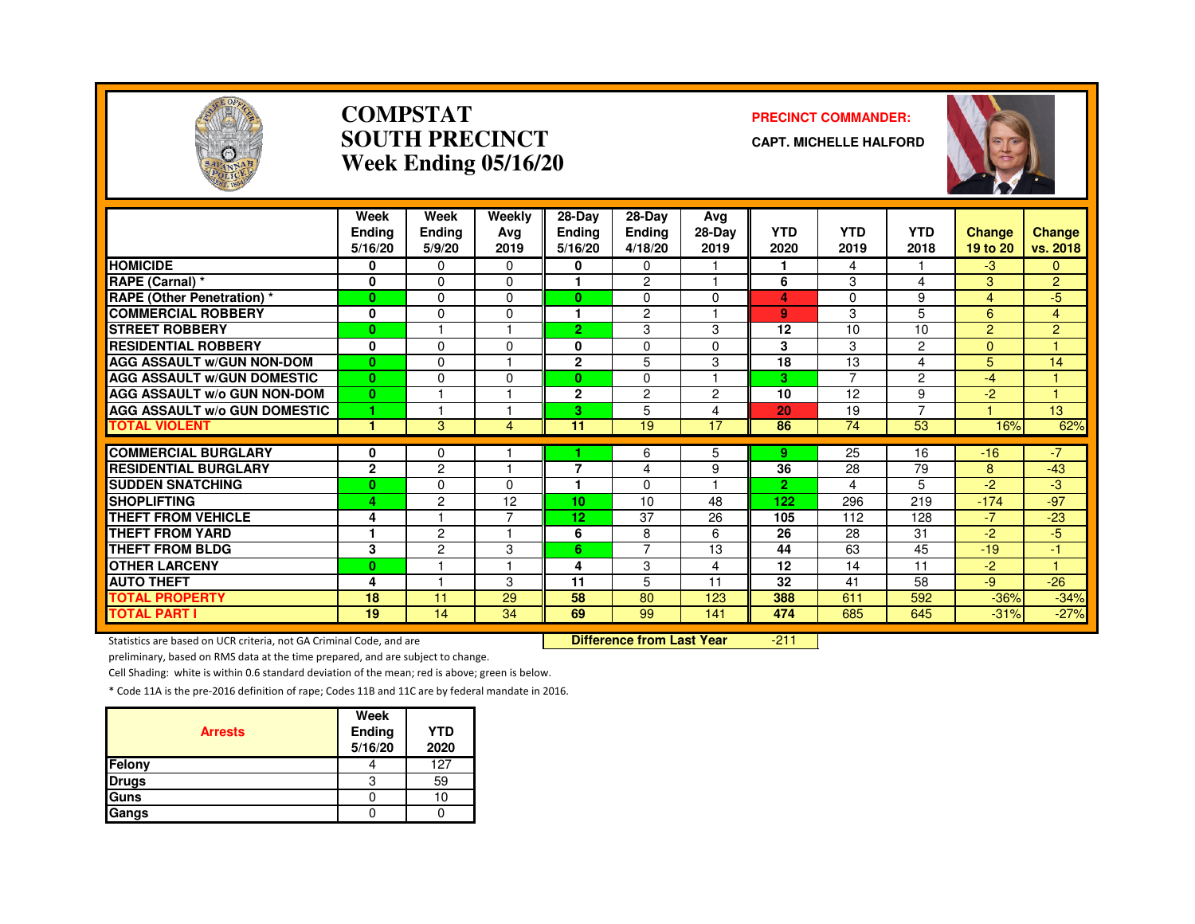

#### **COMPSTATSOUTH PRECINCTWeek Ending 05/16/20**

#### **PRECINCT COMMANDER:**

**CAPT. MICHELLE HALFORD**



|                                                           | Week<br><b>Ending</b><br>5/16/20 | Week<br><b>Ending</b><br>5/9/20 | Weekly<br>Avg<br>2019 | 28-Day<br><b>Ending</b><br>5/16/20 | $28$ -Day<br><b>Ending</b><br>4/18/20 | Ava<br>28-Day<br>2019   | <b>YTD</b><br>2020    | <b>YTD</b><br>2019 | <b>YTD</b><br>2018 | <b>Change</b><br>19 to 20 | Change<br>vs. 2018 |
|-----------------------------------------------------------|----------------------------------|---------------------------------|-----------------------|------------------------------------|---------------------------------------|-------------------------|-----------------------|--------------------|--------------------|---------------------------|--------------------|
| <b>HOMICIDE</b>                                           | 0                                | $\mathbf 0$                     | $\Omega$              | 0                                  | 0                                     |                         | 1                     | 4                  |                    | -3                        | $\mathbf{0}$       |
| RAPE (Carnal) *                                           | $\mathbf 0$                      | $\Omega$                        | $\Omega$              |                                    | 2                                     |                         | 6                     | 3                  | 4                  | 3                         | $\overline{2}$     |
| <b>RAPE (Other Penetration)</b> *                         | $\bf{0}$                         | $\Omega$                        | $\Omega$              | $\mathbf{0}$                       | $\Omega$                              | $\Omega$                | 4                     | 0                  | 9                  | 4                         | -5                 |
| <b>COMMERCIAL ROBBERY</b>                                 | $\mathbf 0$                      | $\Omega$                        | 0                     |                                    | $\overline{c}$                        |                         | 9                     | 3                  | 5                  | 6                         | $\overline{4}$     |
| <b>STREET ROBBERY</b>                                     | $\bf{0}$                         |                                 |                       | 2.                                 | 3                                     | 3                       | 12                    | 10                 | 10                 | 2                         | $\overline{2}$     |
| <b>RESIDENTIAL ROBBERY</b>                                | 0                                | $\Omega$                        | $\Omega$              | 0                                  | 0                                     | $\Omega$                | 3                     | 3                  | 2                  | $\mathbf{0}$              |                    |
| <b>AGG ASSAULT W/GUN NON-DOM</b>                          | $\mathbf{0}$                     | $\mathbf{0}$                    |                       | $\overline{2}$                     | 5                                     | 3                       | $\overline{18}$       | 13                 | 4                  | 5                         | 14                 |
| <b>AGG ASSAULT W/GUN DOMESTIC</b>                         | $\mathbf{0}$                     | $\Omega$                        | $\Omega$              | 0                                  | $\Omega$                              | $\overline{\mathbf{A}}$ | 3                     | 7                  | $\overline{2}$     | $-4$                      |                    |
| <b>AGG ASSAULT W/o GUN NON-DOM</b>                        | $\bf{0}$                         |                                 |                       | $\mathbf{2}$                       | 2                                     | $\overline{c}$          | 10                    | 12                 | 9                  | -2                        |                    |
| <b>AGG ASSAULT W/o GUN DOMESTIC</b>                       | и                                |                                 |                       | 3                                  | 5                                     | $\overline{4}$          | 20                    | 19                 | 7                  |                           | 13 <sup>2</sup>    |
| <b>TOTAL VIOLENT</b>                                      | 1                                | 3                               | 4                     | 11                                 | 19                                    | 17                      | 86                    | 74                 | 53                 | 16%                       | 62%                |
|                                                           |                                  |                                 |                       |                                    |                                       |                         |                       |                    |                    |                           |                    |
| <b>COMMERCIAL BURGLARY</b><br><b>RESIDENTIAL BURGLARY</b> | 0<br>$\mathbf{2}$                | 0<br>$\overline{c}$             |                       | 7                                  | 6                                     | 5                       | 9.<br>36              | 25<br>28           | 16<br>79           | $-16$                     | $-7$<br>$-43$      |
|                                                           |                                  |                                 |                       | 1                                  | 4                                     | 9                       |                       |                    |                    | 8<br>$-2^{2}$             |                    |
| <b>SUDDEN SNATCHING</b><br><b>SHOPLIFTING</b>             | $\bf{0}$                         | $\Omega$<br>$\overline{c}$      | 0<br>12               | 10                                 | $\Omega$<br>10                        | 48                      | $\overline{2}$<br>122 | 4<br>296           | 5<br>219           | $-174$                    | -3<br>$-97$        |
| <b>THEFT FROM VEHICLE</b>                                 | 4                                |                                 | ⇁                     |                                    |                                       |                         |                       | 112                |                    | $-7$                      | $-23$              |
| <b>THEFT FROM YARD</b>                                    | 4                                | 2                               |                       | 12<br>6                            | 37<br>8                               | 26<br>6                 | 105<br>26             | 28                 | 128<br>31          | $-2$                      | -5                 |
| <b>THEFT FROM BLDG</b>                                    |                                  |                                 |                       |                                    | $\overline{7}$                        | 13                      | 44                    | 63                 | 45                 | $-19$                     |                    |
|                                                           | 3                                | $\overline{2}$                  | 3                     | 6                                  |                                       |                         |                       |                    |                    |                           | $-1$               |
| <b>OTHER LARCENY</b>                                      | $\bf{0}$                         |                                 |                       | 4                                  | 3                                     | 4                       | 12                    | 14                 | 11                 | $-2$                      |                    |
| <b>AUTO THEFT</b>                                         | 4                                |                                 | 3                     | 11                                 | 5                                     | 11                      | 32                    | 41                 | 58                 | -9                        | $-26$              |
| <b>TOTAL PROPERTY</b>                                     | 18                               | 11                              | 29                    | 58                                 | 80                                    | 123                     | 388                   | 611                | 592                | $-36%$                    | $-34%$             |
| <b>TOTAL PART I</b>                                       | 19                               | 14                              | 34                    | 69                                 | 99                                    | 141                     | 474                   | 685                | 645                | $-31%$                    | $-27%$             |

Statistics are based on UCR criteria, not GA Criminal Code, and are **Difference from Last Year** 

-211

preliminary, based on RMS data at the time prepared, and are subject to change.

Cell Shading: white is within 0.6 standard deviation of the mean; red is above; green is below.

| <b>Arrests</b> | Week<br>Ending<br>5/16/20 | <b>YTD</b><br>2020 |
|----------------|---------------------------|--------------------|
| Felony         |                           | 127                |
| <b>Drugs</b>   | 3                         | 59                 |
| Guns           |                           | 10                 |
| Gangs          |                           |                    |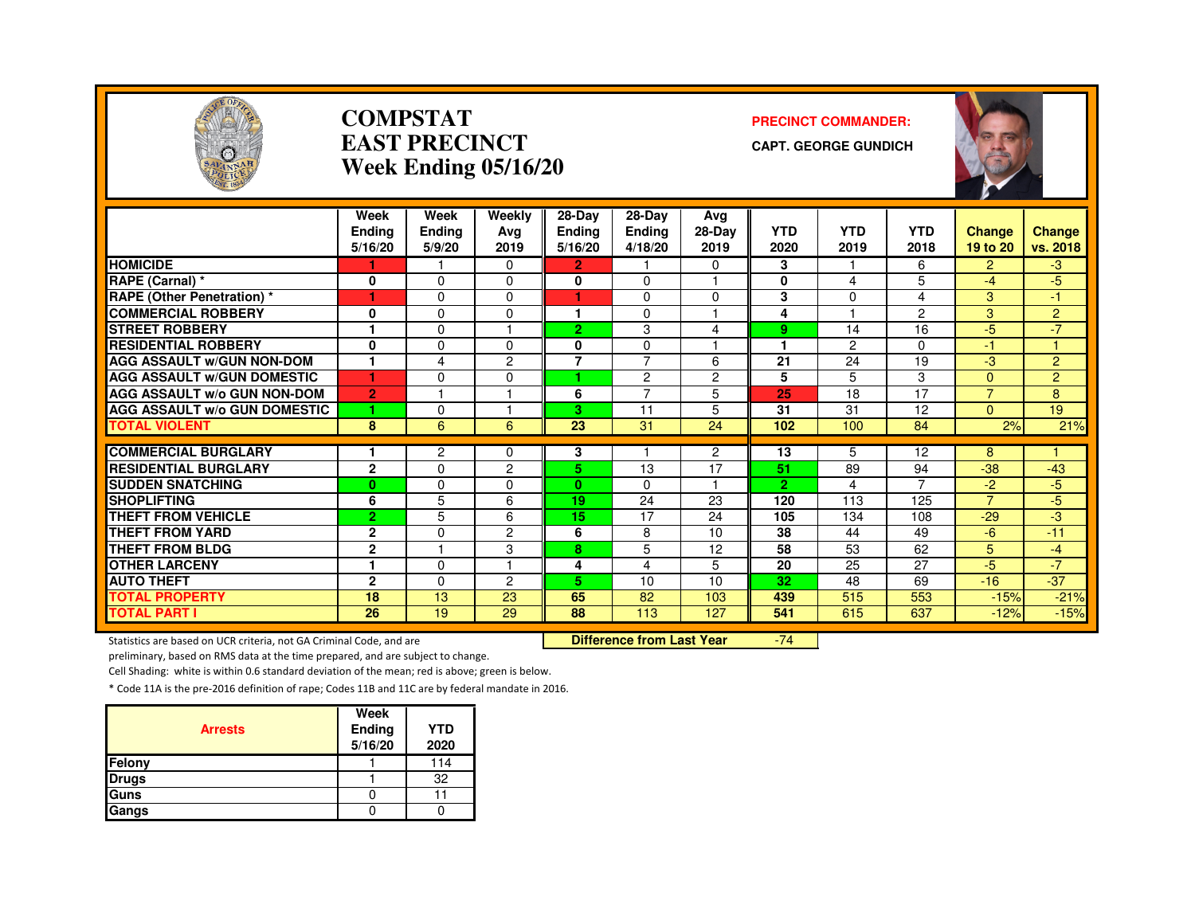

#### **COMPSTATEAST PRECINCTWeek Ending 05/16/20**

#### **PRECINCT COMMANDER:**

**CAPT. GEORGE GUNDICH**



|                                     | Week<br><b>Ending</b><br>5/16/20 | Week<br>Ending<br>5/9/20 | Weekly<br>Avg<br>2019 | $28-Dav$<br>Ending<br>5/16/20 | 28-Dav<br><b>Ending</b><br>4/18/20 | Ava<br>28-Day<br>2019 | <b>YTD</b><br>2020 | <b>YTD</b><br>2019 | <b>YTD</b><br>2018 | <b>Change</b><br>19 to 20 | <b>Change</b><br>vs. 2018 |
|-------------------------------------|----------------------------------|--------------------------|-----------------------|-------------------------------|------------------------------------|-----------------------|--------------------|--------------------|--------------------|---------------------------|---------------------------|
| <b>HOMICIDE</b>                     |                                  |                          | $\Omega$              | 2.                            |                                    | 0                     | 3                  |                    | 6                  | 2                         | $-3$                      |
| RAPE (Carnal) *                     | 0                                | $\Omega$                 | $\Omega$              | $\bf{0}$                      | $\Omega$                           | ٠                     | $\bf{0}$           | 4                  | 5                  | $-4$                      | $-5$                      |
| <b>RAPE (Other Penetration) *</b>   | 1                                | $\Omega$                 | $\Omega$              | 4                             | 0                                  | $\Omega$              | 3                  | $\Omega$           | 4                  | 3                         | -1                        |
| <b>COMMERCIAL ROBBERY</b>           | 0                                | $\Omega$                 | $\Omega$              | 1                             | 0                                  | 1                     | 4                  |                    | $\overline{2}$     | 3                         | $\overline{2}$            |
| <b>STREET ROBBERY</b>               |                                  | $\Omega$                 |                       | $\overline{2}$                | 3                                  | 4                     | 9                  | 14                 | 16                 | $-5$                      | $-7$                      |
| <b>RESIDENTIAL ROBBERY</b>          | 0                                | $\Omega$                 | 0                     | 0                             | 0                                  | ٠                     |                    | 2                  | $\Omega$           | $-1$                      |                           |
| <b>AGG ASSAULT W/GUN NON-DOM</b>    | $\mathbf{1}$                     | 4                        | $\overline{c}$        | $\overline{7}$                | $\overline{7}$                     | 6                     | 21                 | 24                 | 19                 | $-3$                      | $\overline{2}$            |
| <b>AGG ASSAULT W/GUN DOMESTIC</b>   | 1                                | $\Omega$                 | $\Omega$              | ٠                             | $\overline{c}$                     | $\overline{c}$        | 5                  | 5                  | 3                  | $\Omega$                  | $\overline{2}$            |
| <b>AGG ASSAULT W/o GUN NON-DOM</b>  | $\overline{2}$                   |                          | и                     | 6                             | 7                                  | 5                     | 25                 | 18                 | $\overline{17}$    | $\overline{7}$            | 8                         |
| <b>AGG ASSAULT w/o GUN DOMESTIC</b> | 1                                | $\Omega$                 | м                     | 3                             | 11                                 | 5                     | 31                 | 31                 | 12                 | $\Omega$                  | 19                        |
| <b>TOTAL VIOLENT</b>                | 8                                | 6                        | 6                     | 23                            | 31                                 | 24                    | 102                | 100                | 84                 | 2%                        | 21%                       |
|                                     |                                  |                          |                       |                               |                                    |                       |                    |                    |                    |                           |                           |
| <b>COMMERCIAL BURGLARY</b>          |                                  | $\mathbf{2}$             | $\Omega$              | 3                             |                                    | $\overline{2}$        | 13                 | 5                  | 12                 | 8                         |                           |
| <b>RESIDENTIAL BURGLARY</b>         | $\overline{2}$                   | $\Omega$                 | $\overline{c}$        | 5.                            | 13                                 | 17                    | 51                 | 89                 | 94                 | $-38$                     | $-43$                     |
| <b>SUDDEN SNATCHING</b>             | $\bf{0}$                         | $\Omega$                 | 0                     | $\mathbf{0}$                  | 0                                  | 1                     | $\overline{2}$     | 4                  | 7                  | $-2$                      | $-5$                      |
| <b>SHOPLIFTING</b>                  | 6                                | 5                        | 6                     | 19                            | 24                                 | 23                    | 120                | 113                | 125                | $\overline{7}$            | $-5$                      |
| <b>THEFT FROM VEHICLE</b>           | $\overline{2}$                   | 5                        | 6                     | 15                            | 17                                 | 24                    | 105                | 134                | 108                | $-29$                     | $-3$                      |
| <b>THEFT FROM YARD</b>              | $\mathbf{2}$                     | $\Omega$                 | 2                     | 6                             | 8                                  | 10                    | 38                 | 44                 | 49                 | $-6$                      | $-11$                     |
| <b>THEFT FROM BLDG</b>              | $\mathbf{2}$                     |                          | 3                     | 8                             | 5                                  | 12                    | 58                 | 53                 | 62                 | 5                         | $-4$                      |
| <b>OTHER LARCENY</b>                | $\mathbf{1}$                     | $\Omega$                 | н                     | 4                             | 4                                  | 5                     | 20                 | 25                 | 27                 | $-5$                      | $-7$                      |
| <b>AUTO THEFT</b>                   | $\overline{2}$                   | $\Omega$                 | 2                     | 5.                            | 10                                 | 10                    | 32                 | 48                 | 69                 | $-16$                     | $-37$                     |
| <b>TOTAL PROPERTY</b>               | 18                               | 13                       | 23                    | 65                            | 82                                 | 103                   | 439                | 515                | 553                | $-15%$                    | $-21%$                    |
| <b>TOTAL PART I</b>                 | 26                               | 19                       | 29                    | 88                            | 113                                | 127                   | 541                | 615                | 637                | $-12%$                    | $-15%$                    |

Statistics are based on UCR criteria, not GA Criminal Code, and are **Difference from Last Year** 

-74

preliminary, based on RMS data at the time prepared, and are subject to change.

Cell Shading: white is within 0.6 standard deviation of the mean; red is above; green is below.

| <b>Arrests</b> | Week<br>Ending<br>5/16/20 | <b>YTD</b><br>2020 |
|----------------|---------------------------|--------------------|
| Felony         |                           | 114                |
| <b>Drugs</b>   |                           | 32                 |
| Guns           |                           |                    |
| Gangs          |                           |                    |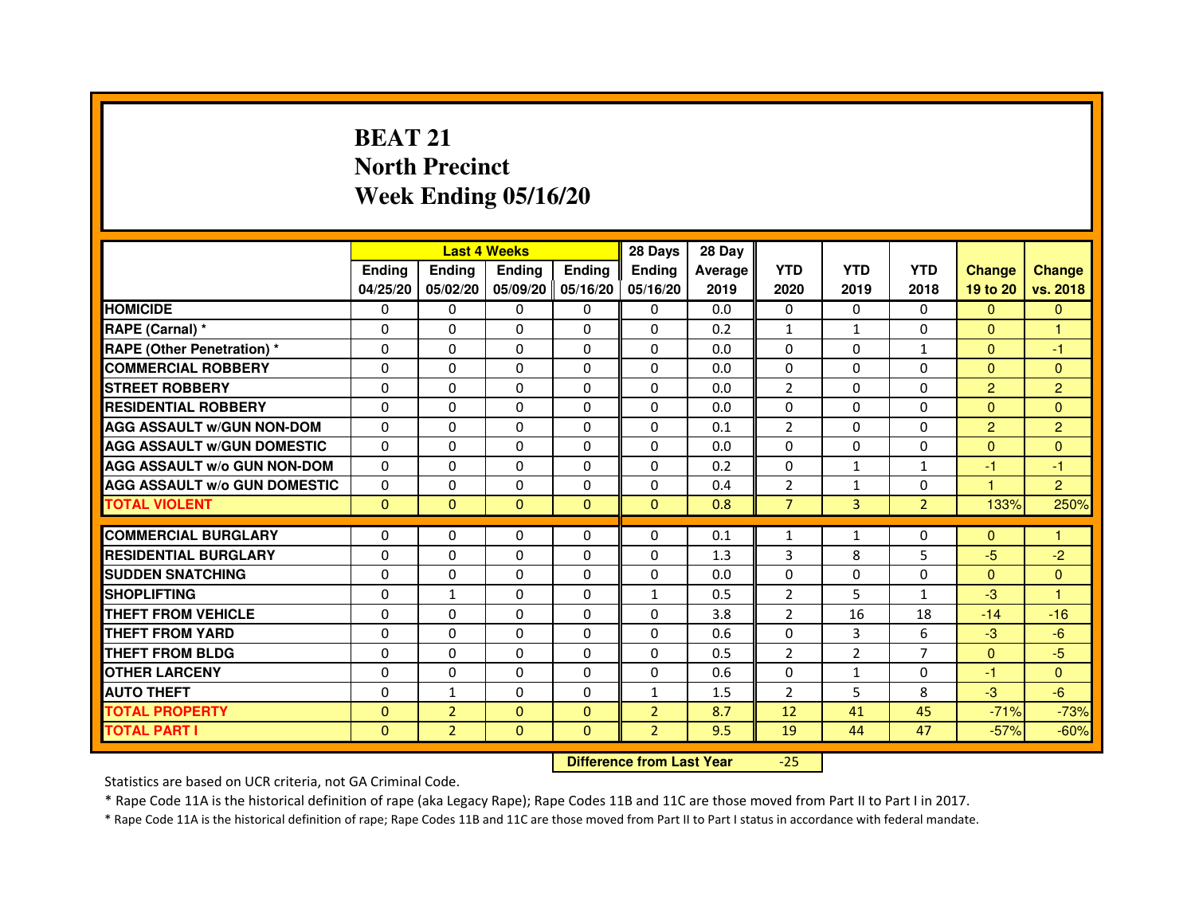# **BEAT 21 North PrecinctWeek Ending 05/16/20**

|                                     |               | <b>Last 4 Weeks</b> |                                  |               | 28 Days        | 28 Day  |                |                |                |                |                |
|-------------------------------------|---------------|---------------------|----------------------------------|---------------|----------------|---------|----------------|----------------|----------------|----------------|----------------|
|                                     | <b>Ending</b> | <b>Ending</b>       | <b>Ending</b>                    | <b>Ending</b> | <b>Ending</b>  | Average | <b>YTD</b>     | <b>YTD</b>     | <b>YTD</b>     | <b>Change</b>  | <b>Change</b>  |
|                                     | 04/25/20      | 05/02/20            | 05/09/20                         | 05/16/20      | 05/16/20       | 2019    | 2020           | 2019           | 2018           | 19 to 20       | vs. 2018       |
| <b>HOMICIDE</b>                     | $\mathbf{0}$  | $\Omega$            | $\Omega$                         | $\Omega$      | 0              | 0.0     | $\Omega$       | $\Omega$       | 0              | $\Omega$       | $\Omega$       |
| RAPE (Carnal) *                     | 0             | $\Omega$            | 0                                | $\Omega$      | $\mathbf{0}$   | 0.2     | $\mathbf{1}$   | $\mathbf{1}$   | $\Omega$       | $\mathbf{0}$   | 1              |
| <b>RAPE (Other Penetration) *</b>   | $\mathbf 0$   | 0                   | $\Omega$                         | $\Omega$      | $\Omega$       | 0.0     | $\Omega$       | $\Omega$       | $\mathbf{1}$   | $\Omega$       | $-1$           |
| <b>COMMERCIAL ROBBERY</b>           | $\mathbf 0$   | $\mathbf{0}$        | $\Omega$                         | $\mathbf{0}$  | $\mathbf{0}$   | 0.0     | $\mathbf{0}$   | $\Omega$       | $\Omega$       | $\Omega$       | $\Omega$       |
| <b>STREET ROBBERY</b>               | $\Omega$      | $\Omega$            | $\Omega$                         | $\Omega$      | $\Omega$       | 0.0     | 2              | $\Omega$       | $\Omega$       | $\overline{2}$ | $\overline{2}$ |
| <b>RESIDENTIAL ROBBERY</b>          | 0             | $\Omega$            | 0                                | $\Omega$      | $\Omega$       | 0.0     | $\Omega$       | $\Omega$       | $\Omega$       | $\Omega$       | $\Omega$       |
| <b>AGG ASSAULT W/GUN NON-DOM</b>    | $\Omega$      | 0                   | $\Omega$                         | $\Omega$      | $\Omega$       | 0.1     | $\overline{2}$ | $\Omega$       | $\Omega$       | $\overline{2}$ | $\overline{2}$ |
| <b>AGG ASSAULT W/GUN DOMESTIC</b>   | $\Omega$      | $\Omega$            | $\Omega$                         | $\Omega$      | $\Omega$       | 0.0     | $\Omega$       | $\Omega$       | $\Omega$       | $\Omega$       | $\Omega$       |
| <b>AGG ASSAULT W/o GUN NON-DOM</b>  | $\Omega$      | 0                   | 0                                | $\mathbf{0}$  | 0              | 0.2     | 0              | $\mathbf{1}$   | $\mathbf{1}$   | $-1$           | $-1$           |
| <b>AGG ASSAULT W/o GUN DOMESTIC</b> | $\Omega$      | 0                   | 0                                | $\Omega$      | $\Omega$       | 0.4     | $\overline{2}$ | $\mathbf{1}$   | $\Omega$       | 1              | $\overline{2}$ |
| <b>TOTAL VIOLENT</b>                | $\mathbf{0}$  | $\mathbf{0}$        | $\overline{0}$                   | $\mathbf{0}$  | $\mathbf{0}$   | 0.8     | $\overline{7}$ | $\overline{3}$ | $\overline{2}$ | 133%           | 250%           |
| <b>COMMERCIAL BURGLARY</b>          | 0             | 0                   | 0                                | $\mathbf{0}$  | 0              | 0.1     | 1              | $\mathbf{1}$   | 0              | $\Omega$       | 1              |
| <b>RESIDENTIAL BURGLARY</b>         | $\Omega$      | $\Omega$            | $\Omega$                         | $\mathbf{0}$  | $\Omega$       | 1.3     | 3              | 8              | 5              | $-5$           | $-2$           |
| <b>SUDDEN SNATCHING</b>             | $\Omega$      | 0                   | $\Omega$                         | $\Omega$      | $\Omega$       | 0.0     | $\Omega$       | $\Omega$       | $\Omega$       | $\Omega$       | $\Omega$       |
| <b>SHOPLIFTING</b>                  | 0             | $\mathbf{1}$        | 0                                | $\mathbf{0}$  | $\mathbf{1}$   | 0.5     | 2              | 5              | $\mathbf{1}$   | $-3$           | 1              |
| THEFT FROM VEHICLE                  | 0             | $\Omega$            | 0                                | $\Omega$      | 0              | 3.8     | 2              | 16             | 18             | $-14$          | $-16$          |
| THEFT FROM YARD                     | $\mathbf 0$   | 0                   | $\Omega$                         | $\mathbf{0}$  | $\Omega$       | 0.6     | $\Omega$       | 3              | 6              | $-3$           | $-6$           |
| <b>THEFT FROM BLDG</b>              | 0             | $\Omega$            | 0                                | $\Omega$      | $\Omega$       | 0.5     | 2              | $\overline{2}$ | 7              | $\Omega$       | $-5$           |
| <b>OTHER LARCENY</b>                | 0             | $\Omega$            | 0                                | $\Omega$      | $\Omega$       | 0.6     | $\Omega$       | $\mathbf{1}$   | $\Omega$       | $-1$           | $\Omega$       |
| <b>AUTO THEFT</b>                   | $\Omega$      | $\mathbf{1}$        | $\Omega$                         | $\Omega$      | $\mathbf{1}$   | 1.5     | $\overline{2}$ | 5              | 8              | $-3$           | $-6$           |
| <b>TOTAL PROPERTY</b>               | $\Omega$      | $\overline{2}$      | $\Omega$                         | $\mathbf{0}$  | $\overline{2}$ | 8.7     | 12             | 41             | 45             | $-71%$         | $-73%$         |
| <b>TOTAL PART I</b>                 | $\mathbf{0}$  | $\overline{2}$      | $\overline{0}$                   | $\Omega$      | $\overline{2}$ | 9.5     | 19             | 44             | 47             | $-57%$         | $-60%$         |
|                                     |               |                     | <b>Difference from Last Year</b> |               | $-25$          |         |                |                |                |                |                |

Statistics are based on UCR criteria, not GA Criminal Code.

\* Rape Code 11A is the historical definition of rape (aka Legacy Rape); Rape Codes 11B and 11C are those moved from Part II to Part I in 2017.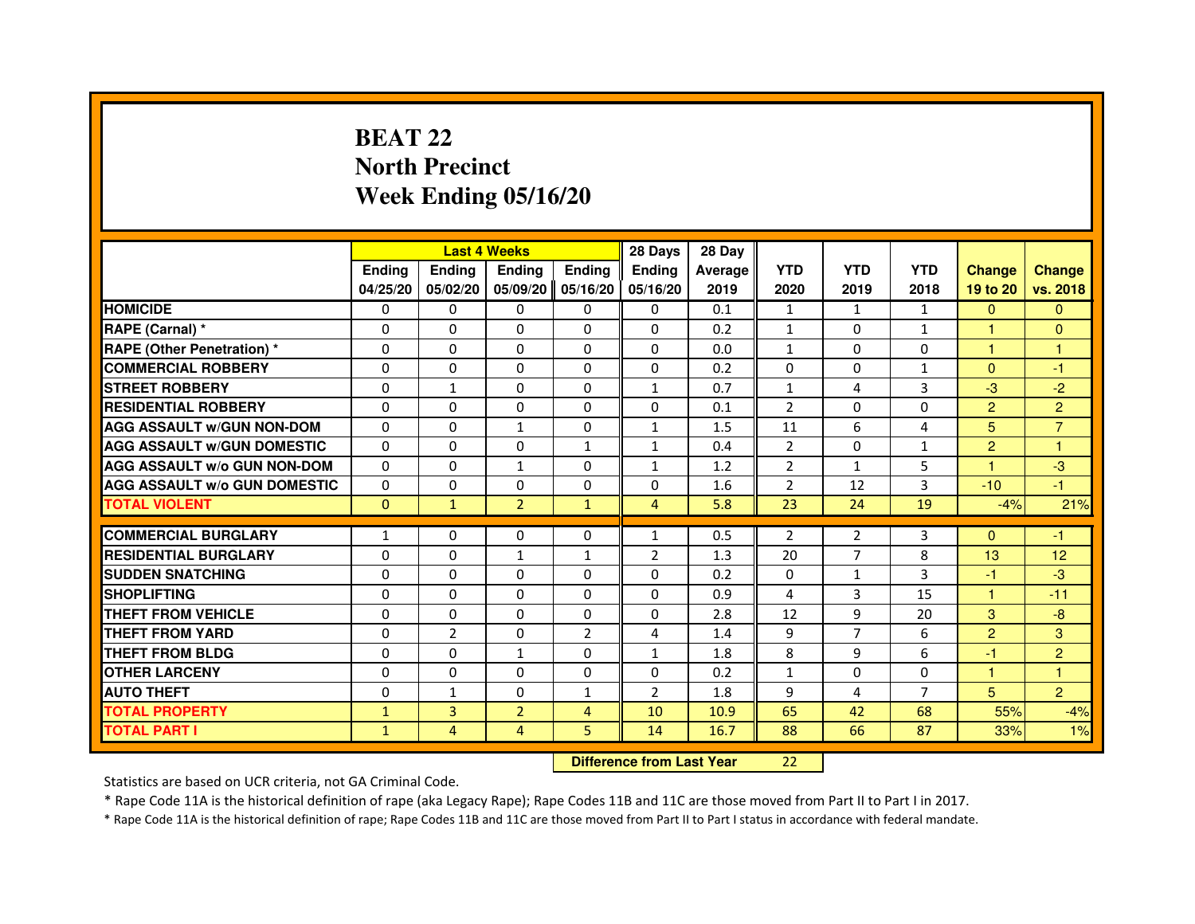# **BEAT 22 North PrecinctWeek Ending 05/16/20**

|                                     |               |                | <b>Last 4 Weeks</b> |                | 28 Days                          | 28 Day  |                |                |                |                |                |
|-------------------------------------|---------------|----------------|---------------------|----------------|----------------------------------|---------|----------------|----------------|----------------|----------------|----------------|
|                                     | <b>Ending</b> | <b>Ending</b>  | <b>Ending</b>       | <b>Ending</b>  | <b>Ending</b>                    | Average | <b>YTD</b>     | <b>YTD</b>     | <b>YTD</b>     | <b>Change</b>  | <b>Change</b>  |
|                                     | 04/25/20      | 05/02/20       | 05/09/20            | 05/16/20       | 05/16/20                         | 2019    | 2020           | 2019           | 2018           | 19 to 20       | vs. 2018       |
| <b>HOMICIDE</b>                     | 0             | 0              | $\mathbf{0}$        | 0              | 0                                | 0.1     | $\mathbf{1}$   | $\mathbf{1}$   | $\mathbf{1}$   | $\Omega$       | $\mathbf{0}$   |
| RAPE (Carnal) *                     | 0             | 0              | 0                   | 0              | 0                                | 0.2     | $\mathbf{1}$   | 0              | $\mathbf{1}$   | 1              | $\mathbf{0}$   |
| RAPE (Other Penetration) *          | $\Omega$      | $\Omega$       | $\Omega$            | $\Omega$       | $\Omega$                         | 0.0     | $\mathbf{1}$   | $\Omega$       | $\Omega$       | 1              | 1              |
| <b>COMMERCIAL ROBBERY</b>           | 0             | 0              | $\Omega$            | $\Omega$       | 0                                | 0.2     | 0              | 0              | $\mathbf{1}$   | $\overline{0}$ | $-1$           |
| <b>STREET ROBBERY</b>               | $\Omega$      | $\mathbf{1}$   | $\Omega$            | $\Omega$       | $\mathbf{1}$                     | 0.7     | $\mathbf{1}$   | 4              | 3              | $-3$           | $-2$           |
| <b>RESIDENTIAL ROBBERY</b>          | 0             | 0              | 0                   | 0              | 0                                | 0.1     | $\overline{2}$ | $\Omega$       | $\Omega$       | $\overline{2}$ | $\overline{2}$ |
| <b>AGG ASSAULT W/GUN NON-DOM</b>    | $\Omega$      | $\Omega$       | $\mathbf{1}$        | $\Omega$       | $\mathbf{1}$                     | 1.5     | 11             | 6              | 4              | 5              | $\overline{7}$ |
| <b>AGG ASSAULT W/GUN DOMESTIC</b>   | $\Omega$      | $\Omega$       | 0                   | $\mathbf{1}$   | $\mathbf{1}$                     | 0.4     | $\overline{2}$ | $\Omega$       | $\mathbf{1}$   | $\overline{2}$ | $\mathbf{1}$   |
| <b>AGG ASSAULT W/o GUN NON-DOM</b>  | $\Omega$      | $\Omega$       | $\mathbf{1}$        | $\Omega$       | $\mathbf{1}$                     | 1.2     | $\overline{2}$ | $\mathbf{1}$   | 5              | $\mathbf{1}$   | $-3$           |
| <b>AGG ASSAULT W/o GUN DOMESTIC</b> | 0             | 0              | 0                   | $\Omega$       | $\Omega$                         | 1.6     | $\overline{2}$ | 12             | 3              | $-10$          | $-1$           |
| <b>TOTAL VIOLENT</b>                | $\mathbf{0}$  | $\mathbf{1}$   | $\overline{2}$      | $\mathbf{1}$   | $\overline{4}$                   | 5.8     | 23             | 24             | 19             | $-4%$          | 21%            |
| <b>COMMERCIAL BURGLARY</b>          | 1             | 0              | 0                   | 0              | 1                                | 0.5     | $\overline{2}$ | 2              | 3              | $\mathbf{0}$   | -1             |
| <b>RESIDENTIAL BURGLARY</b>         | 0             | $\Omega$       | $\mathbf{1}$        | 1              | $\overline{2}$                   | 1.3     | 20             | $\overline{7}$ | 8              | 13             | 12             |
| <b>SUDDEN SNATCHING</b>             | $\Omega$      | $\Omega$       | $\Omega$            | $\Omega$       | $\Omega$                         | 0.2     | $\Omega$       | $\mathbf{1}$   | 3              | $-1$           | $-3$           |
| <b>SHOPLIFTING</b>                  | 0             | $\mathbf{0}$   | 0                   | $\mathbf{0}$   | 0                                | 0.9     | 4              | 3              | 15             | 1              | $-11$          |
| THEFT FROM VEHICLE                  | 0             | $\Omega$       | 0                   | $\Omega$       | 0                                | 2.8     | 12             | 9              | 20             | 3              | $-8$           |
| <b>THEFT FROM YARD</b>              | $\Omega$      | $\overline{2}$ | $\Omega$            | $\overline{2}$ | 4                                | 1.4     | 9              | $\overline{7}$ | 6              | $\overline{2}$ | 3              |
| <b>THEFT FROM BLDG</b>              | $\Omega$      | $\Omega$       | $\mathbf{1}$        | $\Omega$       | $\mathbf{1}$                     | 1.8     | 8              | 9              | 6              | $-1$           | $\overline{2}$ |
| <b>OTHER LARCENY</b>                | $\Omega$      | $\Omega$       | $\Omega$            | $\Omega$       | $\Omega$                         | 0.2     | $\mathbf{1}$   | $\Omega$       | $\Omega$       | $\mathbf{1}$   | $\mathbf{1}$   |
| <b>AUTO THEFT</b>                   | $\Omega$      | $\mathbf{1}$   | $\Omega$            | $\mathbf{1}$   | $\overline{2}$                   | 1.8     | 9              | 4              | $\overline{7}$ | 5              | $\overline{2}$ |
| <b>TOTAL PROPERTY</b>               | $\mathbf{1}$  | 3              | $\overline{2}$      | $\overline{4}$ | 10                               | 10.9    | 65             | 42             | 68             | 55%            | $-4%$          |
| <b>TOTAL PART I</b>                 | $\mathbf{1}$  | 4              | 4                   | 5              | 14                               | 16.7    | 88             | 66             | 87             | 33%            | 1%             |
|                                     |               |                |                     |                | <b>Difference from Last Year</b> |         | 22             |                |                |                |                |

 **Difference from Last Year**

Statistics are based on UCR criteria, not GA Criminal Code.

\* Rape Code 11A is the historical definition of rape (aka Legacy Rape); Rape Codes 11B and 11C are those moved from Part II to Part I in 2017.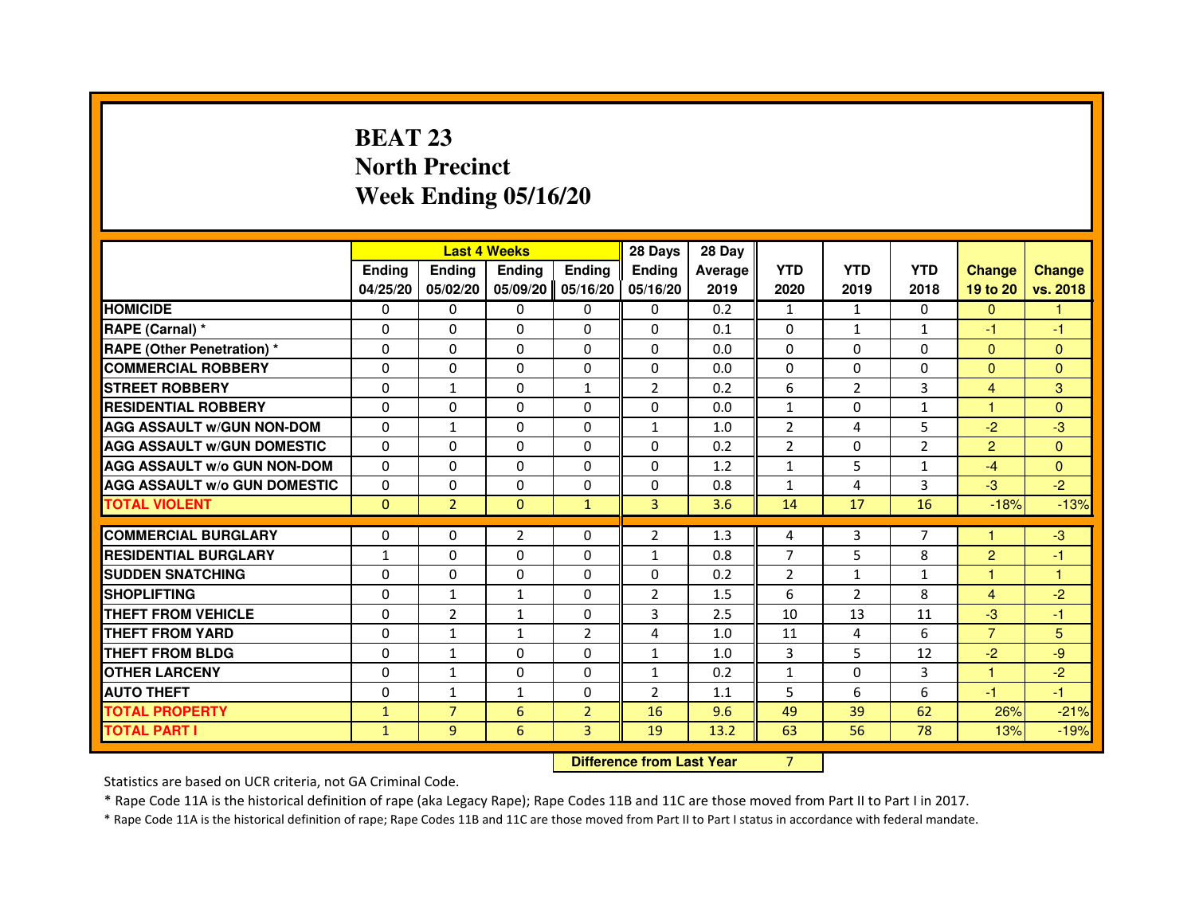# **BEAT 23 North PrecinctWeek Ending 05/16/20**

|                                     |              |                                  | <b>Last 4 Weeks</b> |                | 28 Days        | 28 Day  |                |                |                |                |               |
|-------------------------------------|--------------|----------------------------------|---------------------|----------------|----------------|---------|----------------|----------------|----------------|----------------|---------------|
|                                     | Ending       | Ending                           | Ending              | Ending         | <b>Ending</b>  | Average | <b>YTD</b>     | <b>YTD</b>     | <b>YTD</b>     | <b>Change</b>  | <b>Change</b> |
|                                     | 04/25/20     | 05/02/20                         | 05/09/20            | 05/16/20       | 05/16/20       | 2019    | 2020           | 2019           | 2018           | 19 to 20       | vs. 2018      |
| <b>HOMICIDE</b>                     | 0            | 0                                | $\Omega$            | $\Omega$       | 0              | 0.2     | $\mathbf{1}$   | $\mathbf{1}$   | $\Omega$       | $\mathbf{0}$   | $\mathbf{1}$  |
| RAPE (Carnal) *                     | 0            | $\Omega$                         | 0                   | $\Omega$       | $\Omega$       | 0.1     | $\Omega$       | $\mathbf{1}$   | $\mathbf{1}$   | $-1$           | $-1$          |
| <b>RAPE (Other Penetration) *</b>   | $\Omega$     | $\Omega$                         | $\Omega$            | $\Omega$       | $\Omega$       | 0.0     | $\Omega$       | $\Omega$       | $\Omega$       | $\Omega$       | $\Omega$      |
| <b>COMMERCIAL ROBBERY</b>           | $\Omega$     | $\Omega$                         | $\Omega$            | $\Omega$       | $\Omega$       | 0.0     | $\Omega$       | $\Omega$       | $\Omega$       | $\Omega$       | $\mathbf{0}$  |
| <b>STREET ROBBERY</b>               | $\Omega$     | $\mathbf{1}$                     | $\Omega$            | $\mathbf{1}$   | $\overline{2}$ | 0.2     | 6              | $\overline{2}$ | 3              | $\overline{4}$ | 3             |
| <b>RESIDENTIAL ROBBERY</b>          | 0            | 0                                | 0                   | 0              | 0              | 0.0     | $\mathbf{1}$   | 0              | 1              | 1              | $\mathbf{0}$  |
| <b>AGG ASSAULT W/GUN NON-DOM</b>    | $\Omega$     | $\mathbf{1}$                     | 0                   | $\Omega$       | $\mathbf{1}$   | 1.0     | $\overline{2}$ | 4              | 5              | $-2$           | $-3$          |
| <b>AGG ASSAULT W/GUN DOMESTIC</b>   | $\Omega$     | $\Omega$                         | $\Omega$            | $\Omega$       | $\Omega$       | 0.2     | $\overline{2}$ | $\Omega$       | $\overline{2}$ | $\overline{2}$ | $\Omega$      |
| <b>AGG ASSAULT W/o GUN NON-DOM</b>  | $\Omega$     | $\Omega$                         | $\Omega$            | $\Omega$       | $\Omega$       | 1.2     | $\mathbf{1}$   | 5              | $\mathbf{1}$   | $-4$           | $\Omega$      |
| <b>AGG ASSAULT W/o GUN DOMESTIC</b> | $\Omega$     | 0                                | $\Omega$            | $\Omega$       | 0              | 0.8     | $\mathbf{1}$   | 4              | 3              | $-3$           | $-2$          |
| <b>TOTAL VIOLENT</b>                | $\mathbf{0}$ | $\overline{2}$                   | $\Omega$            | $\mathbf{1}$   | 3              | 3.6     | 14             | 17             | 16             | $-18%$         | $-13%$        |
| <b>COMMERCIAL BURGLARY</b>          | $\Omega$     | $\Omega$                         | $\overline{2}$      | $\Omega$       | $\overline{2}$ | 1.3     | 4              | 3              | 7              | 1              | $-3$          |
| <b>RESIDENTIAL BURGLARY</b>         | $\mathbf{1}$ | $\Omega$                         | $\Omega$            | $\Omega$       | $\mathbf{1}$   | 0.8     | $\overline{7}$ | 5              | 8              | $\overline{2}$ | $-1$          |
| <b>SUDDEN SNATCHING</b>             | $\Omega$     | $\Omega$                         | $\Omega$            | $\Omega$       | $\Omega$       | 0.2     | $\overline{2}$ | $\mathbf{1}$   | $\mathbf{1}$   | $\mathbf{1}$   | $\mathbf{1}$  |
| <b>SHOPLIFTING</b>                  | $\Omega$     | $\mathbf{1}$                     | 1                   | $\Omega$       | $\overline{2}$ | 1.5     | 6              | $\overline{2}$ | 8              | $\overline{4}$ | $-2$          |
| THEFT FROM VEHICLE                  | 0            | $\overline{2}$                   | $\mathbf{1}$        | $\Omega$       | 3              | 2.5     | 10             | 13             | 11             | $-3$           | $-1$          |
| <b>THEFT FROM YARD</b>              | $\Omega$     | $\mathbf{1}$                     | $\mathbf{1}$        | $\overline{2}$ | 4              | 1.0     | 11             | 4              | 6              | $\overline{7}$ | 5             |
| <b>THEFT FROM BLDG</b>              | $\Omega$     | $\mathbf{1}$                     | $\Omega$            | $\Omega$       | $\mathbf{1}$   | 1.0     | $\overline{3}$ | 5              | 12             | $-2$           | $-9$          |
| <b>OTHER LARCENY</b>                | 0            | 1                                | 0                   | 0              | $\mathbf{1}$   | 0.2     | $\mathbf{1}$   | 0              | 3              | 1              | $-2$          |
| <b>AUTO THEFT</b>                   | $\Omega$     | $\mathbf{1}$                     | $\mathbf{1}$        | 0              | $\overline{2}$ | 1.1     | 5              | 6              | 6              | $-1$           | $-1$          |
| <b>TOTAL PROPERTY</b>               | $\mathbf{1}$ | $\overline{7}$                   | 6                   | $\overline{2}$ | 16             | 9.6     | 49             | 39             | 62             | 26%            | $-21%$        |
| <b>TOTAL PART I</b>                 | $\mathbf{1}$ | 9                                | 6                   | 3              | 19             | 13.2    | 63             | 56             | 78             | 13%            | $-19%$        |
|                                     |              | <b>Difference from Last Year</b> |                     | $\overline{7}$ |                |         |                |                |                |                |               |

 **Difference from Last Year**

Statistics are based on UCR criteria, not GA Criminal Code.

\* Rape Code 11A is the historical definition of rape (aka Legacy Rape); Rape Codes 11B and 11C are those moved from Part II to Part I in 2017.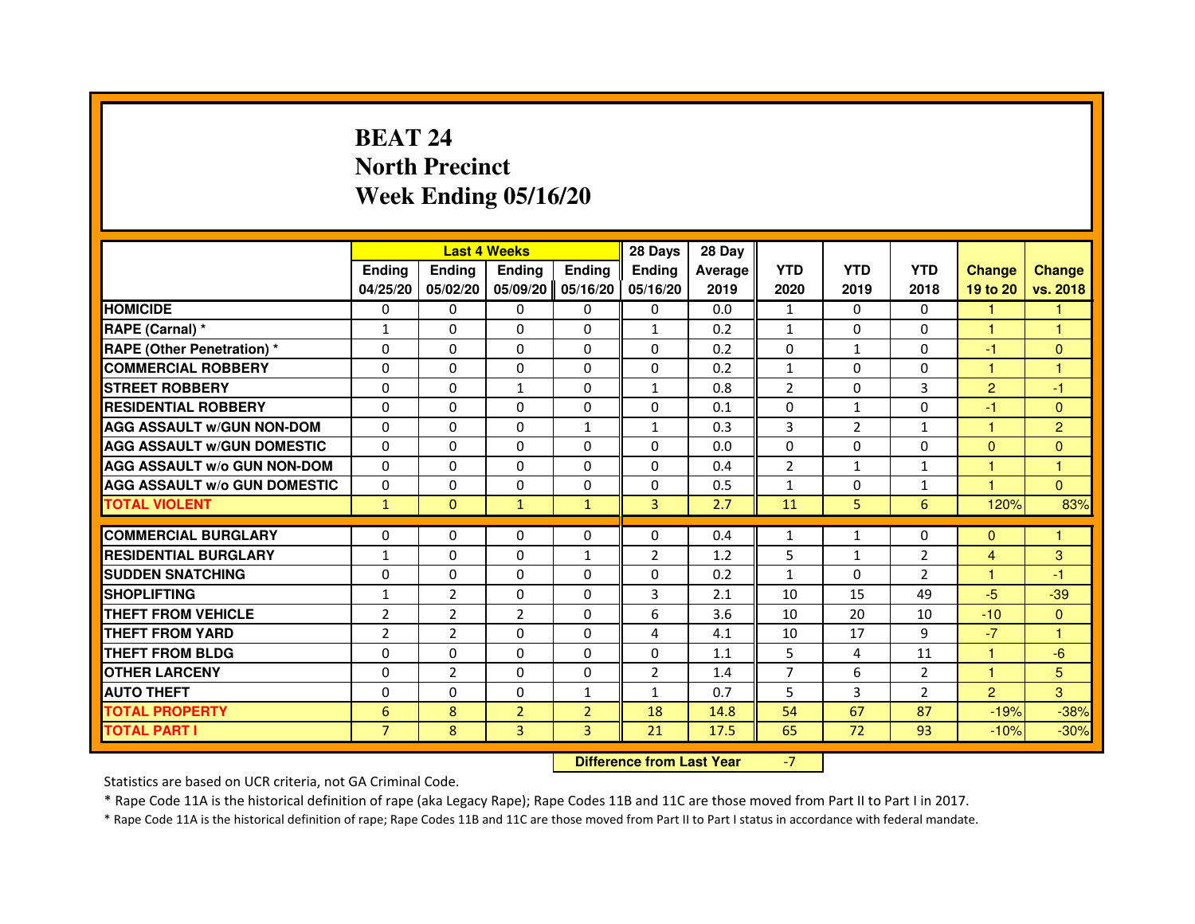# **BEAT 24 North PrecinctWeek Ending 05/16/20**

|                                     |                |                                  | <b>Last 4 Weeks</b> |                | 28 Days        | 28 Day  |                |                |                |                |                |
|-------------------------------------|----------------|----------------------------------|---------------------|----------------|----------------|---------|----------------|----------------|----------------|----------------|----------------|
|                                     | <b>Ending</b>  | Ending                           | <b>Ending</b>       | <b>Ending</b>  | <b>Ending</b>  | Average | <b>YTD</b>     | <b>YTD</b>     | <b>YTD</b>     | <b>Change</b>  | <b>Change</b>  |
|                                     | 04/25/20       | 05/02/20                         | 05/09/20            | 05/16/20       | 05/16/20       | 2019    | 2020           | 2019           | 2018           | 19 to 20       | vs. 2018       |
| <b>HOMICIDE</b>                     | 0              | $\Omega$                         | $\Omega$            | $\Omega$       | 0              | 0.0     | $\mathbf{1}$   | 0              | $\Omega$       | $\mathbf{1}$   | 1.             |
| RAPE (Carnal) *                     | 1              | 0                                | 0                   | 0              | $\mathbf{1}$   | 0.2     | $\mathbf{1}$   | 0              | 0              | 1              | 1              |
| RAPE (Other Penetration) *          | $\Omega$       | 0                                | $\Omega$            | $\Omega$       | $\Omega$       | 0.2     | $\Omega$       | $\mathbf{1}$   | $\Omega$       | $-1$           | $\mathbf{0}$   |
| <b>COMMERCIAL ROBBERY</b>           | $\Omega$       | $\Omega$                         | $\Omega$            | $\Omega$       | 0              | 0.2     | $\mathbf{1}$   | $\Omega$       | $\Omega$       | $\mathbf{1}$   | $\mathbf{1}$   |
| <b>STREET ROBBERY</b>               | $\Omega$       | $\Omega$                         | $\mathbf{1}$        | $\Omega$       | $\mathbf{1}$   | 0.8     | $\overline{2}$ | $\Omega$       | 3              | $\overline{2}$ | $-1$           |
| <b>RESIDENTIAL ROBBERY</b>          | 0              | 0                                | $\Omega$            | 0              | 0              | 0.1     | 0              | $\mathbf{1}$   | $\Omega$       | $-1$           | $\mathbf{0}$   |
| <b>AGG ASSAULT W/GUN NON-DOM</b>    | $\Omega$       | $\Omega$                         | $\Omega$            | $\mathbf{1}$   | $\mathbf{1}$   | 0.3     | $\overline{3}$ | $\overline{2}$ | $\mathbf{1}$   | 1              | $\overline{2}$ |
| <b>AGG ASSAULT W/GUN DOMESTIC</b>   | $\Omega$       | $\Omega$                         | $\Omega$            | $\Omega$       | $\Omega$       | 0.0     | $\Omega$       | $\Omega$       | $\Omega$       | $\Omega$       | $\Omega$       |
| <b>AGG ASSAULT W/o GUN NON-DOM</b>  | $\Omega$       | $\Omega$                         | $\Omega$            | $\Omega$       | $\Omega$       | 0.4     | $\overline{2}$ | $\mathbf{1}$   | $\mathbf{1}$   | $\mathbf{1}$   | $\mathbf{1}$   |
| <b>AGG ASSAULT W/o GUN DOMESTIC</b> | $\Omega$       | $\Omega$                         | 0                   | $\Omega$       | $\Omega$       | 0.5     | $\mathbf{1}$   | $\Omega$       | $\mathbf{1}$   | 1              | $\Omega$       |
| <b>TOTAL VIOLENT</b>                | $\mathbf{1}$   | $\mathbf{0}$                     | $\mathbf{1}$        | $\mathbf{1}$   | 3              | 2.7     | 11             | 5              | 6              | 120%           | 83%            |
| <b>COMMERCIAL BURGLARY</b>          | 0              | 0                                | 0                   | 0              | 0              | 0.4     | $\mathbf{1}$   | $\mathbf{1}$   | 0              | $\Omega$       | 1              |
| <b>RESIDENTIAL BURGLARY</b>         | 1              | $\Omega$                         | $\Omega$            | 1              | $\overline{2}$ | 1.2     | 5              | $\mathbf{1}$   | 2              | 4              | 3              |
| <b>SUDDEN SNATCHING</b>             | $\Omega$       | $\Omega$                         | $\Omega$            | $\Omega$       | $\Omega$       | 0.2     | $\mathbf{1}$   | $\Omega$       | $\overline{2}$ | $\mathbf{1}$   | $-1$           |
| <b>SHOPLIFTING</b>                  | 1              | $\overline{2}$                   | 0                   | 0              | 3              | 2.1     | 10             | 15             | 49             | $-5$           | $-39$          |
| THEFT FROM VEHICLE                  | $\overline{2}$ | $\overline{2}$                   | $\overline{2}$      | $\Omega$       | 6              | 3.6     | 10             | 20             | 10             | $-10$          | $\mathbf{0}$   |
| <b>THEFT FROM YARD</b>              | $\overline{2}$ | $\overline{2}$                   | $\Omega$            | $\Omega$       | 4              | 4.1     | 10             | 17             | 9              | $-7$           | $\mathbf{1}$   |
| <b>THEFT FROM BLDG</b>              | $\Omega$       | $\Omega$                         | $\Omega$            | $\Omega$       | $\Omega$       | 1.1     | 5              | 4              | 11             | $\mathbf{1}$   | $-6$           |
| <b>OTHER LARCENY</b>                | 0              | $\overline{2}$                   | 0                   | $\Omega$       | $\overline{2}$ | 1.4     | $\overline{7}$ | 6              | $\overline{2}$ | 1              | 5              |
| <b>AUTO THEFT</b>                   | $\Omega$       | $\Omega$                         | $\Omega$            | $\mathbf{1}$   | $\mathbf{1}$   | 0.7     | 5              | 3              | $\overline{2}$ | 2              | 3              |
| <b>TOTAL PROPERTY</b>               | 6              | 8                                | $\overline{2}$      | $\overline{2}$ | 18             | 14.8    | 54             | 67             | 87             | $-19%$         | $-38%$         |
| <b>TOTAL PART I</b>                 | $\overline{7}$ | 8                                | 3                   | 3              | 21             | 17.5    | 65             | 72             | 93             | $-10%$         | $-30%$         |
|                                     |                | <b>Difference from Last Year</b> |                     | $-7$           |                |         |                |                |                |                |                |

 **Difference from Last Year**

Statistics are based on UCR criteria, not GA Criminal Code.

\* Rape Code 11A is the historical definition of rape (aka Legacy Rape); Rape Codes 11B and 11C are those moved from Part II to Part I in 2017.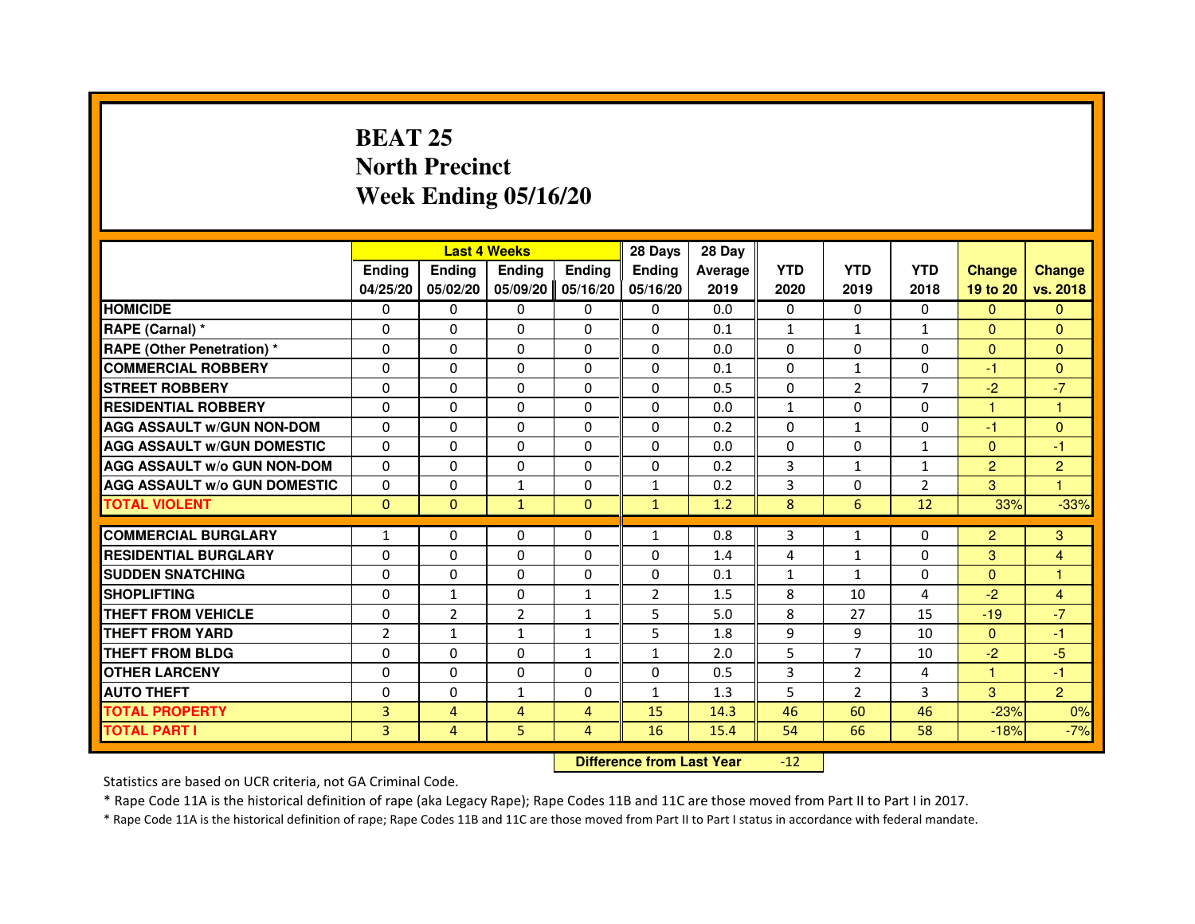### **BEAT 25 North PrecinctWeek Ending 05/16/20**

|                                     |                |                | <b>Last 4 Weeks</b> |               | 28 Days        | 28 Day  |              |                |                |                      |                |
|-------------------------------------|----------------|----------------|---------------------|---------------|----------------|---------|--------------|----------------|----------------|----------------------|----------------|
|                                     | <b>Endina</b>  | Ending         | <b>Endina</b>       | <b>Endina</b> | <b>Endina</b>  | Average | <b>YTD</b>   | <b>YTD</b>     | <b>YTD</b>     | <b>Change</b>        | <b>Change</b>  |
|                                     | 04/25/20       | 05/02/20       | 05/09/20            | 05/16/20      | 05/16/20       | 2019    | 2020         | 2019           | 2018           | 19 to 20             | vs. 2018       |
| <b>HOMICIDE</b>                     | 0              | $\Omega$       | $\Omega$            | 0             | 0              | 0.0     | 0            | 0              | $\Omega$       | $\Omega$             | $\Omega$       |
| RAPE (Carnal) *                     | $\Omega$       | $\Omega$       | $\Omega$            | $\Omega$      | $\Omega$       | 0.1     | $\mathbf{1}$ | $\mathbf{1}$   | $\mathbf{1}$   | $\Omega$             | $\Omega$       |
| <b>RAPE (Other Penetration) *</b>   | $\Omega$       | $\Omega$       | $\Omega$            | $\Omega$      | $\Omega$       | 0.0     | $\Omega$     | $\Omega$       | $\Omega$       | $\Omega$             | $\Omega$       |
| <b>COMMERCIAL ROBBERY</b>           | 0              | 0              | 0                   | 0             | 0              | 0.1     | 0            | 1              | $\Omega$       | -1                   | $\overline{0}$ |
| <b>STREET ROBBERY</b>               | $\Omega$       | $\Omega$       | $\Omega$            | $\Omega$      | $\Omega$       | 0.5     | $\Omega$     | 2              | $\overline{7}$ | $-2$                 | $-7$           |
| <b>RESIDENTIAL ROBBERY</b>          | $\Omega$       | $\Omega$       | $\Omega$            | $\Omega$      | $\Omega$       | 0.0     | $\mathbf{1}$ | $\Omega$       | $\Omega$       | $\mathbf{1}$         | 1              |
| <b>AGG ASSAULT w/GUN NON-DOM</b>    | $\Omega$       | $\Omega$       | $\Omega$            | $\Omega$      | $\Omega$       | 0.2     | $\Omega$     | $\mathbf{1}$   | $\Omega$       | $-1$                 | $\Omega$       |
| <b>AGG ASSAULT W/GUN DOMESTIC</b>   | $\Omega$       | $\Omega$       | $\Omega$            | $\Omega$      | $\Omega$       | 0.0     | $\Omega$     | $\Omega$       | $\mathbf{1}$   | $\Omega$             | $-1$           |
| <b>AGG ASSAULT W/o GUN NON-DOM</b>  | 0              | 0              | $\Omega$            | 0             | $\Omega$       | 0.2     | 3            | 1              | 1              | 2                    | $\overline{2}$ |
| <b>AGG ASSAULT W/o GUN DOMESTIC</b> | $\Omega$       | 0              | $\mathbf{1}$        | 0             | $\mathbf{1}$   | 0.2     | 3            | 0              | $\overline{2}$ | 3                    | 1              |
| <b>TOTAL VIOLENT</b>                | $\Omega$       | $\Omega$       | $\mathbf{1}$        | $\Omega$      | $\mathbf{1}$   | 1.2     | 8            | 6              | 12             | 33%                  | $-33%$         |
|                                     |                |                |                     |               |                |         |              |                |                |                      |                |
| <b>COMMERCIAL BURGLARY</b>          | 1              | 0              | 0                   | $\mathbf{0}$  | $\mathbf{1}$   | 0.8     | 3            | $\mathbf{1}$   | 0              | 2                    | 3              |
| <b>RESIDENTIAL BURGLARY</b>         | 0              | 0              | 0                   | 0             | 0              | 1.4     | 4            | 1              | 0              | 3                    | 4              |
| <b>SUDDEN SNATCHING</b>             | $\Omega$       | $\Omega$       | $\Omega$            | $\Omega$      | $\Omega$       | 0.1     | $\mathbf{1}$ | $\mathbf{1}$   | $\Omega$       | $\Omega$             | $\mathbf{1}$   |
| <b>SHOPLIFTING</b>                  | $\Omega$       | 1              | 0                   | $\mathbf{1}$  | $\overline{2}$ | 1.5     | 8            | 10             | 4              | $-2$                 | 4              |
| <b>THEFT FROM VEHICLE</b>           | 0              | $\overline{2}$ | $\overline{2}$      | $\mathbf{1}$  | 5              | 5.0     | 8            | 27             | 15             | $-19$                | $-7$           |
| <b>THEFT FROM YARD</b>              | $\overline{2}$ | $\mathbf{1}$   | $\mathbf{1}$        | $\mathbf{1}$  | 5              | 1.8     | 9            | 9              | 10             | $\Omega$             | $-1$           |
| <b>THEFT FROM BLDG</b>              | $\Omega$       | $\Omega$       | $\Omega$            | 1             | 1              | 2.0     | 5            | $\overline{7}$ | 10             | $-2$                 | $-5$           |
| <b>OTHER LARCENY</b>                | $\Omega$       | $\Omega$       | 0                   | $\Omega$      | 0              | 0.5     | 3            | $\overline{2}$ | 4              | $\blacktriangleleft$ | $-1$           |
| <b>AUTO THEFT</b>                   | 0              | 0              | $\mathbf{1}$        | 0             | $\mathbf{1}$   | 1.3     | 5            | $\overline{2}$ | 3              | 3                    | $\overline{2}$ |
| <b>TOTAL PROPERTY</b>               | 3              | $\overline{4}$ | 4                   | 4             | 15             | 14.3    | 46           | 60             | 46             | $-23%$               | 0%             |
| <b>TOTAL PART I</b>                 | 3              | $\overline{4}$ | 5                   | 4             | 16             | 15.4    | 54           | 66             | 58             | $-18%$               | $-7%$          |

 **Difference from Last Year**-12

Statistics are based on UCR criteria, not GA Criminal Code.

\* Rape Code 11A is the historical definition of rape (aka Legacy Rape); Rape Codes 11B and 11C are those moved from Part II to Part I in 2017.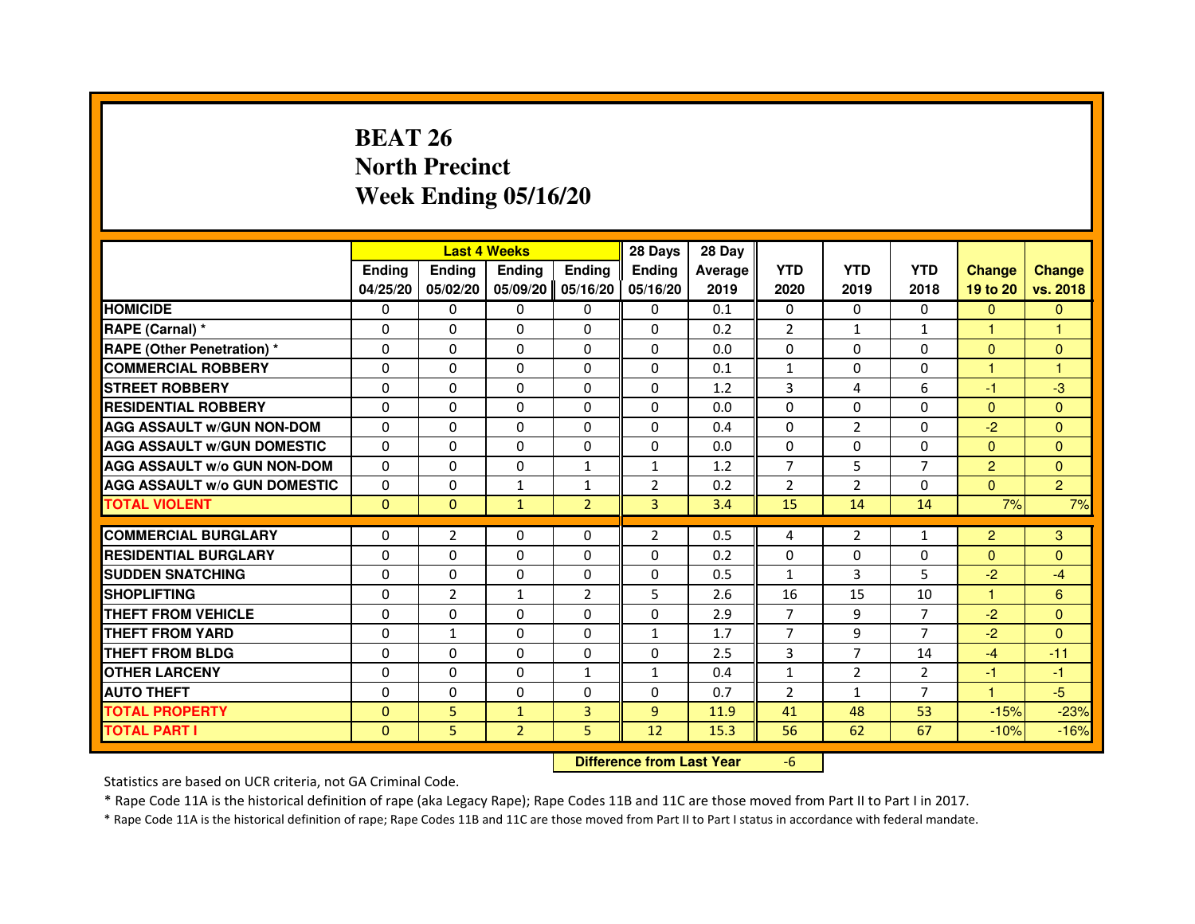# **BEAT 26 North PrecinctWeek Ending 05/16/20**

|                                     |               |                                  | <b>Last 4 Weeks</b> |                | 28 Days        | 28 Day  |                |                |                |                |                |
|-------------------------------------|---------------|----------------------------------|---------------------|----------------|----------------|---------|----------------|----------------|----------------|----------------|----------------|
|                                     | <b>Ending</b> | <b>Ending</b>                    | Ending              | <b>Ending</b>  | <b>Ending</b>  | Average | <b>YTD</b>     | <b>YTD</b>     | <b>YTD</b>     | <b>Change</b>  | <b>Change</b>  |
|                                     | 04/25/20      | 05/02/20                         | 05/09/20            | 05/16/20       | 05/16/20       | 2019    | 2020           | 2019           | 2018           | 19 to 20       | vs. 2018       |
| <b>HOMICIDE</b>                     | 0             | $\Omega$                         | $\mathbf{0}$        | $\mathbf{0}$   | $\mathbf{0}$   | 0.1     | $\Omega$       | $\Omega$       | $\Omega$       | $\mathbf{0}$   | $\mathbf{0}$   |
| RAPE (Carnal) *                     | 0             | $\Omega$                         | 0                   | $\Omega$       | $\Omega$       | 0.2     | $\overline{2}$ | $\mathbf{1}$   | $\mathbf{1}$   | 1              | 1              |
| RAPE (Other Penetration) *          | $\Omega$      | $\Omega$                         | $\Omega$            | $\Omega$       | $\Omega$       | 0.0     | $\Omega$       | $\Omega$       | $\Omega$       | $\Omega$       | $\mathbf{0}$   |
| <b>COMMERCIAL ROBBERY</b>           | 0             | $\Omega$                         | $\Omega$            | $\Omega$       | 0              | 0.1     | $\mathbf{1}$   | $\Omega$       | $\Omega$       | $\mathbf{1}$   | $\mathbf{1}$   |
| <b>STREET ROBBERY</b>               | $\Omega$      | $\Omega$                         | 0                   | $\Omega$       | $\Omega$       | 1.2     | 3              | 4              | 6              | $-1$           | $-3$           |
| <b>RESIDENTIAL ROBBERY</b>          | $\Omega$      | $\Omega$                         | 0                   | $\Omega$       | $\Omega$       | 0.0     | $\Omega$       | $\Omega$       | $\Omega$       | $\Omega$       | $\Omega$       |
| <b>AGG ASSAULT w/GUN NON-DOM</b>    | $\Omega$      | $\Omega$                         | $\Omega$            | $\Omega$       | $\Omega$       | 0.4     | $\Omega$       | $\overline{2}$ | $\Omega$       | $-2$           | $\Omega$       |
| <b>AGG ASSAULT W/GUN DOMESTIC</b>   | $\Omega$      | $\Omega$                         | $\Omega$            | $\Omega$       | $\Omega$       | 0.0     | $\Omega$       | $\Omega$       | $\Omega$       | $\Omega$       | $\Omega$       |
| <b>AGG ASSAULT W/o GUN NON-DOM</b>  | 0             | 0                                | 0                   | 1              | $\mathbf{1}$   | 1.2     | 7              | 5              | 7              | 2              | $\mathbf{0}$   |
| <b>AGG ASSAULT W/o GUN DOMESTIC</b> | $\Omega$      | 0                                | $\mathbf{1}$        | $\mathbf{1}$   | $\overline{2}$ | 0.2     | $\overline{2}$ | $\overline{2}$ | $\Omega$       | $\Omega$       | $\overline{2}$ |
| <b>TOTAL VIOLENT</b>                | $\mathbf 0$   | $\mathbf{0}$                     | $\mathbf{1}$        | $\overline{2}$ | 3              | 3.4     | 15             | 14             | 14             | 7%             | 7%             |
| <b>COMMERCIAL BURGLARY</b>          | $\Omega$      | $\overline{2}$                   | 0                   | $\Omega$       | $\overline{2}$ | 0.5     | 4              | $\overline{2}$ | $\mathbf{1}$   | $\overline{2}$ | 3              |
| <b>RESIDENTIAL BURGLARY</b>         | $\Omega$      | $\Omega$                         | $\Omega$            | $\Omega$       | $\Omega$       | 0.2     | $\Omega$       | $\Omega$       | $\Omega$       | $\Omega$       | $\Omega$       |
| <b>SUDDEN SNATCHING</b>             | $\Omega$      | $\Omega$                         | $\Omega$            | $\Omega$       | $\Omega$       | 0.5     | $\mathbf{1}$   | 3              | 5              | $-2$           | $-4$           |
| <b>SHOPLIFTING</b>                  | 0             | $\overline{2}$                   | 1                   | $\overline{2}$ | 5              | 2.6     | 16             | 15             | 10             | $\mathbf{1}$   | 6              |
| <b>THEFT FROM VEHICLE</b>           | $\Omega$      | $\Omega$                         | 0                   | $\Omega$       | $\Omega$       | 2.9     | $\overline{7}$ | 9              | $\overline{7}$ | $-2$           | $\Omega$       |
| <b>THEFT FROM YARD</b>              | 0             | $\mathbf{1}$                     | $\Omega$            | 0              | $\mathbf{1}$   | 1.7     | $\overline{7}$ | 9              | $\overline{7}$ | $-2$           | $\mathbf{0}$   |
| <b>THEFT FROM BLDG</b>              | $\Omega$      | $\Omega$                         | $\Omega$            | $\Omega$       | $\Omega$       | 2.5     | 3              | $\overline{7}$ | 14             | $-4$           | $-11$          |
| <b>OTHER LARCENY</b>                | $\Omega$      | $\Omega$                         | 0                   | $\mathbf{1}$   | $\mathbf{1}$   | 0.4     | $\mathbf{1}$   | $\overline{2}$ | $\overline{2}$ | $-1$           | $-1$           |
| <b>AUTO THEFT</b>                   | $\Omega$      | $\Omega$                         | $\Omega$            | $\Omega$       | $\Omega$       | 0.7     | $\overline{2}$ | $\mathbf{1}$   | $\overline{7}$ | $\mathbf{1}$   | $-5$           |
| <b>TOTAL PROPERTY</b>               | $\Omega$      | 5                                | $\mathbf{1}$        | 3              | $\overline{9}$ | 11.9    | 41             | 48             | 53             | $-15%$         | $-23%$         |
| <b>TOTAL PART I</b>                 | $\mathbf{0}$  | 5                                | $\overline{2}$      | 5              | 12             | 15.3    | 56             | 62             | 67             | $-10%$         | $-16%$         |
|                                     |               | <b>Difference from Last Year</b> |                     | $-6$           |                |         |                |                |                |                |                |

 **Difference from Last Year**

Statistics are based on UCR criteria, not GA Criminal Code.

\* Rape Code 11A is the historical definition of rape (aka Legacy Rape); Rape Codes 11B and 11C are those moved from Part II to Part I in 2017.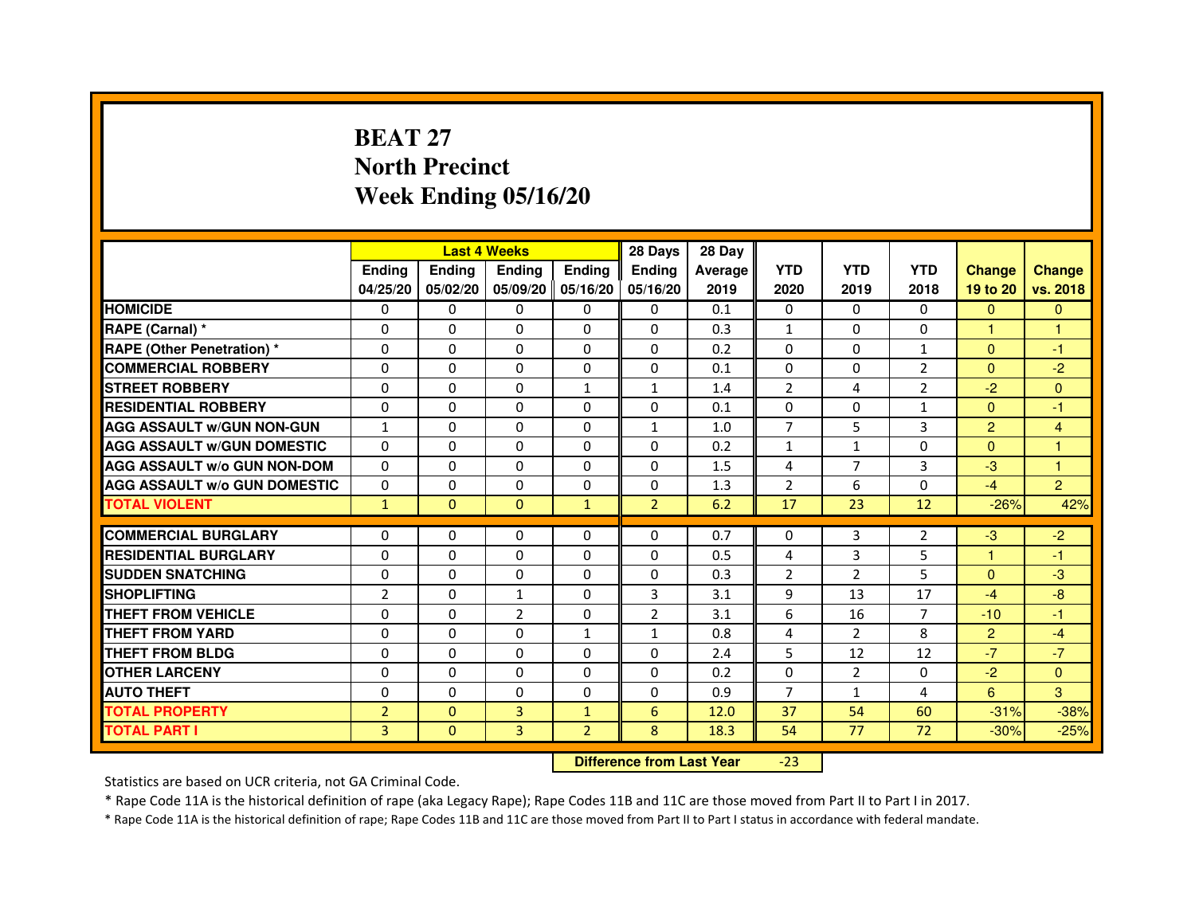# **BEAT 27 North PrecinctWeek Ending 05/16/20**

|                                     |                | <b>Last 4 Weeks</b> |                |                   | 28 Days        | 28 Day  |                |                |                |                |                |
|-------------------------------------|----------------|---------------------|----------------|-------------------|----------------|---------|----------------|----------------|----------------|----------------|----------------|
|                                     | <b>Endina</b>  | <b>Endina</b>       | <b>Endina</b>  | <b>Ending</b>     | <b>Endina</b>  | Average | <b>YTD</b>     | <b>YTD</b>     | <b>YTD</b>     | <b>Change</b>  | <b>Change</b>  |
|                                     | 04/25/20       | 05/02/20            |                | 05/09/20 05/16/20 | 05/16/20       | 2019    | 2020           | 2019           | 2018           | 19 to 20       | vs. 2018       |
| <b>HOMICIDE</b>                     | 0              | 0                   | $\mathbf{0}$   | 0                 | 0              | 0.1     | $\mathbf{0}$   | 0              | $\mathbf{0}$   | $\mathbf{0}$   | $\mathbf{0}$   |
| RAPE (Carnal) *                     | $\Omega$       | $\Omega$            | $\Omega$       | $\Omega$          | $\Omega$       | 0.3     | $\mathbf{1}$   | $\Omega$       | $\Omega$       | $\mathbf{1}$   | $\mathbf{1}$   |
| <b>RAPE (Other Penetration) *</b>   | 0              | $\Omega$            | 0              | $\mathbf{0}$      | $\Omega$       | 0.2     | $\Omega$       | $\Omega$       | $\mathbf{1}$   | $\Omega$       | $-1$           |
| <b>COMMERCIAL ROBBERY</b>           | 0              | 0                   | 0              | 0                 | 0              | 0.1     | $\Omega$       | 0              | 2              | $\Omega$       | $-2$           |
| <b>STREET ROBBERY</b>               | 0              | 0                   | 0              | 1                 | $\mathbf{1}$   | 1.4     | $\overline{2}$ | 4              | $\overline{2}$ | $-2$           | $\Omega$       |
| <b>RESIDENTIAL ROBBERY</b>          | 0              | $\Omega$            | $\Omega$       | $\Omega$          | $\Omega$       | 0.1     | $\Omega$       | $\Omega$       | 1              | $\Omega$       | $-1$           |
| <b>AGG ASSAULT W/GUN NON-GUN</b>    | $\mathbf{1}$   | $\mathbf 0$         | $\Omega$       | $\Omega$          | $\mathbf{1}$   | 1.0     | $\overline{7}$ | 5              | 3              | $\overline{2}$ | $\overline{4}$ |
| <b>AGG ASSAULT W/GUN DOMESTIC</b>   | 0              | 0                   | 0              | 0                 | $\Omega$       | 0.2     | $\mathbf{1}$   | $\mathbf{1}$   | $\Omega$       | $\Omega$       | 1              |
| <b>AGG ASSAULT W/o GUN NON-DOM</b>  | $\Omega$       | 0                   | $\Omega$       | $\Omega$          | $\Omega$       | 1.5     | 4              | 7              | 3              | $-3$           | 1              |
| <b>AGG ASSAULT W/o GUN DOMESTIC</b> | $\Omega$       | $\Omega$            | 0              | 0                 | 0              | 1.3     | $\overline{2}$ | 6              | 0              | $-4$           | $\overline{2}$ |
| <b>TOTAL VIOLENT</b>                | $\mathbf{1}$   | $\mathbf{0}$        | $\Omega$       | $\mathbf{1}$      | $\overline{2}$ | 6.2     | 17             | 23             | 12             | $-26%$         | 42%            |
|                                     |                |                     |                |                   |                |         |                |                |                |                |                |
| <b>COMMERCIAL BURGLARY</b>          | 0              | 0                   | 0              | 0                 | $\Omega$       | 0.7     | 0              | 3              | 2              | $-3$           | $-2$           |
| <b>RESIDENTIAL BURGLARY</b>         | 0              | $\Omega$            | 0              | $\Omega$          | $\Omega$       | 0.5     | 4              | 3              | 5              | 1              | $-1$           |
| <b>SUDDEN SNATCHING</b>             | 0              | 0                   | 0              | 0                 | $\Omega$       | 0.3     | $\overline{2}$ | $\overline{2}$ | 5              | $\Omega$       | -3             |
| <b>SHOPLIFTING</b>                  | $\overline{2}$ | $\mathbf 0$         | $\mathbf{1}$   | $\Omega$          | 3              | 3.1     | 9              | 13             | 17             | $-4$           | -8             |
| <b>THEFT FROM VEHICLE</b>           | 0              | $\Omega$            | $\overline{2}$ | $\Omega$          | $\overline{2}$ | 3.1     | 6              | 16             | $\overline{7}$ | $-10$          | $-1$           |
| <b>THEFT FROM YARD</b>              | $\Omega$       | $\Omega$            | $\Omega$       | $\mathbf{1}$      | $\mathbf{1}$   | 0.8     | $\overline{4}$ | 2              | 8              | $\overline{2}$ | $-4$           |
| <b>THEFT FROM BLDG</b>              | 0              | 0                   | 0              | 0                 | 0              | 2.4     | 5              | 12             | 12             | $-7$           | $-7$           |
| <b>OTHER LARCENY</b>                | 0              | 0                   | $\Omega$       | $\Omega$          | $\Omega$       | 0.2     | $\Omega$       | 2              | $\Omega$       | $-2$           | $\Omega$       |
| <b>AUTO THEFT</b>                   | $\mathbf 0$    | 0                   | $\Omega$       | $\Omega$          | $\Omega$       | 0.9     | $\overline{7}$ | $\mathbf{1}$   | 4              | 6              | 3              |
| <b>TOTAL PROPERTY</b>               | $\overline{2}$ | $\mathbf{0}$        | 3              | $\mathbf{1}$      | 6              | 12.0    | 37             | 54             | 60             | $-31%$         | $-38%$         |
| <b>TOTAL PART I</b>                 | 3              | $\overline{0}$      | 3              | $\overline{2}$    | 8              | 18.3    | 54             | 77             | 72             | $-30%$         | $-25%$         |

 **Difference from Last Year**-23

Statistics are based on UCR criteria, not GA Criminal Code.

\* Rape Code 11A is the historical definition of rape (aka Legacy Rape); Rape Codes 11B and 11C are those moved from Part II to Part I in 2017.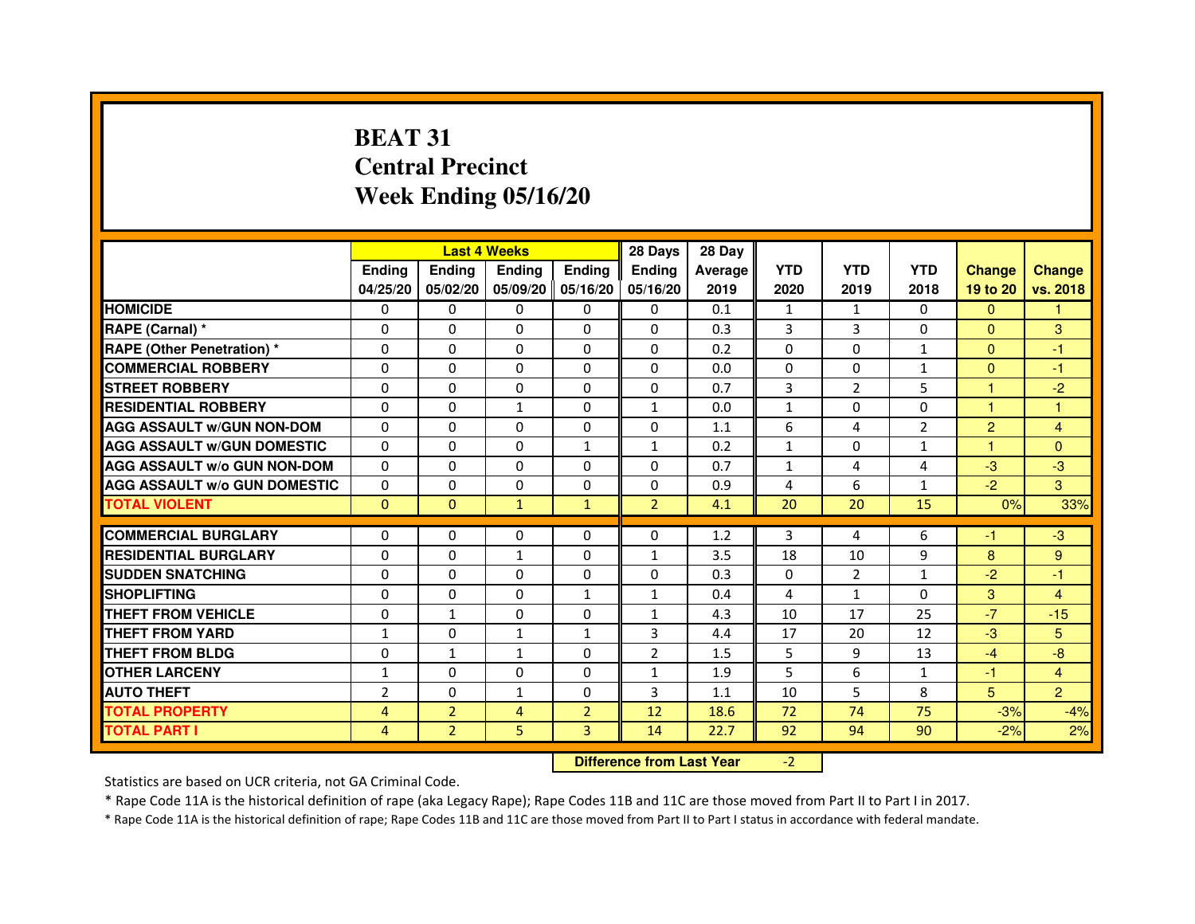# **BEAT 31 Central PrecinctWeek Ending 05/16/20**

|                                     |                | <b>Last 4 Weeks</b>              |                |                | 28 Days        | 28 Day  |              |                |                |                |                |
|-------------------------------------|----------------|----------------------------------|----------------|----------------|----------------|---------|--------------|----------------|----------------|----------------|----------------|
|                                     | <b>Ending</b>  | <b>Ending</b>                    | <b>Ending</b>  | <b>Ending</b>  | <b>Ending</b>  | Average | <b>YTD</b>   | <b>YTD</b>     | <b>YTD</b>     | <b>Change</b>  | <b>Change</b>  |
|                                     | 04/25/20       | 05/02/20                         | 05/09/20       | 05/16/20       | 05/16/20       | 2019    | 2020         | 2019           | 2018           | 19 to 20       | vs. 2018       |
| <b>HOMICIDE</b>                     | $\mathbf{0}$   | $\Omega$                         | $\Omega$       | $\Omega$       | 0              | 0.1     | $\mathbf{1}$ | $\mathbf{1}$   | 0              | $\Omega$       | 1.             |
| RAPE (Carnal) *                     | 0              | $\Omega$                         | 0              | $\Omega$       | $\mathbf{0}$   | 0.3     | 3            | 3              | $\Omega$       | $\mathbf{0}$   | 3              |
| <b>RAPE (Other Penetration) *</b>   | $\mathbf 0$    | 0                                | $\Omega$       | $\Omega$       | $\Omega$       | 0.2     | $\Omega$     | $\Omega$       | $\mathbf{1}$   | $\Omega$       | $-1$           |
| <b>COMMERCIAL ROBBERY</b>           | $\mathbf 0$    | $\Omega$                         | $\Omega$       | $\mathbf{0}$   | $\mathbf{0}$   | 0.0     | $\mathbf{0}$ | $\mathbf{0}$   | $\mathbf{1}$   | $\Omega$       | $-1$           |
| <b>STREET ROBBERY</b>               | $\Omega$       | $\Omega$                         | $\Omega$       | $\Omega$       | $\Omega$       | 0.7     | 3            | $\overline{2}$ | 5              | $\mathbf{1}$   | $-2$           |
| <b>RESIDENTIAL ROBBERY</b>          | 0              | $\Omega$                         | $\mathbf{1}$   | $\Omega$       | $\mathbf{1}$   | 0.0     | $\mathbf{1}$ | $\Omega$       | $\Omega$       | 1              | 1              |
| <b>AGG ASSAULT W/GUN NON-DOM</b>    | $\Omega$       | 0                                | $\Omega$       | $\Omega$       | $\Omega$       | 1.1     | 6            | $\overline{4}$ | $\overline{2}$ | $\overline{2}$ | 4              |
| <b>AGG ASSAULT W/GUN DOMESTIC</b>   | $\Omega$       | $\Omega$                         | $\Omega$       | $\mathbf{1}$   | $\mathbf{1}$   | 0.2     | $\mathbf{1}$ | $\Omega$       | $\mathbf{1}$   | $\mathbf{1}$   | $\Omega$       |
| <b>AGG ASSAULT W/o GUN NON-DOM</b>  | $\Omega$       | 0                                | 0              | $\mathbf{0}$   | 0              | 0.7     | $\mathbf{1}$ | 4              | 4              | $-3$           | $-3$           |
| <b>AGG ASSAULT W/o GUN DOMESTIC</b> | $\Omega$       | 0                                | 0              | $\Omega$       | 0              | 0.9     | 4            | 6              | $\mathbf{1}$   | $-2$           | 3              |
| <b>TOTAL VIOLENT</b>                | $\mathbf{0}$   | $\mathbf{0}$                     | $\mathbf{1}$   | $\mathbf{1}$   | $\overline{2}$ | 4.1     | 20           | 20             | 15             | 0%             | 33%            |
| <b>COMMERCIAL BURGLARY</b>          | 0              | 0                                | 0              | 0              | 0              | 1.2     | 3            | 4              | 6              | -1             | $-3$           |
| <b>RESIDENTIAL BURGLARY</b>         | $\Omega$       | $\Omega$                         | $\mathbf{1}$   | $\mathbf{0}$   | $\mathbf{1}$   | 3.5     | 18           | 10             | 9              | 8              | 9              |
| <b>SUDDEN SNATCHING</b>             | $\Omega$       | $\Omega$                         | $\Omega$       | $\Omega$       | $\Omega$       | 0.3     | $\Omega$     | $\overline{2}$ | $\mathbf{1}$   | $-2$           | $-1$           |
| <b>SHOPLIFTING</b>                  |                |                                  |                |                |                |         |              |                |                |                |                |
| THEFT FROM VEHICLE                  | 0              | 0                                | 0              | 1              | $\mathbf{1}$   | 0.4     | 4            | $\mathbf{1}$   | $\Omega$       | 3              | $\overline{4}$ |
|                                     | 0              | $\mathbf{1}$                     | 0              | $\mathbf{0}$   | $\mathbf{1}$   | 4.3     | 10           | 17             | 25             | $-7$           | $-15$          |
| <b>THEFT FROM YARD</b>              | $\mathbf{1}$   | $\mathbf 0$                      | $\mathbf{1}$   | $\mathbf{1}$   | 3              | 4.4     | 17           | 20             | 12             | $-3$           | 5 <sup>5</sup> |
| <b>THEFT FROM BLDG</b>              | 0              | $\mathbf{1}$                     | $\mathbf{1}$   | $\Omega$       | $\overline{2}$ | 1.5     | 5            | 9              | 13             | $-4$           | $-8$           |
| <b>OTHER LARCENY</b>                | $\mathbf{1}$   | $\Omega$                         | 0              | $\Omega$       | $\mathbf{1}$   | 1.9     | 5            | 6              | $\mathbf{1}$   | $-1$           | $\overline{4}$ |
| <b>AUTO THEFT</b>                   | $\overline{2}$ | $\Omega$                         | $\mathbf{1}$   | $\Omega$       | 3              | 1.1     | 10           | 5              | 8              | 5              | $\overline{2}$ |
| <b>TOTAL PROPERTY</b>               | $\overline{4}$ | $\overline{2}$                   | $\overline{4}$ | $\overline{2}$ | 12             | 18.6    | 72           | 74             | 75             | $-3%$          | $-4%$          |
| <b>TOTAL PART I</b>                 | 4              | $\overline{2}$                   | 5              | 3              | 14             | 22.7    | 92           | 94             | 90             | $-2%$          | 2%             |
|                                     |                | <b>Difference from Last Year</b> |                | $-2$           |                |         |              |                |                |                |                |

 **Difference from Last Year**

Statistics are based on UCR criteria, not GA Criminal Code.

\* Rape Code 11A is the historical definition of rape (aka Legacy Rape); Rape Codes 11B and 11C are those moved from Part II to Part I in 2017.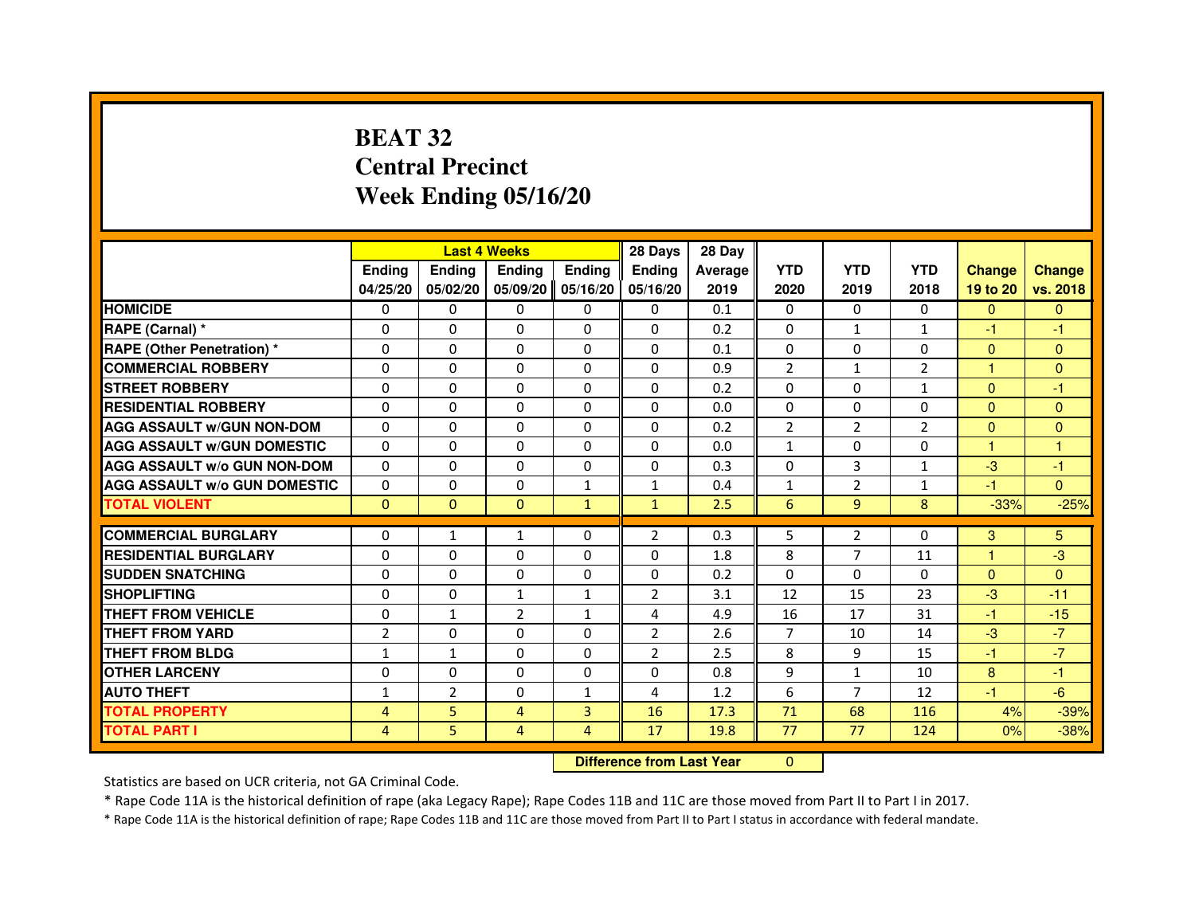# **BEAT 32 Central PrecinctWeek Ending 05/16/20**

|                                     |                |                                  | <b>Last 4 Weeks</b> |               | 28 Days        | 28 Day  |                |                |                |               |                |
|-------------------------------------|----------------|----------------------------------|---------------------|---------------|----------------|---------|----------------|----------------|----------------|---------------|----------------|
|                                     | <b>Ending</b>  | <b>Ending</b>                    | <b>Ending</b>       | <b>Ending</b> | <b>Ending</b>  | Average | <b>YTD</b>     | <b>YTD</b>     | <b>YTD</b>     | <b>Change</b> | <b>Change</b>  |
|                                     | 04/25/20       | 05/02/20                         | 05/09/20            | 05/16/20      | 05/16/20       | 2019    | 2020           | 2019           | 2018           | 19 to 20      | vs. 2018       |
| <b>HOMICIDE</b>                     | 0              | 0                                | $\mathbf{0}$        | 0             | 0              | 0.1     | $\mathbf{0}$   | 0              | 0              | $\Omega$      | $\mathbf{0}$   |
| RAPE (Carnal) *                     | 0              | 0                                | 0                   | 0             | 0              | 0.2     | 0              | 1              | $\mathbf{1}$   | $-1$          | -1             |
| <b>RAPE (Other Penetration) *</b>   | $\Omega$       | $\Omega$                         | $\Omega$            | $\Omega$      | $\Omega$       | 0.1     | $\Omega$       | $\Omega$       | $\Omega$       | $\Omega$      | $\overline{0}$ |
| <b>COMMERCIAL ROBBERY</b>           | 0              | $\Omega$                         | $\Omega$            | $\Omega$      | 0              | 0.9     | $\overline{2}$ | $\mathbf{1}$   | $\overline{2}$ | $\mathbf{1}$  | $\mathbf{0}$   |
| <b>STREET ROBBERY</b>               | $\Omega$       | $\Omega$                         | $\Omega$            | $\Omega$      | $\Omega$       | 0.2     | $\Omega$       | $\Omega$       | $\mathbf{1}$   | $\mathbf{0}$  | -1             |
| <b>RESIDENTIAL ROBBERY</b>          | 0              | 0                                | 0                   | 0             | $\mathbf{0}$   | 0.0     | 0              | 0              | $\mathbf{0}$   | $\Omega$      | $\mathbf{0}$   |
| <b>AGG ASSAULT W/GUN NON-DOM</b>    | $\Omega$       | $\Omega$                         | 0                   | $\Omega$      | $\Omega$       | 0.2     | $\overline{2}$ | $\overline{2}$ | $\overline{2}$ | $\mathbf{0}$  | $\Omega$       |
| <b>AGG ASSAULT W/GUN DOMESTIC</b>   | $\Omega$       | $\Omega$                         | 0                   | $\Omega$      | $\Omega$       | 0.0     | $\mathbf{1}$   | $\Omega$       | $\Omega$       | $\mathbf{1}$  | $\mathbf{1}$   |
| <b>AGG ASSAULT W/o GUN NON-DOM</b>  | $\Omega$       | $\Omega$                         | $\Omega$            | $\Omega$      | $\Omega$       | 0.3     | $\Omega$       | 3              | $\mathbf{1}$   | $-3$          | -1             |
| <b>AGG ASSAULT W/o GUN DOMESTIC</b> | 0              | 0                                | 0                   | 1             | $\mathbf{1}$   | 0.4     | $\mathbf{1}$   | $\overline{2}$ | $\mathbf{1}$   | -1            | $\Omega$       |
| <b>TOTAL VIOLENT</b>                | $\mathbf{0}$   | $\mathbf{0}$                     | $\mathbf{0}$        | $\mathbf{1}$  | $\mathbf{1}$   | 2.5     | 6              | 9              | 8              | $-33%$        | $-25%$         |
| <b>COMMERCIAL BURGLARY</b>          | 0              | 1                                | 1                   | 0             | $\overline{2}$ | 0.3     | 5              | $\overline{2}$ | 0              | 3             | 5              |
| <b>RESIDENTIAL BURGLARY</b>         | $\Omega$       | $\Omega$                         | 0                   | $\Omega$      | 0              | 1.8     | 8              | $\overline{7}$ | 11             | $\mathbf{1}$  | -3             |
| <b>SUDDEN SNATCHING</b>             | $\Omega$       | $\Omega$                         | $\Omega$            | $\Omega$      | $\Omega$       | 0.2     | $\Omega$       | $\Omega$       | $\Omega$       | $\Omega$      | $\Omega$       |
| <b>SHOPLIFTING</b>                  | 0              | $\mathbf{0}$                     | $\mathbf{1}$        | $\mathbf{1}$  | 2              | 3.1     | 12             | 15             | 23             | $-3$          | $-11$          |
| THEFT FROM VEHICLE                  | 0              | $\mathbf{1}$                     | $\overline{2}$      | $\mathbf{1}$  | 4              | 4.9     | 16             | 17             | 31             | $-1$          | $-15$          |
| <b>THEFT FROM YARD</b>              | $\overline{2}$ | $\Omega$                         | 0                   | $\Omega$      | $\overline{2}$ | 2.6     | $\overline{7}$ | 10             | 14             | $-3$          | $-7$           |
| <b>THEFT FROM BLDG</b>              | $\mathbf{1}$   | $\mathbf{1}$                     | $\Omega$            | $\Omega$      | $\overline{2}$ | 2.5     | 8              | 9              | 15             | $-1$          | $-7$           |
| <b>OTHER LARCENY</b>                | $\Omega$       | $\Omega$                         | 0                   | $\Omega$      | $\Omega$       | 0.8     | 9              | $\mathbf{1}$   | 10             | 8             | $-1$           |
| <b>AUTO THEFT</b>                   | $\mathbf{1}$   | $\overline{2}$                   | $\Omega$            | $\mathbf{1}$  | 4              | 1.2     | 6              | $\overline{7}$ | 12             | $-1$          | $-6$           |
| <b>TOTAL PROPERTY</b>               | 4              | 5                                | 4                   | 3             | 16             | 17.3    | 71             | 68             | 116            | 4%            | $-39%$         |
| <b>TOTAL PART I</b>                 | $\overline{4}$ | 5                                | $\overline{4}$      | 4             | 17             | 19.8    | 77             | 77             | 124            | 0%            | $-38%$         |
|                                     |                | <b>Difference from Last Year</b> |                     | $\mathbf{0}$  |                |         |                |                |                |               |                |

 **Difference from Last Year**

Statistics are based on UCR criteria, not GA Criminal Code.

\* Rape Code 11A is the historical definition of rape (aka Legacy Rape); Rape Codes 11B and 11C are those moved from Part II to Part I in 2017.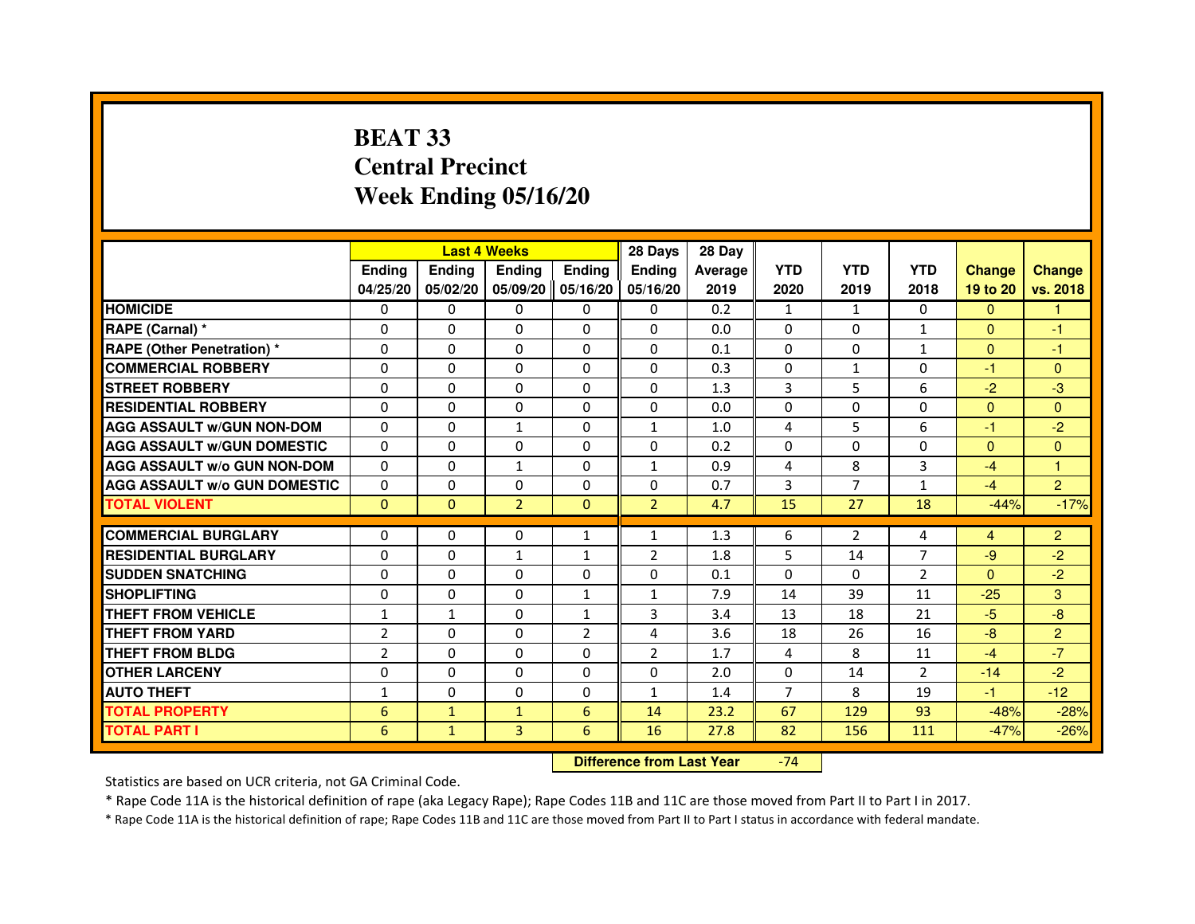# **BEAT 33 Central PrecinctWeek Ending 05/16/20**

|                                     |                |               | <b>Last 4 Weeks</b> |                | 28 Days        | 28 Day  |                |                |                |                |                |
|-------------------------------------|----------------|---------------|---------------------|----------------|----------------|---------|----------------|----------------|----------------|----------------|----------------|
|                                     | <b>Endina</b>  | <b>Ending</b> | <b>Ending</b>       | <b>Ending</b>  | <b>Endina</b>  | Average | <b>YTD</b>     | <b>YTD</b>     | <b>YTD</b>     | <b>Change</b>  | <b>Change</b>  |
|                                     | 04/25/20       | 05/02/20      | 05/09/20   05/16/20 |                | 05/16/20       | 2019    | 2020           | 2019           | 2018           | 19 to 20       | vs. 2018       |
| <b>HOMICIDE</b>                     | 0              | 0             | 0                   | 0              | $\Omega$       | 0.2     | $\mathbf{1}$   | $\mathbf{1}$   | 0              | $\mathbf{0}$   |                |
| RAPE (Carnal) *                     | 0              | $\Omega$      | $\Omega$            | $\Omega$       | $\Omega$       | 0.0     | $\Omega$       | $\Omega$       | $\mathbf{1}$   | $\Omega$       | $-1$           |
| <b>RAPE (Other Penetration)*</b>    | 0              | 0             | 0                   | $\Omega$       | 0              | 0.1     | $\Omega$       | 0              | $\mathbf{1}$   | $\Omega$       | $-1$           |
| <b>COMMERCIAL ROBBERY</b>           | 0              | 0             | 0                   | 0              | 0              | 0.3     | $\Omega$       | 1              | $\Omega$       | $-1$           | $\mathbf{0}$   |
| <b>STREET ROBBERY</b>               | $\Omega$       | $\Omega$      | $\Omega$            | 0              | 0              | 1.3     | 3              | 5              | 6              | $-2$           | $-3$           |
| <b>RESIDENTIAL ROBBERY</b>          | 0              | $\Omega$      | $\Omega$            | 0              | 0              | 0.0     | $\Omega$       | $\Omega$       | $\Omega$       | $\Omega$       | $\Omega$       |
| <b>AGG ASSAULT W/GUN NON-DOM</b>    | $\Omega$       | $\Omega$      | $\mathbf{1}$        | $\Omega$       | $\mathbf{1}$   | 1.0     | 4              | 5              | 6              | $-1$           | $-2$           |
| <b>AGG ASSAULT W/GUN DOMESTIC</b>   | $\Omega$       | $\Omega$      | $\Omega$            | 0              | 0              | 0.2     | $\Omega$       | $\Omega$       | $\Omega$       | $\Omega$       | $\mathbf{0}$   |
| <b>AGG ASSAULT W/o GUN NON-DOM</b>  | 0              | $\Omega$      | 1                   | $\Omega$       | 1              | 0.9     | $\overline{a}$ | 8              | 3              | $-4$           | $\overline{1}$ |
| <b>AGG ASSAULT W/o GUN DOMESTIC</b> | $\Omega$       | $\Omega$      | 0                   | 0              | 0              | 0.7     | 3              | 7              | $\mathbf{1}$   | $-4$           | $\overline{2}$ |
| <b>TOTAL VIOLENT</b>                | $\Omega$       | $\Omega$      | $\overline{2}$      | $\Omega$       | $\overline{2}$ | 4.7     | 15             | 27             | 18             | $-44%$         | $-17%$         |
|                                     |                |               |                     |                |                |         |                |                |                |                |                |
| <b>COMMERCIAL BURGLARY</b>          | $\Omega$       | 0             | 0                   | $\mathbf{1}$   | 1              | 1.3     | 6              | $\overline{2}$ | 4              | $\overline{4}$ | $\overline{2}$ |
| <b>RESIDENTIAL BURGLARY</b>         | 0              | 0             | $\mathbf{1}$        | $\mathbf{1}$   | $\overline{2}$ | 1.8     | 5              | 14             | $\overline{7}$ | $-9$           | $-2$           |
| <b>SUDDEN SNATCHING</b>             | 0              | $\Omega$      | 0                   | 0              | 0              | 0.1     | $\Omega$       | $\Omega$       | $\overline{2}$ | $\Omega$       | $-2$           |
| <b>SHOPLIFTING</b>                  | $\Omega$       | 0             | $\Omega$            | $\mathbf{1}$   | $\mathbf{1}$   | 7.9     | 14             | 39             | 11             | $-25$          | 3              |
| <b>THEFT FROM VEHICLE</b>           | 1              | $\mathbf{1}$  | $\Omega$            | $\mathbf{1}$   | 3              | 3.4     | 13             | 18             | 21             | $-5$           | $-8$           |
| <b>THEFT FROM YARD</b>              | $\overline{2}$ | $\Omega$      | $\Omega$            | $\overline{2}$ | $\overline{a}$ | 3.6     | 18             | 26             | 16             | $-8$           | $\overline{2}$ |
| THEFT FROM BLDG                     | $\overline{2}$ | 0             | 0                   | 0              | 2              | 1.7     | 4              | 8              | 11             | $-4$           | $-7$           |
| <b>OTHER LARCENY</b>                | 0              | $\Omega$      | 0                   | 0              | 0              | 2.0     | $\Omega$       | 14             | 2              | $-14$          | $-2$           |
| <b>AUTO THEFT</b>                   | $\mathbf{1}$   | 0             | $\Omega$            | 0              | $\mathbf{1}$   | 1.4     | $\overline{7}$ | 8              | 19             | $-1$           | $-12$          |
| <b>TOTAL PROPERTY</b>               | 6              | $\mathbf{1}$  | $\mathbf{1}$        | 6              | 14             | 23.2    | 67             | 129            | 93             | $-48%$         | $-28%$         |
| <b>TOTAL PART I</b>                 | 6              | $\mathbf{1}$  | 3                   | 6              | 16             | 27.8    | 82             | 156            | 111            | $-47%$         | $-26%$         |

 **Difference from Last Year**-74

Statistics are based on UCR criteria, not GA Criminal Code.

\* Rape Code 11A is the historical definition of rape (aka Legacy Rape); Rape Codes 11B and 11C are those moved from Part II to Part I in 2017.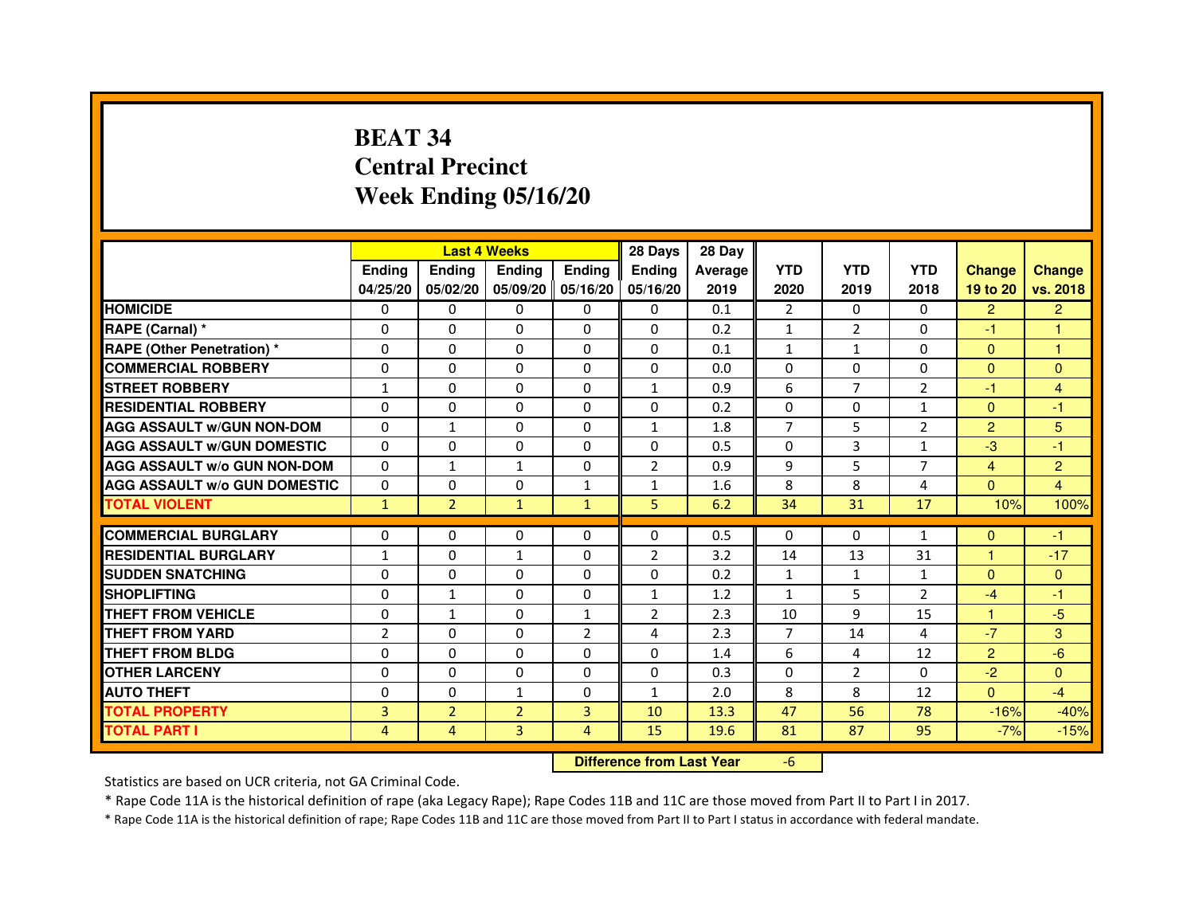# **BEAT 34 Central PrecinctWeek Ending 05/16/20**

|                                     |                |                | <b>Last 4 Weeks</b> |                | 28 Days                          | 28 Day  |                |                |                |                |                |
|-------------------------------------|----------------|----------------|---------------------|----------------|----------------------------------|---------|----------------|----------------|----------------|----------------|----------------|
|                                     | Ending         | Ending         | Ending              | <b>Ending</b>  | Ending                           | Average | <b>YTD</b>     | <b>YTD</b>     | <b>YTD</b>     | <b>Change</b>  | <b>Change</b>  |
|                                     | 04/25/20       | 05/02/20       | 05/09/20 05/16/20   |                | 05/16/20                         | 2019    | 2020           | 2019           | 2018           | 19 to 20       | vs. 2018       |
| <b>HOMICIDE</b>                     | 0              | 0              | $\mathbf{0}$        | 0              | 0                                | 0.1     | $\overline{2}$ | $\Omega$       | $\Omega$       | $\overline{2}$ | $\overline{2}$ |
| RAPE (Carnal) *                     | 0              | 0              | 0                   | 0              | 0                                | 0.2     | 1              | $\overline{2}$ | $\Omega$       | $-1$           | 1              |
| <b>RAPE (Other Penetration) *</b>   | $\Omega$       | $\mathbf 0$    | $\Omega$            | 0              | 0                                | 0.1     | $\mathbf{1}$   | $\mathbf{1}$   | $\Omega$       | $\Omega$       | 1              |
| <b>COMMERCIAL ROBBERY</b>           | $\mathbf 0$    | 0              | $\Omega$            | 0              | 0                                | 0.0     | $\mathbf{0}$   | $\mathbf{0}$   | $\Omega$       | $\overline{0}$ | $\mathbf{0}$   |
| <b>STREET ROBBERY</b>               | $\mathbf{1}$   | $\Omega$       | $\Omega$            | $\Omega$       | 1                                | 0.9     | 6              | $\overline{7}$ | $\overline{2}$ | $-1$           | $\overline{4}$ |
| <b>RESIDENTIAL ROBBERY</b>          | $\Omega$       | $\mathbf 0$    | $\Omega$            | 0              | 0                                | 0.2     | $\Omega$       | 0              | 1              | $\mathbf{0}$   | $-1$           |
| <b>AGG ASSAULT w/GUN NON-DOM</b>    | $\Omega$       | $\mathbf{1}$   | $\Omega$            | $\Omega$       | $\mathbf{1}$                     | 1.8     | $\overline{7}$ | 5              | $\overline{2}$ | $\overline{2}$ | 5              |
| <b>AGG ASSAULT W/GUN DOMESTIC</b>   | $\Omega$       | $\Omega$       | $\mathbf 0$         | $\Omega$       | 0                                | 0.5     | $\Omega$       | 3              | $\mathbf{1}$   | $-3$           | $-1$           |
| <b>AGG ASSAULT W/o GUN NON-DOM</b>  | $\Omega$       | $\mathbf{1}$   | $\mathbf{1}$        | $\Omega$       | $\overline{2}$                   | 0.9     | 9              | 5              | $\overline{7}$ | $\overline{4}$ | $\overline{c}$ |
| <b>AGG ASSAULT w/o GUN DOMESTIC</b> | $\Omega$       | $\mathbf 0$    | $\Omega$            | $\mathbf{1}$   | $\mathbf{1}$                     | 1.6     | 8              | 8              | 4              | $\Omega$       | 4              |
| <b>TOTAL VIOLENT</b>                | $\mathbf{1}$   | $\overline{2}$ | $\mathbf{1}$        | $\mathbf{1}$   | 5                                | 6.2     | 34             | 31             | 17             | 10%            | 100%           |
| <b>COMMERCIAL BURGLARY</b>          | 0              | 0              | 0                   | 0              | 0                                | 0.5     | 0              | 0              | $\mathbf{1}$   | $\Omega$       | $-1$           |
| <b>RESIDENTIAL BURGLARY</b>         | $\mathbf{1}$   | $\mathbf 0$    | $\mathbf{1}$        | 0              | $\overline{2}$                   | 3.2     | 14             | 13             | 31             | $\mathbf{1}$   | $-17$          |
| <b>SUDDEN SNATCHING</b>             | $\Omega$       | $\mathbf 0$    | $\Omega$            | $\Omega$       | $\Omega$                         | 0.2     | $\mathbf{1}$   | $\mathbf{1}$   | $\mathbf{1}$   | $\Omega$       | $\mathbf{0}$   |
| <b>SHOPLIFTING</b>                  | 0              | $\mathbf{1}$   | 0                   | 0              | 1                                | 1.2     | $\mathbf{1}$   | 5              | 2              | $-4$           | $-1$           |
| THEFT FROM VEHICLE                  | $\Omega$       | $\mathbf{1}$   | $\Omega$            | $\mathbf{1}$   | $\overline{2}$                   | 2.3     | 10             | 9              | 15             | 1              | $-5$           |
| <b>THEFT FROM YARD</b>              | $\overline{2}$ | 0              | $\mathbf 0$         | $\overline{2}$ | 4                                | 2.3     | $\overline{7}$ | 14             | 4              | $-7$           | 3              |
| <b>THEFT FROM BLDG</b>              | $\Omega$       | $\Omega$       | $\Omega$            | $\Omega$       | 0                                | 1.4     | 6              | 4              | 12             | $\overline{2}$ | $-6$           |
| <b>OTHER LARCENY</b>                | $\Omega$       | $\Omega$       | $\Omega$            | $\Omega$       | $\Omega$                         | 0.3     | $\mathbf{0}$   | $\overline{2}$ | $\Omega$       | $-2$           | $\Omega$       |
| <b>AUTO THEFT</b>                   | $\Omega$       | 0              | $\mathbf{1}$        | $\Omega$       | $\mathbf{1}$                     | 2.0     | 8              | 8              | 12             | $\Omega$       | $-4$           |
| <b>TOTAL PROPERTY</b>               | 3              | $\overline{2}$ | $\overline{2}$      | 3              | 10                               | 13.3    | 47             | 56             | 78             | $-16%$         | $-40%$         |
| <b>TOTAL PART I</b>                 | 4              | 4              | 3                   | $\overline{4}$ | 15                               | 19.6    | 81             | 87             | 95             | $-7%$          | $-15%$         |
|                                     |                |                |                     |                | <b>Difference from Last Year</b> |         | $-6$           |                |                |                |                |

 **Difference from Last Year**

Statistics are based on UCR criteria, not GA Criminal Code.

\* Rape Code 11A is the historical definition of rape (aka Legacy Rape); Rape Codes 11B and 11C are those moved from Part II to Part I in 2017.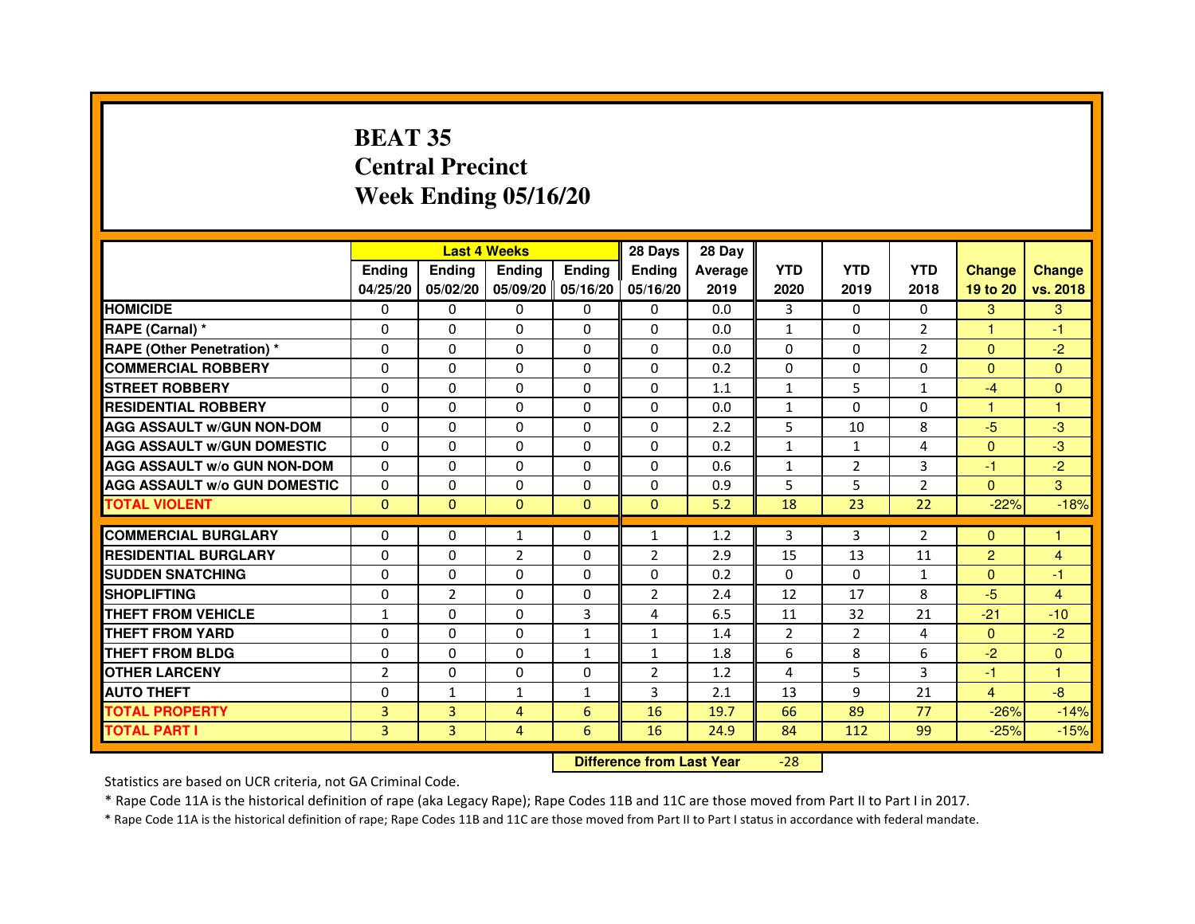# **BEAT 35 Central PrecinctWeek Ending 05/16/20**

|                                     |                | <b>Last 4 Weeks</b> |                |                     | 28 Days        | 28 Day  |                |                |                |                |                |
|-------------------------------------|----------------|---------------------|----------------|---------------------|----------------|---------|----------------|----------------|----------------|----------------|----------------|
|                                     | <b>Endina</b>  | Ending              | <b>Endina</b>  | <b>Ending</b>       | <b>Endina</b>  | Average | <b>YTD</b>     | <b>YTD</b>     | <b>YTD</b>     | <b>Change</b>  | <b>Change</b>  |
|                                     | 04/25/20       | 05/02/20            |                | 05/09/20   05/16/20 | 05/16/20       | 2019    | 2020           | 2019           | 2018           | 19 to 20       | vs. 2018       |
| <b>HOMICIDE</b>                     | 0              | 0                   | 0              | 0                   | 0              | 0.0     | 3              | 0              | $\Omega$       | 3              | 3              |
| RAPE (Carnal) *                     | $\Omega$       | $\Omega$            | $\Omega$       | $\Omega$            | $\Omega$       | 0.0     | $\mathbf{1}$   | $\Omega$       | $\overline{2}$ | $\mathbf{1}$   | $-1$           |
| <b>RAPE (Other Penetration) *</b>   | 0              | $\Omega$            | $\Omega$       | $\Omega$            | $\Omega$       | 0.0     | $\Omega$       | $\Omega$       | $\overline{2}$ | $\Omega$       | $-2$           |
| <b>COMMERCIAL ROBBERY</b>           | 0              | 0                   | $\Omega$       | $\Omega$            | $\Omega$       | 0.2     | $\Omega$       | $\Omega$       | $\Omega$       | $\Omega$       | $\Omega$       |
| <b>STREET ROBBERY</b>               | 0              | $\Omega$            | 0              | $\Omega$            | 0              | 1.1     | $\mathbf{1}$   | 5              | $\mathbf{1}$   | $-4$           | $\Omega$       |
| <b>RESIDENTIAL ROBBERY</b>          | 0              | $\Omega$            | 0              | $\Omega$            | 0              | 0.0     | $\mathbf{1}$   | $\Omega$       | 0              | 1              | $\mathbf{1}$   |
| <b>AGG ASSAULT W/GUN NON-DOM</b>    | $\Omega$       | $\mathbf 0$         | $\Omega$       | $\Omega$            | $\Omega$       | 2.2     | 5              | 10             | 8              | $-5$           | -3             |
| <b>AGG ASSAULT W/GUN DOMESTIC</b>   | $\Omega$       | $\Omega$            | 0              | 0                   | $\Omega$       | 0.2     | $\mathbf{1}$   | $\mathbf{1}$   | $\overline{a}$ | $\Omega$       | $-3$           |
| <b>AGG ASSAULT W/o GUN NON-DOM</b>  | $\Omega$       | 0                   | $\Omega$       | 0                   | $\Omega$       | 0.6     | $\mathbf{1}$   | $\overline{2}$ | 3              | $-1$           | $-2$           |
| <b>AGG ASSAULT W/o GUN DOMESTIC</b> | $\Omega$       | 0                   | 0              | $\Omega$            | $\Omega$       | 0.9     | 5              | 5              | $\overline{2}$ | $\Omega$       | 3              |
| <b>TOTAL VIOLENT</b>                | $\Omega$       | $\Omega$            | $\Omega$       | $\mathbf{0}$        | $\mathbf{0}$   | 5.2     | 18             | 23             | 22             | $-22%$         | $-18%$         |
|                                     |                |                     |                |                     |                |         |                |                |                |                |                |
| <b>COMMERCIAL BURGLARY</b>          | 0              | 0                   | 1              | 0                   | $\mathbf{1}$   | 1.2     | 3              | 3              | $\overline{2}$ | $\Omega$       | 1              |
| <b>RESIDENTIAL BURGLARY</b>         | 0              | 0                   | $\overline{2}$ | $\Omega$            | $\overline{2}$ | 2.9     | 15             | 13             | 11             | $\overline{2}$ | $\overline{4}$ |
| <b>SUDDEN SNATCHING</b>             | 0              | 0                   | $\Omega$       | $\Omega$            | $\Omega$       | 0.2     | $\Omega$       | $\Omega$       | $\mathbf{1}$   | $\Omega$       | $-1$           |
| <b>SHOPLIFTING</b>                  | $\mathbf 0$    | $\overline{2}$      | $\Omega$       | $\mathbf{0}$        | $\overline{2}$ | 2.4     | 12             | 17             | 8              | $-5$           | 4              |
| <b>THEFT FROM VEHICLE</b>           | $\mathbf{1}$   | $\Omega$            | $\Omega$       | 3                   | 4              | 6.5     | 11             | 32             | 21             | $-21$          | $-10$          |
| <b>THEFT FROM YARD</b>              | 0              | 0                   | $\Omega$       | $\mathbf{1}$        | $\mathbf{1}$   | 1.4     | $\overline{2}$ | $\overline{2}$ | 4              | $\Omega$       | $-2$           |
| <b>THEFT FROM BLDG</b>              | 0              | 0                   | 0              | 1                   | 1              | 1.8     | 6              | 8              | 6              | $-2$           | $\Omega$       |
| <b>OTHER LARCENY</b>                | $\overline{2}$ | $\Omega$            | 0              | 0                   | $\overline{2}$ | 1.2     | $\overline{4}$ | 5              | 3              | $-1$           | 1              |
| <b>AUTO THEFT</b>                   | $\mathbf 0$    | 1                   | 1              | $\mathbf{1}$        | 3              | 2.1     | 13             | 9              | 21             | $\overline{4}$ | -8             |
| <b>TOTAL PROPERTY</b>               | 3              | 3                   | 4              | 6                   | 16             | 19.7    | 66             | 89             | 77             | $-26%$         | $-14%$         |
| <b>TOTAL PART I</b>                 | 3              | 3                   | 4              | 6                   | 16             | 24.9    | 84             | 112            | 99             | $-25%$         | $-15%$         |

 **Difference from Last Year**-28

Statistics are based on UCR criteria, not GA Criminal Code.

\* Rape Code 11A is the historical definition of rape (aka Legacy Rape); Rape Codes 11B and 11C are those moved from Part II to Part I in 2017.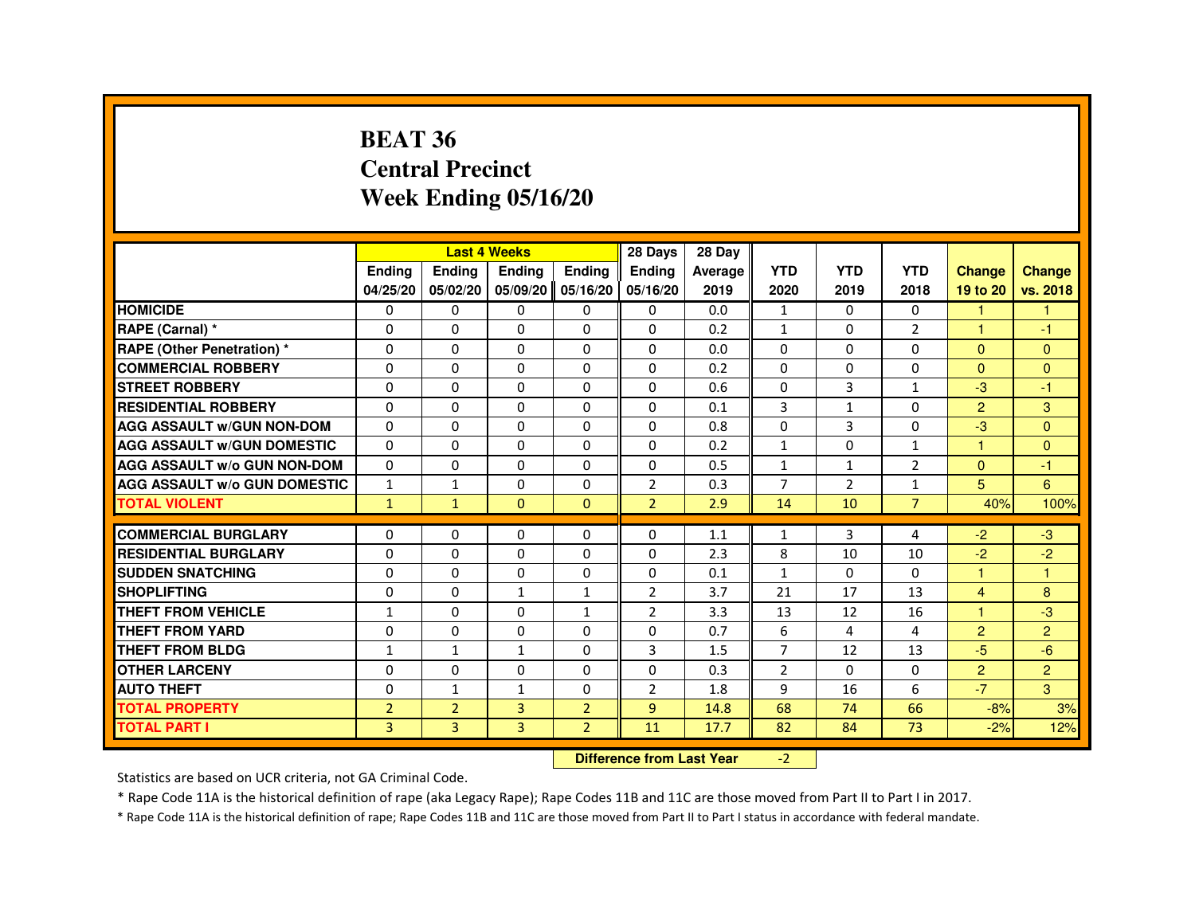#### **BEAT 36 Central PrecinctWeek Ending 05/16/20**

|                                     |                |                                  | <b>Last 4 Weeks</b> |                   | 28 Days        | 28 Day  |                |                |                |                      |                |
|-------------------------------------|----------------|----------------------------------|---------------------|-------------------|----------------|---------|----------------|----------------|----------------|----------------------|----------------|
|                                     | Ending         | Ending                           | Ending              | <b>Ending</b>     | Ending         | Average | <b>YTD</b>     | <b>YTD</b>     | <b>YTD</b>     | <b>Change</b>        | <b>Change</b>  |
|                                     | 04/25/20       | 05/02/20                         |                     | 05/09/20 05/16/20 | 05/16/20       | 2019    | 2020           | 2019           | 2018           | 19 to 20             | vs. 2018       |
| <b>HOMICIDE</b>                     | 0              | $\Omega$                         | $\Omega$            | $\mathbf{0}$      | 0              | 0.0     | $\mathbf{1}$   | $\Omega$       | $\Omega$       | $\mathbf{1}$         | 1              |
| RAPE (Carnal) *                     | 0              | 0                                | $\Omega$            | $\Omega$          | $\Omega$       | 0.2     | $\mathbf{1}$   | $\mathbf{0}$   | $\overline{2}$ | 1                    | -1             |
| <b>RAPE (Other Penetration)*</b>    | $\Omega$       | $\Omega$                         | 0                   | $\Omega$          | $\Omega$       | 0.0     | $\Omega$       | $\Omega$       | $\Omega$       | $\Omega$             | $\Omega$       |
| <b>COMMERCIAL ROBBERY</b>           | $\Omega$       | $\mathbf{0}$                     | $\Omega$            | $\Omega$          | $\Omega$       | 0.2     | $\Omega$       | $\Omega$       | $\Omega$       | $\Omega$             | $\Omega$       |
| <b>STREET ROBBERY</b>               | $\Omega$       | $\Omega$                         | $\Omega$            | $\Omega$          | $\Omega$       | 0.6     | $\Omega$       | 3              | $\mathbf{1}$   | $-3$                 | $-1$           |
| <b>RESIDENTIAL ROBBERY</b>          | $\Omega$       | 0                                | 0                   | 0                 | 0              | 0.1     | 3              | $\mathbf{1}$   | $\Omega$       | $\overline{2}$       | 3              |
| <b>AGG ASSAULT W/GUN NON-DOM</b>    | $\Omega$       | $\Omega$                         | $\Omega$            | $\Omega$          | $\Omega$       | 0.8     | 0              | 3              | $\Omega$       | $-3$                 | $\Omega$       |
| <b>AGG ASSAULT w/GUN DOMESTIC</b>   | $\Omega$       | 0                                | $\Omega$            | $\Omega$          | $\Omega$       | 0.2     | $\mathbf{1}$   | $\Omega$       | $\mathbf{1}$   | $\overline{1}$       | $\Omega$       |
| <b>AGG ASSAULT w/o GUN NON-DOM</b>  | $\Omega$       | $\Omega$                         | 0                   | $\mathbf{0}$      | $\Omega$       | 0.5     | $\mathbf{1}$   | $\mathbf{1}$   | $\overline{2}$ | $\Omega$             | -1             |
| <b>AGG ASSAULT w/o GUN DOMESTIC</b> | $\mathbf{1}$   | $\mathbf{1}$                     | 0                   | 0                 | $\overline{2}$ | 0.3     | $\overline{7}$ | $\overline{2}$ | $\mathbf{1}$   | 5                    | 6              |
| <b>TOTAL VIOLENT</b>                | $\mathbf{1}$   | $\mathbf{1}$                     | $\mathbf{0}$        | $\mathbf{0}$      | $\overline{2}$ | 2.9     | 14             | 10             | $\overline{7}$ | 40%                  | 100%           |
| <b>COMMERCIAL BURGLARY</b>          | 0              | 0                                | 0                   | 0                 | 0              | 1.1     | 1              | 3              | 4              | $-2$                 | $-3$           |
| <b>RESIDENTIAL BURGLARY</b>         | 0              | $\Omega$                         | 0                   | $\Omega$          | $\Omega$       | 2.3     | 8              | 10             | 10             | $-2$                 | $-2$           |
| <b>SUDDEN SNATCHING</b>             | $\Omega$       | $\Omega$                         | 0                   | $\Omega$          | $\Omega$       | 0.1     | $\mathbf{1}$   | $\Omega$       | $\Omega$       | $\blacktriangleleft$ | $\mathbf{1}$   |
| <b>SHOPLIFTING</b>                  | $\Omega$       | $\Omega$                         | $\mathbf{1}$        | $\mathbf{1}$      | $\overline{2}$ | 3.7     | 21             | 17             | 13             | $\overline{4}$       | 8              |
| <b>THEFT FROM VEHICLE</b>           | $\mathbf{1}$   | 0                                | 0                   | $\mathbf{1}$      | $\overline{2}$ | 3.3     | 13             | 12             | 16             | 4                    | $-3$           |
| <b>THEFT FROM YARD</b>              | $\mathbf 0$    | 0                                | $\Omega$            | $\Omega$          | 0              | 0.7     | 6              | 4              | 4              | $\overline{2}$       | $\overline{2}$ |
| <b>THEFT FROM BLDG</b>              | $\mathbf{1}$   | $\mathbf{1}$                     | $\mathbf{1}$        | $\Omega$          | 3              | 1.5     | $\overline{7}$ | 12             | 13             | $-5$                 | $-6$           |
| <b>OTHER LARCENY</b>                | 0              | 0                                | 0                   | 0                 | $\Omega$       | 0.3     | $\overline{2}$ | 0              | 0              | $\overline{2}$       | $\overline{2}$ |
| <b>AUTO THEFT</b>                   | $\Omega$       | $\mathbf{1}$                     | $\mathbf{1}$        | $\Omega$          | $\overline{2}$ | 1.8     | 9              | 16             | 6              | $-7$                 | $\mathbf{3}$   |
| <b>TOTAL PROPERTY</b>               | $\overline{2}$ | $\overline{2}$                   | 3                   | $\overline{2}$    | 9              | 14.8    | 68             | 74             | 66             | $-8%$                | 3%             |
| <b>TOTAL PART I</b>                 | $\overline{3}$ | $\overline{3}$                   | $\overline{3}$      | $\overline{2}$    | 11             | 17.7    | 82             | 84             | 73             | $-2%$                | 12%            |
|                                     |                | <b>Difference from Last Year</b> |                     | $-2$              |                |         |                |                |                |                      |                |

 **Difference from Last Year**

Statistics are based on UCR criteria, not GA Criminal Code.

\* Rape Code 11A is the historical definition of rape (aka Legacy Rape); Rape Codes 11B and 11C are those moved from Part II to Part I in 2017.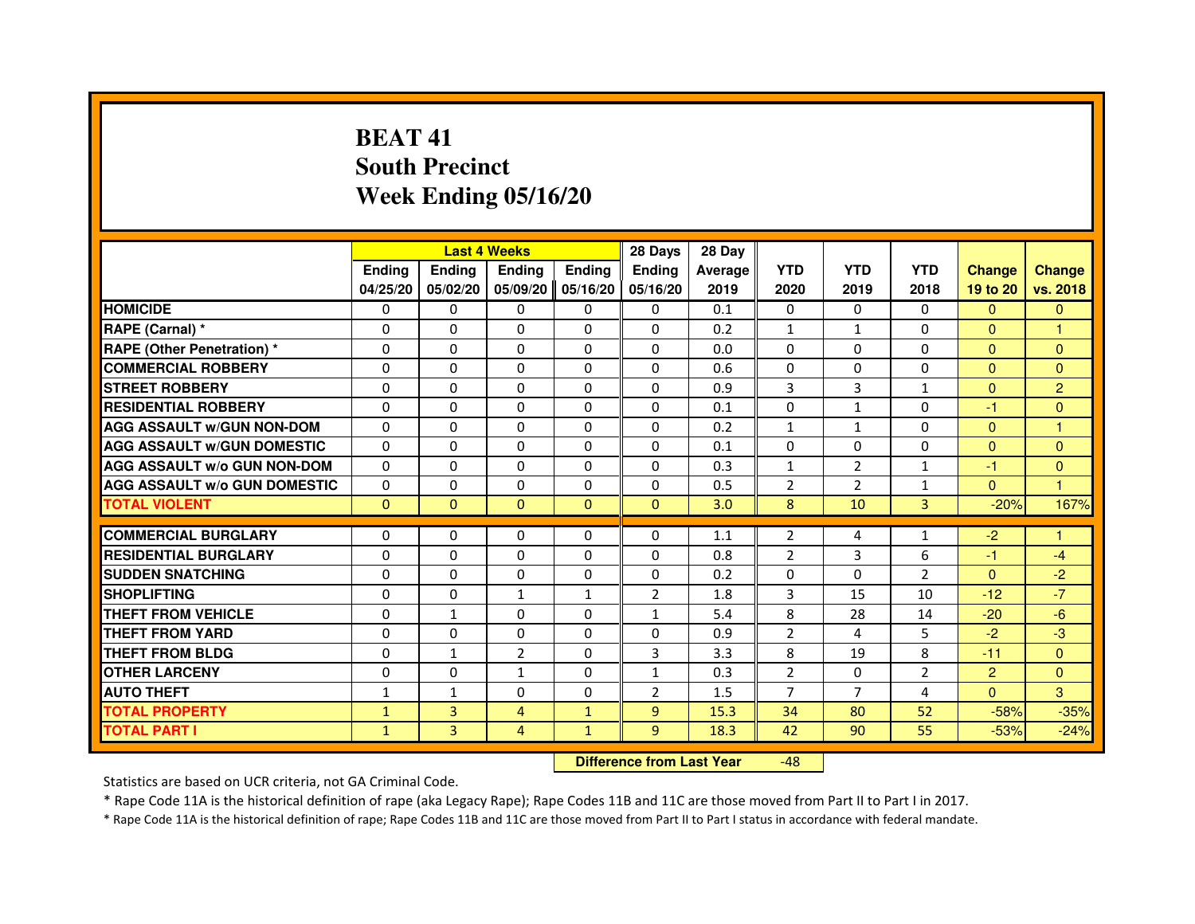# **BEAT 41 South PrecinctWeek Ending 05/16/20**

|                                     |               |               | <b>Last 4 Weeks</b> |               | 28 Days        | 28 Day  |                |                |                |                |                |
|-------------------------------------|---------------|---------------|---------------------|---------------|----------------|---------|----------------|----------------|----------------|----------------|----------------|
|                                     | <b>Ending</b> | <b>Endina</b> | <b>Ending</b>       | <b>Ending</b> | <b>Endina</b>  | Average | <b>YTD</b>     | <b>YTD</b>     | <b>YTD</b>     | <b>Change</b>  | <b>Change</b>  |
|                                     | 04/25/20      | 05/02/20      | 05/09/20            | 05/16/20      | 05/16/20       | 2019    | 2020           | 2019           | 2018           | 19 to 20       | vs. 2018       |
| <b>HOMICIDE</b>                     | 0             | $\mathbf{0}$  | $\mathbf{0}$        | 0             | 0              | 0.1     | 0              | 0              | $\Omega$       | $\Omega$       | $\mathbf{0}$   |
| RAPE (Carnal) *                     | $\Omega$      | $\Omega$      | $\Omega$            | $\Omega$      | $\Omega$       | 0.2     | $\mathbf{1}$   | $\mathbf{1}$   | $\Omega$       | $\Omega$       | 1              |
| <b>RAPE (Other Penetration) *</b>   | 0             | $\mathbf{0}$  | $\mathbf{0}$        | 0             | 0              | 0.0     | 0              | 0              | 0              | $\Omega$       | $\Omega$       |
| <b>COMMERCIAL ROBBERY</b>           | 0             | $\Omega$      | $\Omega$            | $\Omega$      | $\Omega$       | 0.6     | $\Omega$       | $\Omega$       | $\Omega$       | $\Omega$       | $\mathbf{0}$   |
| <b>STREET ROBBERY</b>               | $\Omega$      | $\Omega$      | $\Omega$            | $\Omega$      | $\Omega$       | 0.9     | 3              | 3              | $\mathbf{1}$   | $\Omega$       | $\overline{2}$ |
| <b>RESIDENTIAL ROBBERY</b>          | $\Omega$      | $\Omega$      | $\Omega$            | $\Omega$      | $\Omega$       | 0.1     | $\Omega$       | $\mathbf{1}$   | 0              | $-1$           | $\mathbf{0}$   |
| <b>AGG ASSAULT w/GUN NON-DOM</b>    | $\Omega$      | $\Omega$      | $\Omega$            | $\Omega$      | $\Omega$       | 0.2     | $\mathbf{1}$   | $\mathbf{1}$   | $\Omega$       | $\Omega$       | 1              |
| <b>AGG ASSAULT W/GUN DOMESTIC</b>   | $\Omega$      | $\Omega$      | $\Omega$            | 0             | $\Omega$       | 0.1     | $\Omega$       | $\Omega$       | $\Omega$       | $\Omega$       | $\mathbf{0}$   |
| <b>AGG ASSAULT W/o GUN NON-DOM</b>  | 0             | $\Omega$      | 0                   | $\Omega$      | $\Omega$       | 0.3     | 1              | $\overline{2}$ | $\mathbf{1}$   | $-1$           | $\mathbf{0}$   |
| <b>AGG ASSAULT W/o GUN DOMESTIC</b> | $\Omega$      | $\Omega$      | $\Omega$            | $\Omega$      | $\Omega$       | 0.5     | $\overline{2}$ | $\overline{2}$ | $\mathbf{1}$   | $\Omega$       | 1              |
| <b>TOTAL VIOLENT</b>                | $\Omega$      | $\mathbf{0}$  | $\Omega$            | $\Omega$      | $\Omega$       | 3.0     | 8              | 10             | 3              | $-20%$         | 167%           |
|                                     |               |               |                     |               |                |         |                |                |                |                |                |
| <b>COMMERCIAL BURGLARY</b>          | 0             | $\mathbf{0}$  | 0                   | 0             | $\Omega$       | 1.1     | 2              | 4              | 1              | $-2$           |                |
| <b>RESIDENTIAL BURGLARY</b>         | $\Omega$      | $\Omega$      | 0                   | 0             | 0              | 0.8     | $\overline{2}$ | 3              | 6              | $-1$           | $-4$           |
| <b>SUDDEN SNATCHING</b>             | 0             | $\Omega$      | 0                   | 0             | 0              | 0.2     | 0              | $\Omega$       | $\overline{2}$ | $\mathbf{0}$   | $-2$           |
| <b>SHOPLIFTING</b>                  | $\Omega$      | $\Omega$      | $\mathbf{1}$        | $\mathbf{1}$  | $\overline{2}$ | 1.8     | 3              | 15             | 10             | $-12$          | $-7$           |
| THEFT FROM VEHICLE                  | $\Omega$      | $\mathbf{1}$  | $\Omega$            | $\Omega$      | $\mathbf{1}$   | 5.4     | 8              | 28             | 14             | $-20$          | $-6$           |
| <b>THEFT FROM YARD</b>              | 0             | 0             | $\Omega$            | $\Omega$      | $\Omega$       | 0.9     | $\overline{2}$ | 4              | 5              | $-2$           | $-3$           |
| THEFT FROM BLDG                     | $\Omega$      | 1             | $\overline{2}$      | 0             | 3              | 3.3     | 8              | 19             | 8              | $-11$          | $\Omega$       |
| <b>OTHER LARCENY</b>                | $\Omega$      | $\Omega$      | $\mathbf{1}$        | $\Omega$      | $\mathbf{1}$   | 0.3     | $\overline{2}$ | $\Omega$       | $\overline{2}$ | $\overline{2}$ | $\Omega$       |
| <b>AUTO THEFT</b>                   | $\mathbf{1}$  | 1             | $\Omega$            | $\Omega$      | $\overline{2}$ | 1.5     | $\overline{7}$ | $\overline{7}$ | $\overline{a}$ | $\Omega$       | 3              |
| <b>TOTAL PROPERTY</b>               | $\mathbf{1}$  | 3             | 4                   | $\mathbf{1}$  | 9              | 15.3    | 34             | 80             | 52             | $-58%$         | $-35%$         |
| <b>TOTAL PART I</b>                 | $\mathbf{1}$  | 3             | 4                   | $\mathbf{1}$  | 9              | 18.3    | 42             | 90             | 55             | $-53%$         | $-24%$         |

 **Difference from Last Year**-48

Statistics are based on UCR criteria, not GA Criminal Code.

\* Rape Code 11A is the historical definition of rape (aka Legacy Rape); Rape Codes 11B and 11C are those moved from Part II to Part I in 2017.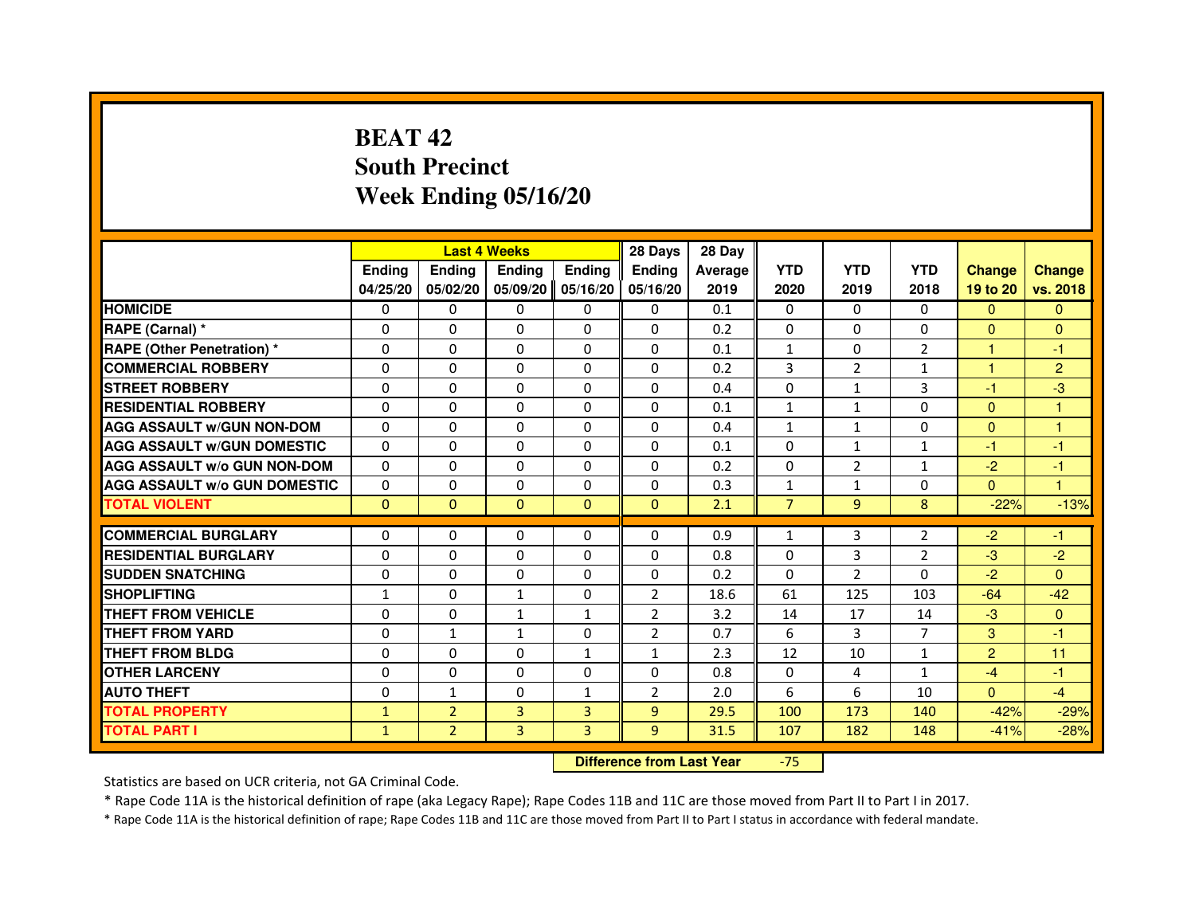# **BEAT 42 South PrecinctWeek Ending 05/16/20**

|                                     |               |                | <b>Last 4 Weeks</b> |               | 28 Days        | 28 Day  |                |                |                |                |                |
|-------------------------------------|---------------|----------------|---------------------|---------------|----------------|---------|----------------|----------------|----------------|----------------|----------------|
|                                     | <b>Endina</b> | Ending         | <b>Endina</b>       | <b>Endina</b> | <b>Endina</b>  | Average | <b>YTD</b>     | <b>YTD</b>     | <b>YTD</b>     | <b>Change</b>  | <b>Change</b>  |
|                                     | 04/25/20      | 05/02/20       | 05/09/20            | 05/16/20      | 05/16/20       | 2019    | 2020           | 2019           | 2018           | 19 to 20       | vs. 2018       |
| <b>HOMICIDE</b>                     | $\Omega$      | 0              | 0                   | 0             | 0              | 0.1     | 0              | $\Omega$       | $\Omega$       | $\Omega$       | $\Omega$       |
| RAPE (Carnal) *                     | $\Omega$      | $\Omega$       | $\Omega$            | $\Omega$      | $\Omega$       | 0.2     | $\Omega$       | $\Omega$       | $\Omega$       | $\Omega$       | $\Omega$       |
| <b>RAPE (Other Penetration)*</b>    | $\Omega$      | 0              | $\Omega$            | 0             | $\Omega$       | 0.1     | $\mathbf{1}$   | 0              | 2              | 1              | $-1$           |
| <b>COMMERCIAL ROBBERY</b>           | $\Omega$      | $\Omega$       | 0                   | $\Omega$      | $\Omega$       | 0.2     | 3              | $\overline{2}$ | $\mathbf{1}$   | 1              | $\overline{2}$ |
| <b>STREET ROBBERY</b>               | $\Omega$      | $\Omega$       | $\Omega$            | $\Omega$      | $\Omega$       | 0.4     | $\Omega$       | $\mathbf{1}$   | 3              | $-1$           | -3             |
| <b>RESIDENTIAL ROBBERY</b>          | 0             | 0              | 0                   | 0             | 0              | 0.1     | $\mathbf{1}$   | $\mathbf{1}$   | 0              | $\Omega$       | 1              |
| <b>AGG ASSAULT W/GUN NON-DOM</b>    | $\Omega$      | $\Omega$       | $\Omega$            | $\Omega$      | $\Omega$       | 0.4     | $\mathbf{1}$   | $\mathbf{1}$   | $\Omega$       | $\Omega$       | $\mathbf{1}$   |
| <b>AGG ASSAULT W/GUN DOMESTIC</b>   | $\Omega$      | $\Omega$       | $\Omega$            | $\Omega$      | $\Omega$       | 0.1     | $\Omega$       | $\mathbf{1}$   | $\mathbf{1}$   | $-1$           | $-1$           |
| AGG ASSAULT w/o GUN NON-DOM         | $\Omega$      | $\Omega$       | $\Omega$            | $\Omega$      | $\Omega$       | 0.2     | $\Omega$       | 2              | 1              | $-2$           | $-1$           |
| <b>AGG ASSAULT W/o GUN DOMESTIC</b> | $\Omega$      | $\Omega$       | 0                   | $\Omega$      | $\Omega$       | 0.3     | $\mathbf{1}$   | $\mathbf{1}$   | $\Omega$       | $\Omega$       | $\mathbf{1}$   |
| <b>TOTAL VIOLENT</b>                | $\mathbf{0}$  | $\mathbf{0}$   | $\mathbf{0}$        | $\Omega$      | $\Omega$       | 2.1     | $\overline{7}$ | 9              | 8              | $-22%$         | $-13%$         |
|                                     |               |                |                     |               |                |         |                |                |                |                |                |
| <b>COMMERCIAL BURGLARY</b>          | 0             | 0              | 0                   | 0             | 0              | 0.9     | $\mathbf{1}$   | 3              | 2              | $-2$           | $-1$           |
| <b>RESIDENTIAL BURGLARY</b>         | $\Omega$      | 0              | $\Omega$            | 0             | 0              | 0.8     | $\Omega$       | 3              | $\overline{2}$ | $-3$           | $-2$           |
| <b>SUDDEN SNATCHING</b>             | $\Omega$      | $\Omega$       | $\Omega$            | $\Omega$      | $\Omega$       | 0.2     | $\Omega$       | $\overline{2}$ | 0              | $-2$           | $\Omega$       |
| <b>SHOPLIFTING</b>                  | $\mathbf{1}$  | $\Omega$       | $\mathbf{1}$        | $\Omega$      | $\overline{2}$ | 18.6    | 61             | 125            | 103            | $-64$          | $-42$          |
| THEFT FROM VEHICLE                  | $\Omega$      | $\Omega$       | $\mathbf{1}$        | $\mathbf{1}$  | 2              | 3.2     | 14             | 17             | 14             | $-3$           | $\Omega$       |
| <b>THEFT FROM YARD</b>              | $\Omega$      | $\mathbf{1}$   | 1                   | 0             | $\overline{2}$ | 0.7     | 6              | 3              | $\overline{7}$ | 3              | $-1$           |
| <b>THEFT FROM BLDG</b>              | $\Omega$      | $\Omega$       | $\Omega$            | $\mathbf{1}$  | $\mathbf{1}$   | 2.3     | 12             | 10             | $\mathbf{1}$   | $\overline{2}$ | 11             |
| <b>OTHER LARCENY</b>                | $\Omega$      | $\Omega$       | $\Omega$            | $\Omega$      | $\Omega$       | 0.8     | $\Omega$       | 4              | $\mathbf{1}$   | $-4$           | $-1$           |
| <b>AUTO THEFT</b>                   | $\Omega$      | $\mathbf{1}$   | $\Omega$            | $\mathbf{1}$  | $\overline{2}$ | 2.0     | 6              | 6              | 10             | $\mathbf{0}$   | $-4$           |
| <b>TOTAL PROPERTY</b>               | $\mathbf{1}$  | $\overline{2}$ | 3                   | 3             | 9              | 29.5    | 100            | 173            | 140            | $-42%$         | $-29%$         |
| <b>TOTAL PART I</b>                 | $\mathbf{1}$  | $\overline{2}$ | 3                   | 3             | 9              | 31.5    | 107            | 182            | 148            | $-41%$         | $-28%$         |

 **Difference from Last Year**-75

Statistics are based on UCR criteria, not GA Criminal Code.

\* Rape Code 11A is the historical definition of rape (aka Legacy Rape); Rape Codes 11B and 11C are those moved from Part II to Part I in 2017.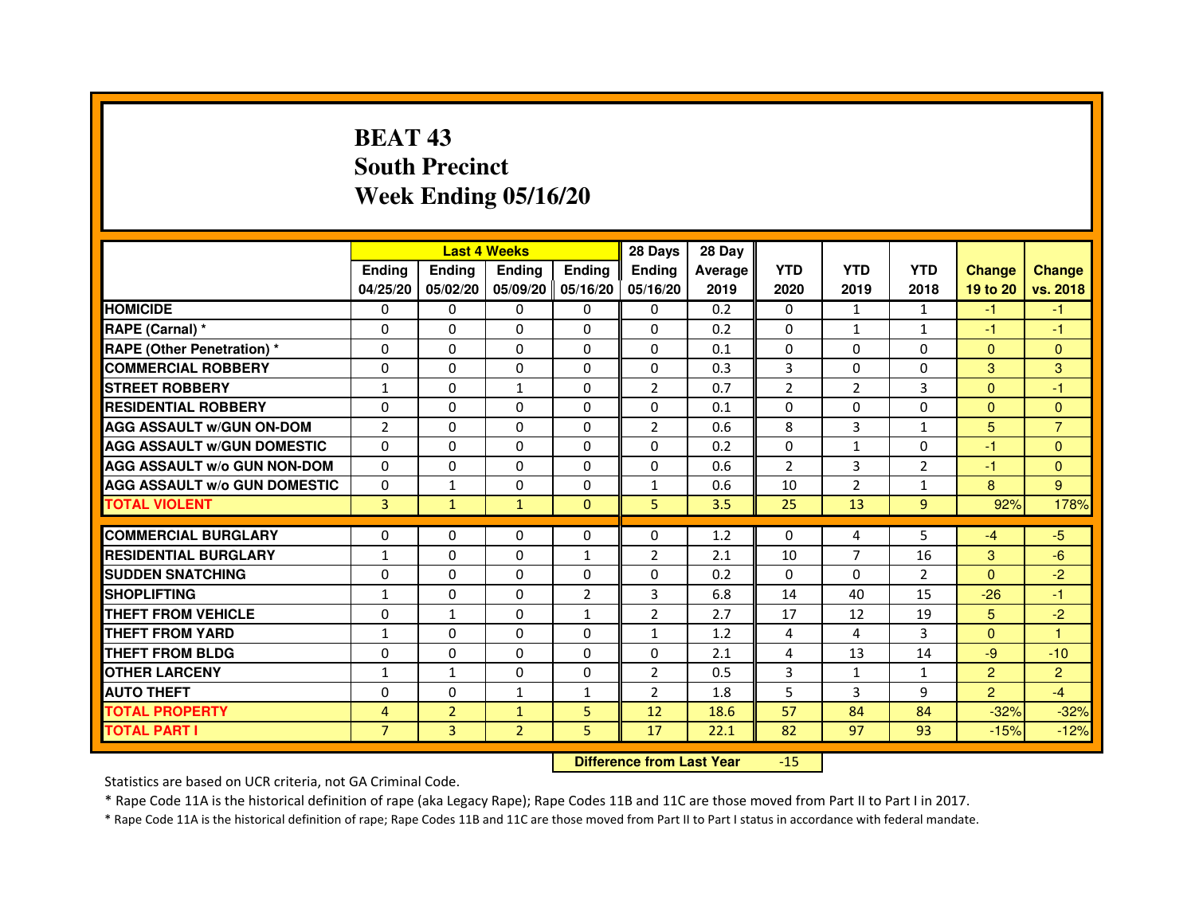# **BEAT 43 South PrecinctWeek Ending 05/16/20**

|                                     |                | <b>Last 4 Weeks</b> |                |                   | 28 Days        | 28 Day  |                |                |                |                |                |
|-------------------------------------|----------------|---------------------|----------------|-------------------|----------------|---------|----------------|----------------|----------------|----------------|----------------|
|                                     | <b>Endina</b>  | <b>Endina</b>       | <b>Endina</b>  | <b>Ending</b>     | <b>Endina</b>  | Average | <b>YTD</b>     | <b>YTD</b>     | <b>YTD</b>     | <b>Change</b>  | <b>Change</b>  |
|                                     | 04/25/20       | 05/02/20            |                | 05/09/20 05/16/20 | 05/16/20       | 2019    | 2020           | 2019           | 2018           | 19 to 20       | vs. 2018       |
| <b>HOMICIDE</b>                     | 0              | 0                   | $\mathbf{0}$   | 0                 | 0              | 0.2     | $\mathbf{0}$   | 1              | $\mathbf{1}$   | $-1$           | $-1$           |
| RAPE (Carnal) *                     | $\Omega$       | $\Omega$            | $\Omega$       | $\Omega$          | $\Omega$       | 0.2     | $\Omega$       | $\mathbf{1}$   | $\mathbf{1}$   | $-1$           | $-1$           |
| <b>RAPE (Other Penetration) *</b>   | 0              | $\Omega$            | 0              | $\Omega$          | $\Omega$       | 0.1     | $\Omega$       | $\Omega$       | $\Omega$       | $\Omega$       | $\Omega$       |
| <b>COMMERCIAL ROBBERY</b>           | 0              | 0                   | 0              | 0                 | $\Omega$       | 0.3     | 3              | 0              | $\Omega$       | 3              | 3              |
| <b>STREET ROBBERY</b>               | $\mathbf{1}$   | 0                   | $\mathbf{1}$   | 0                 | $\overline{2}$ | 0.7     | $\overline{2}$ | $\overline{2}$ | 3              | $\Omega$       | $-1$           |
| <b>RESIDENTIAL ROBBERY</b>          | 0              | $\Omega$            | $\Omega$       | $\Omega$          | $\Omega$       | 0.1     | $\Omega$       | $\Omega$       | $\Omega$       | $\Omega$       | $\Omega$       |
| <b>AGG ASSAULT w/GUN ON-DOM</b>     | $\overline{2}$ | $\mathbf 0$         | $\Omega$       | $\Omega$          | $\overline{2}$ | 0.6     | 8              | 3              | $\mathbf{1}$   | 5              | $\overline{7}$ |
| <b>AGG ASSAULT W/GUN DOMESTIC</b>   | 0              | 0                   | 0              | 0                 | $\Omega$       | 0.2     | 0              | $\mathbf{1}$   | $\Omega$       | $-1$           | $\Omega$       |
| <b>AGG ASSAULT W/o GUN NON-DOM</b>  | $\Omega$       | 0                   | 0              | $\Omega$          | $\Omega$       | 0.6     | $\overline{2}$ | 3              | $\overline{2}$ | $-1$           | $\Omega$       |
| <b>AGG ASSAULT W/o GUN DOMESTIC</b> | $\Omega$       | $\mathbf{1}$        | 0              | $\Omega$          | $\mathbf{1}$   | 0.6     | 10             | $\overline{2}$ | $\mathbf{1}$   | 8              | 9              |
| <b>TOTAL VIOLENT</b>                | 3              | $\mathbf{1}$        | $\mathbf{1}$   | $\Omega$          | 5              | 3.5     | 25             | 13             | 9              | 92%            | 178%           |
|                                     |                |                     |                |                   |                |         |                |                |                |                |                |
| <b>COMMERCIAL BURGLARY</b>          | 0              | 0                   | 0              | 0                 | $\Omega$       | 1.2     | $\Omega$       | 4              | 5              | $-4$           | $-5$           |
| <b>RESIDENTIAL BURGLARY</b>         | $\mathbf{1}$   | $\Omega$            | 0              | $\mathbf{1}$      | 2              | 2.1     | 10             | 7              | 16             | 3              | $-6$           |
| <b>SUDDEN SNATCHING</b>             | 0              | 0                   | 0              | $\Omega$          | $\Omega$       | 0.2     | $\Omega$       | $\Omega$       | $\overline{2}$ | $\Omega$       | $-2$           |
| <b>SHOPLIFTING</b>                  | $\mathbf{1}$   | 0                   | $\Omega$       | $\overline{2}$    | 3              | 6.8     | 14             | 40             | 15             | $-26$          | $-1$           |
| <b>THEFT FROM VEHICLE</b>           | 0              | $\mathbf{1}$        | $\Omega$       | $\mathbf{1}$      | $\overline{2}$ | 2.7     | 17             | 12             | 19             | 5              | $-2$           |
| <b>THEFT FROM YARD</b>              | 1              | $\Omega$            | $\Omega$       | $\Omega$          | $\mathbf{1}$   | 1.2     | $\overline{4}$ | 4              | 3              | $\Omega$       | $\mathbf{1}$   |
| <b>THEFT FROM BLDG</b>              | 0              | 0                   | 0              | 0                 | 0              | 2.1     | 4              | 13             | 14             | -9             | $-10$          |
| <b>OTHER LARCENY</b>                | 1              | $\mathbf{1}$        | $\Omega$       | $\Omega$          | $\overline{2}$ | 0.5     | 3              | $\mathbf{1}$   | $\mathbf{1}$   | $\overline{2}$ | $\overline{2}$ |
| <b>AUTO THEFT</b>                   | $\mathbf 0$    | 0                   | $\mathbf{1}$   | 1                 | $\overline{2}$ | 1.8     | 5              | 3              | 9              | $\overline{2}$ | $-4$           |
| <b>TOTAL PROPERTY</b>               | 4              | $\overline{2}$      | $\mathbf{1}$   | 5                 | 12             | 18.6    | 57             | 84             | 84             | $-32%$         | $-32%$         |
| <b>TOTAL PART I</b>                 | $\overline{7}$ | 3                   | $\overline{2}$ | 5                 | 17             | 22.1    | 82             | 97             | 93             | $-15%$         | $-12%$         |

 **Difference from Last Year**-15

Statistics are based on UCR criteria, not GA Criminal Code.

\* Rape Code 11A is the historical definition of rape (aka Legacy Rape); Rape Codes 11B and 11C are those moved from Part II to Part I in 2017.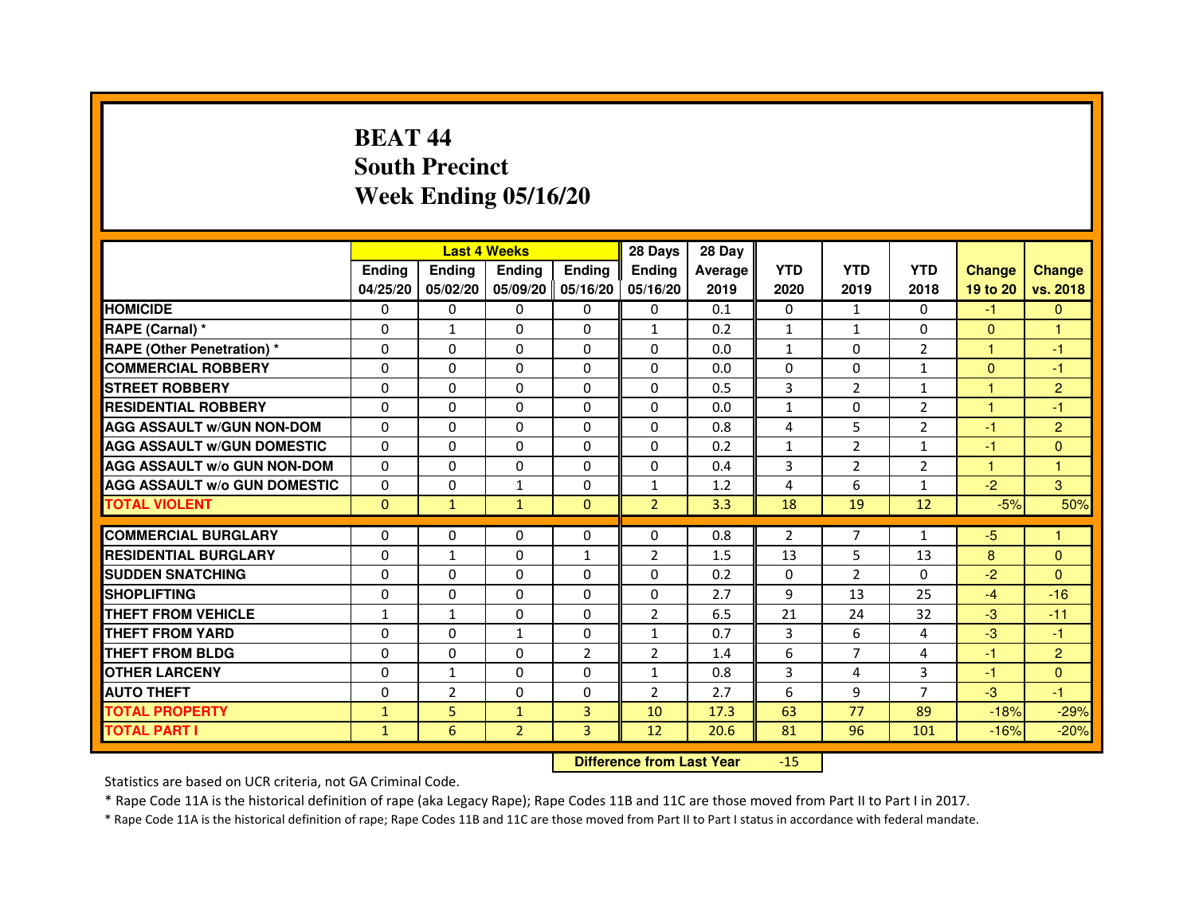# **BEAT 44 South PrecinctWeek Ending 05/16/20**

|                                     |               | <b>Last 4 Weeks</b> |                |                     | 28 Days        | 28 Day  |                |                |                |               |                |
|-------------------------------------|---------------|---------------------|----------------|---------------------|----------------|---------|----------------|----------------|----------------|---------------|----------------|
|                                     | <b>Endina</b> | Ending              | <b>Endina</b>  | <b>Ending</b>       | <b>Endina</b>  | Average | <b>YTD</b>     | <b>YTD</b>     | <b>YTD</b>     | <b>Change</b> | <b>Change</b>  |
|                                     | 04/25/20      | 05/02/20            |                | 05/09/20   05/16/20 | 05/16/20       | 2019    | 2020           | 2019           | 2018           | 19 to 20      | vs. 2018       |
| <b>HOMICIDE</b>                     | 0             | 0                   | 0              | 0                   | 0              | 0.1     | $\mathbf{0}$   | $\mathbf{1}$   | $\Omega$       | -1            | $\mathbf{0}$   |
| RAPE (Carnal) *                     | $\Omega$      | $\mathbf{1}$        | $\Omega$       | $\Omega$            | $\mathbf{1}$   | 0.2     | $\mathbf{1}$   | $\mathbf{1}$   | $\Omega$       | $\Omega$      | $\mathbf{1}$   |
| <b>RAPE (Other Penetration) *</b>   | 0             | $\Omega$            | $\Omega$       | $\Omega$            | $\Omega$       | 0.0     | $\mathbf{1}$   | $\Omega$       | $\overline{2}$ | $\mathbf{1}$  | $-1$           |
| <b>COMMERCIAL ROBBERY</b>           | 0             | 0                   | 0              | $\Omega$            | $\Omega$       | 0.0     | $\Omega$       | $\Omega$       | 1              | $\Omega$      | $-1$           |
| <b>STREET ROBBERY</b>               | 0             | $\Omega$            | 0              | $\Omega$            | 0              | 0.5     | 3              | 2              | $\mathbf{1}$   | 1             | $\overline{2}$ |
| <b>RESIDENTIAL ROBBERY</b>          | 0             | $\Omega$            | 0              | $\Omega$            | 0              | 0.0     | $\mathbf{1}$   | 0              | $\overline{2}$ | $\mathbf{1}$  | $-1$           |
| <b>AGG ASSAULT W/GUN NON-DOM</b>    | $\Omega$      | $\mathbf 0$         | $\Omega$       | $\Omega$            | $\Omega$       | 0.8     | 4              | 5              | $\overline{2}$ | $-1$          | $\overline{2}$ |
| <b>AGG ASSAULT W/GUN DOMESTIC</b>   | $\Omega$      | $\Omega$            | 0              | 0                   | $\Omega$       | 0.2     | $\mathbf{1}$   | $\overline{2}$ | $\mathbf{1}$   | $-1$          | $\Omega$       |
| <b>AGG ASSAULT W/o GUN NON-DOM</b>  | $\Omega$      | 0                   | $\Omega$       | 0                   | $\Omega$       | 0.4     | 3              | $\overline{2}$ | $\overline{2}$ | 1             | 1              |
| <b>AGG ASSAULT W/o GUN DOMESTIC</b> | $\Omega$      | 0                   | $\mathbf{1}$   | $\Omega$            | $\mathbf{1}$   | 1.2     | 4              | 6              | 1              | $-2$          | 3              |
| <b>TOTAL VIOLENT</b>                | $\Omega$      | $\mathbf{1}$        | $\mathbf{1}$   | $\mathbf{0}$        | $\overline{2}$ | 3.3     | 18             | 19             | 12             | $-5%$         | 50%            |
|                                     |               |                     |                |                     |                |         |                |                |                |               |                |
| <b>COMMERCIAL BURGLARY</b>          | 0             | 0                   | $\Omega$       | 0                   | $\Omega$       | 0.8     | $\overline{2}$ | $\overline{7}$ | 1              | $-5$          | 1              |
| <b>RESIDENTIAL BURGLARY</b>         | 0             | $\mathbf{1}$        | 0              | $\mathbf{1}$        | $\overline{2}$ | 1.5     | 13             | 5              | 13             | 8             | $\Omega$       |
| <b>SUDDEN SNATCHING</b>             | 0             | 0                   | $\Omega$       | $\Omega$            | $\Omega$       | 0.2     | $\Omega$       | $\overline{2}$ | $\Omega$       | $-2$          | $\Omega$       |
| <b>SHOPLIFTING</b>                  | $\mathbf 0$   | 0                   | $\Omega$       | $\Omega$            | 0              | 2.7     | 9              | 13             | 25             | $-4$          | $-16$          |
| <b>THEFT FROM VEHICLE</b>           | $\mathbf{1}$  | $\mathbf{1}$        | $\Omega$       | $\Omega$            | $\overline{2}$ | 6.5     | 21             | 24             | 32             | $-3$          | $-11$          |
| <b>THEFT FROM YARD</b>              | 0             | 0                   | $\mathbf{1}$   | $\Omega$            | $\mathbf{1}$   | 0.7     | 3              | 6              | 4              | $-3$          | $-1$           |
| <b>THEFT FROM BLDG</b>              | 0             | 0                   | 0              | $\overline{2}$      | $\overline{2}$ | 1.4     | 6              | 7              | 4              | $-1$          | $\overline{2}$ |
| <b>OTHER LARCENY</b>                | 0             | $\mathbf{1}$        | 0              | 0                   | $\mathbf{1}$   | 0.8     | 3              | 4              | 3              | $-1$          | $\Omega$       |
| <b>AUTO THEFT</b>                   | $\mathbf 0$   | $\overline{2}$      | $\Omega$       | $\Omega$            | $\overline{2}$ | 2.7     | 6              | 9              | $\overline{7}$ | $-3$          | $-1$           |
| <b>TOTAL PROPERTY</b>               | $\mathbf{1}$  | 5                   | $\mathbf{1}$   | 3                   | 10             | 17.3    | 63             | 77             | 89             | $-18%$        | $-29%$         |
| <b>TOTAL PART I</b>                 | $\mathbf{1}$  | 6                   | $\overline{2}$ | 3                   | 12             | 20.6    | 81             | 96             | 101            | $-16%$        | $-20%$         |

 **Difference from Last Year**-15

Statistics are based on UCR criteria, not GA Criminal Code.

\* Rape Code 11A is the historical definition of rape (aka Legacy Rape); Rape Codes 11B and 11C are those moved from Part II to Part I in 2017.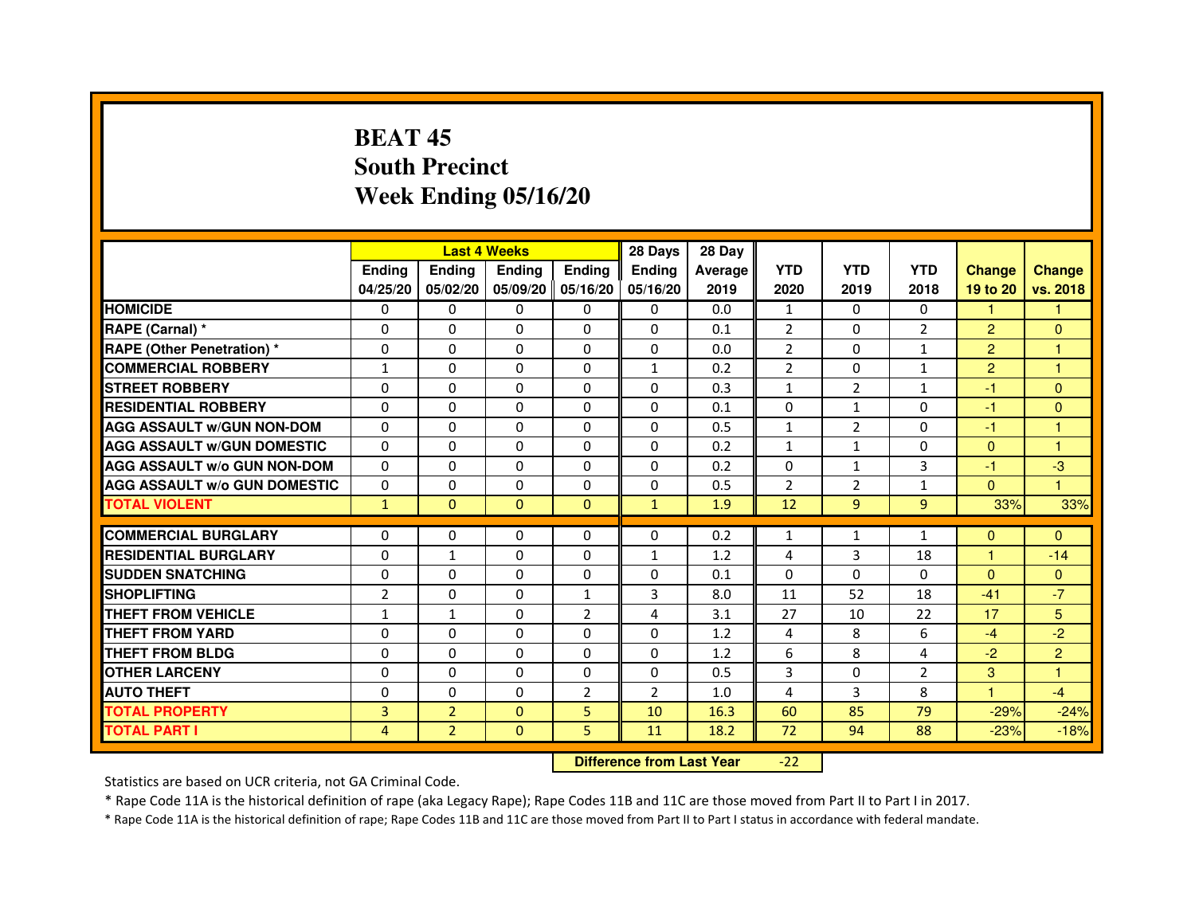# **BEAT 45 South PrecinctWeek Ending 05/16/20**

|                                     |                | <b>Last 4 Weeks</b> |               |                   | 28 Days        | 28 Day  |                |                |                |                |                |
|-------------------------------------|----------------|---------------------|---------------|-------------------|----------------|---------|----------------|----------------|----------------|----------------|----------------|
|                                     | <b>Endina</b>  | <b>Endina</b>       | <b>Endina</b> | <b>Ending</b>     | <b>Endina</b>  | Average | <b>YTD</b>     | <b>YTD</b>     | <b>YTD</b>     | <b>Change</b>  | <b>Change</b>  |
|                                     | 04/25/20       | 05/02/20            |               | 05/09/20 05/16/20 | 05/16/20       | 2019    | 2020           | 2019           | 2018           | 19 to 20       | vs. 2018       |
| <b>HOMICIDE</b>                     | 0              | 0                   | $\mathbf{0}$  | 0                 | 0              | 0.0     | 1              | 0              | $\mathbf{0}$   | 1              |                |
| RAPE (Carnal) *                     | $\Omega$       | $\Omega$            | $\Omega$      | $\Omega$          | $\Omega$       | 0.1     | $\overline{2}$ | $\Omega$       | $\overline{2}$ | $\overline{2}$ | $\Omega$       |
| <b>RAPE (Other Penetration) *</b>   | 0              | $\Omega$            | 0             | $\Omega$          | $\Omega$       | 0.0     | $\overline{2}$ | $\Omega$       | $\mathbf{1}$   | $\overline{2}$ | 1              |
| <b>COMMERCIAL ROBBERY</b>           | 1              | 0                   | 0             | 0                 | $\mathbf{1}$   | 0.2     | $\overline{2}$ | 0              | 1              | $\overline{2}$ | 1              |
| <b>STREET ROBBERY</b>               | 0              | 0                   | 0             | 0                 | 0              | 0.3     | $\mathbf{1}$   | $\overline{2}$ | $\mathbf{1}$   | $-1$           | $\Omega$       |
| <b>RESIDENTIAL ROBBERY</b>          | 0              | $\Omega$            | $\Omega$      | $\Omega$          | $\Omega$       | 0.1     | $\Omega$       | $\mathbf{1}$   | $\Omega$       | $-1$           | $\Omega$       |
| <b>AGG ASSAULT W/GUN NON-DOM</b>    | $\Omega$       | $\mathbf 0$         | $\Omega$      | $\Omega$          | $\Omega$       | 0.5     | $\mathbf{1}$   | $\overline{2}$ | $\Omega$       | $-1$           | 1              |
| <b>AGG ASSAULT W/GUN DOMESTIC</b>   | 0              | 0                   | 0             | 0                 | 0              | 0.2     | $\mathbf{1}$   | $\mathbf{1}$   | $\Omega$       | $\Omega$       | 1              |
| <b>AGG ASSAULT W/o GUN NON-DOM</b>  | $\Omega$       | 0                   | $\Omega$      | $\Omega$          | $\Omega$       | 0.2     | $\Omega$       | $\mathbf{1}$   | 3              | $-1$           | -3             |
| <b>AGG ASSAULT W/o GUN DOMESTIC</b> | $\Omega$       | $\Omega$            | 0             | $\Omega$          | 0              | 0.5     | $\overline{2}$ | $\overline{2}$ | $\mathbf{1}$   | $\mathbf{0}$   | 1              |
| <b>TOTAL VIOLENT</b>                | $\mathbf{1}$   | $\mathbf{0}$        | $\Omega$      | $\Omega$          | $\mathbf{1}$   | 1.9     | 12             | $\overline{9}$ | 9              | 33%            | 33%            |
|                                     |                |                     |               |                   |                |         |                |                |                |                |                |
| <b>COMMERCIAL BURGLARY</b>          | 0              | 0                   | 0             | 0                 | $\Omega$       | 0.2     | $\mathbf{1}$   | $\mathbf{1}$   | $\mathbf{1}$   | $\Omega$       | $\Omega$       |
| <b>RESIDENTIAL BURGLARY</b>         | 0              | $\mathbf{1}$        | 0             | $\Omega$          | $\mathbf{1}$   | 1.2     | 4              | 3              | 18             | 1              | $-14$          |
| <b>SUDDEN SNATCHING</b>             | 0              | 0                   | 0             | 0                 | $\Omega$       | 0.1     | $\Omega$       | $\Omega$       | $\Omega$       | $\Omega$       | $\Omega$       |
| <b>SHOPLIFTING</b>                  | $\overline{2}$ | 0                   | $\Omega$      | $\mathbf{1}$      | 3              | 8.0     | 11             | 52             | 18             | $-41$          | $-7$           |
| <b>THEFT FROM VEHICLE</b>           | $\mathbf{1}$   | $\mathbf{1}$        | $\Omega$      | $\overline{2}$    | 4              | 3.1     | 27             | 10             | 22             | 17             | 5              |
| <b>THEFT FROM YARD</b>              | $\Omega$       | $\Omega$            | $\Omega$      | $\Omega$          | $\Omega$       | 1.2     | $\overline{4}$ | 8              | 6              | $-4$           | $-2$           |
| <b>THEFT FROM BLDG</b>              | 0              | 0                   | 0             | 0                 | 0              | 1.2     | 6              | 8              | 4              | $-2$           | $\overline{2}$ |
| <b>OTHER LARCENY</b>                | 0              | 0                   | $\Omega$      | $\Omega$          | $\Omega$       | 0.5     | 3              | $\Omega$       | $\overline{2}$ | 3              | 1              |
| <b>AUTO THEFT</b>                   | $\mathbf 0$    | 0                   | $\Omega$      | $\overline{2}$    | $\overline{2}$ | 1.0     | 4              | 3              | 8              | $\mathbf{1}$   | $-4$           |
| <b>TOTAL PROPERTY</b>               | 3              | $\overline{2}$      | $\Omega$      | 5                 | 10             | 16.3    | 60             | 85             | 79             | $-29%$         | $-24%$         |
| <b>TOTAL PART I</b>                 | 4              | $\overline{2}$      | $\Omega$      | 5                 | 11             | 18.2    | 72             | 94             | 88             | $-23%$         | $-18%$         |

 **Difference from Last Year**-22

Statistics are based on UCR criteria, not GA Criminal Code.

\* Rape Code 11A is the historical definition of rape (aka Legacy Rape); Rape Codes 11B and 11C are those moved from Part II to Part I in 2017.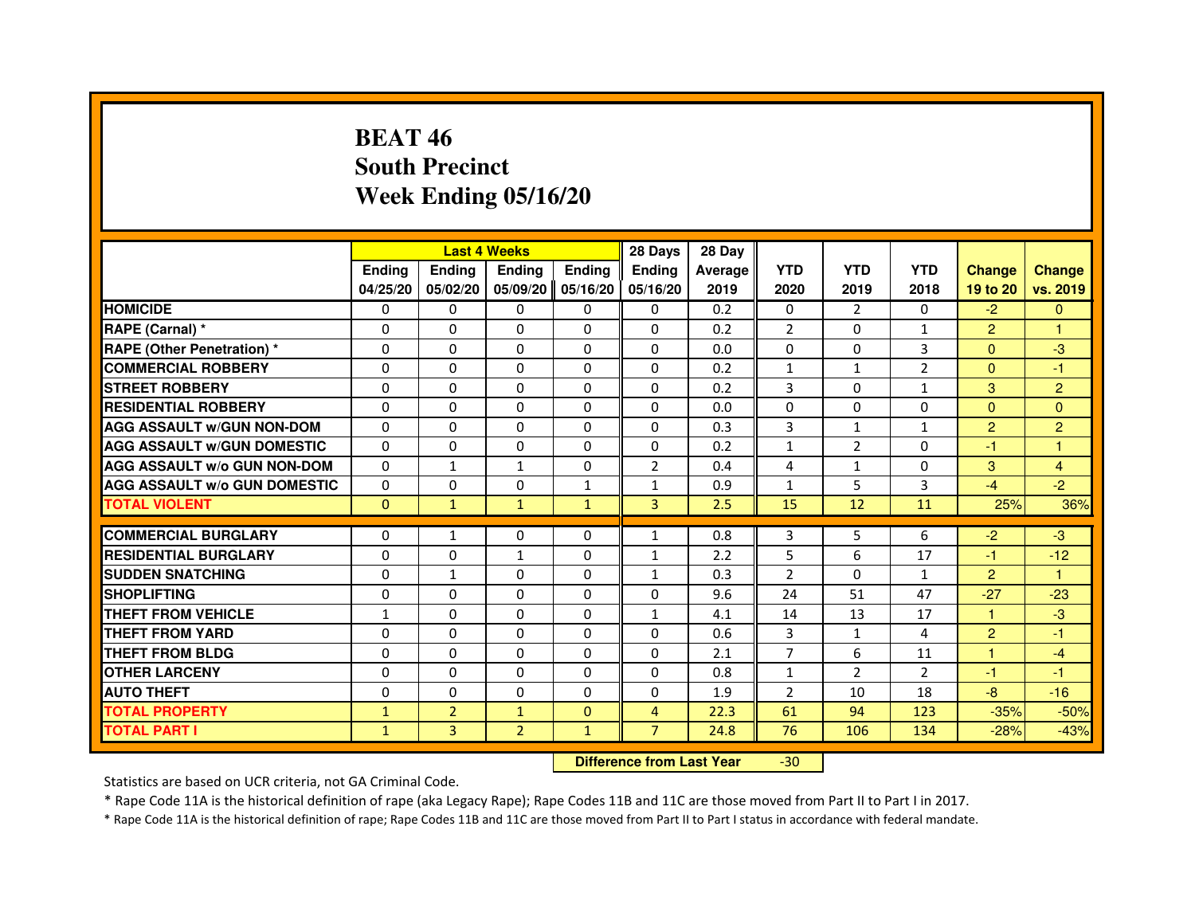# **BEAT 46 South PrecinctWeek Ending 05/16/20**

|                                     |               | <b>Last 4 Weeks</b> |                |               | 28 Days                          | 28 Day  |                |                |                |                |                |
|-------------------------------------|---------------|---------------------|----------------|---------------|----------------------------------|---------|----------------|----------------|----------------|----------------|----------------|
|                                     | <b>Ending</b> | <b>Ending</b>       | Ending         | <b>Ending</b> | <b>Ending</b>                    | Average | <b>YTD</b>     | <b>YTD</b>     | <b>YTD</b>     | <b>Change</b>  | <b>Change</b>  |
|                                     | 04/25/20      | 05/02/20            | 05/09/20       | 05/16/20      | 05/16/20                         | 2019    | 2020           | 2019           | 2018           | 19 to 20       | vs. 2019       |
| <b>HOMICIDE</b>                     | 0             | $\Omega$            | $\Omega$       | 0             | 0                                | 0.2     | 0              | $\mathcal{P}$  | $\Omega$       | $-2$           | $\Omega$       |
| RAPE (Carnal) *                     | 0             | $\mathbf{0}$        | 0              | 0             | 0                                | 0.2     | 2              | 0              | $\mathbf{1}$   | $\overline{2}$ |                |
| RAPE (Other Penetration) *          | $\Omega$      | $\Omega$            | $\Omega$       | $\Omega$      | $\Omega$                         | 0.0     | $\Omega$       | $\mathbf{0}$   | 3              | $\mathbf{0}$   | $-3$           |
| <b>COMMERCIAL ROBBERY</b>           | $\Omega$      | $\Omega$            | $\Omega$       | $\Omega$      | $\Omega$                         | 0.2     | $\mathbf{1}$   | $\mathbf{1}$   | $\overline{2}$ | $\mathbf{0}$   | $-1$           |
| <b>STREET ROBBERY</b>               | $\Omega$      | $\Omega$            | $\Omega$       | $\Omega$      | $\Omega$                         | 0.2     | 3              | $\Omega$       | $\mathbf{1}$   | 3              | $\overline{c}$ |
| <b>RESIDENTIAL ROBBERY</b>          | 0             | 0                   | 0              | 0             | 0                                | 0.0     | 0              | $\mathbf{0}$   | $\Omega$       | $\overline{0}$ | $\overline{0}$ |
| <b>AGG ASSAULT w/GUN NON-DOM</b>    | $\Omega$      | $\Omega$            | $\Omega$       | $\Omega$      | $\Omega$                         | 0.3     | 3              | $\mathbf{1}$   | $\mathbf{1}$   | $\overline{2}$ | $\overline{2}$ |
| <b>AGG ASSAULT W/GUN DOMESTIC</b>   | $\Omega$      | $\Omega$            | $\Omega$       | $\Omega$      | $\Omega$                         | 0.2     | $\mathbf 1$    | $\overline{2}$ | $\Omega$       | $-1$           | 1              |
| <b>AGG ASSAULT W/o GUN NON-DOM</b>  | $\Omega$      | $\mathbf{1}$        | $\mathbf{1}$   | $\Omega$      | $\overline{2}$                   | 0.4     | 4              | $\mathbf{1}$   | $\Omega$       | 3              | $\overline{4}$ |
| <b>AGG ASSAULT w/o GUN DOMESTIC</b> | $\Omega$      | $\Omega$            | 0              | $\mathbf{1}$  | $\mathbf{1}$                     | 0.9     | $\mathbf{1}$   | 5              | 3              | $-4$           | $-2$           |
| <b>TOTAL VIOLENT</b>                | $\mathbf 0$   | $\mathbf{1}$        | $\mathbf{1}$   | $\mathbf{1}$  | 3                                | 2.5     | 15             | 12             | 11             | 25%            | 36%            |
| <b>COMMERCIAL BURGLARY</b>          | 0             | 1                   | 0              | 0             | $\mathbf{1}$                     | 0.8     | 3              | 5              | 6              | $-2$           | $-3$           |
| <b>RESIDENTIAL BURGLARY</b>         | $\Omega$      | $\Omega$            | $\mathbf{1}$   | $\Omega$      | $\mathbf{1}$                     | 2.2     | 5              | 6              | 17             | $-1$           | $-12$          |
| <b>SUDDEN SNATCHING</b>             | $\Omega$      | $\mathbf{1}$        | $\Omega$       | $\Omega$      | $\mathbf{1}$                     | 0.3     | $\overline{2}$ | $\Omega$       | $\mathbf{1}$   | $\overline{2}$ | $\mathbf{1}$   |
| <b>SHOPLIFTING</b>                  | 0             | $\Omega$            | 0              | 0             | 0                                | 9.6     | 24             | 51             | 47             | $-27$          | $-23$          |
| <b>THEFT FROM VEHICLE</b>           | 1             | 0                   | 0              | $\Omega$      | $\mathbf{1}$                     | 4.1     | 14             | 13             | 17             | 1              | $-3$           |
| <b>THEFT FROM YARD</b>              | $\Omega$      | $\Omega$            | $\Omega$       | $\Omega$      | $\Omega$                         | 0.6     | 3              | $\mathbf{1}$   | 4              | $\overline{2}$ | $-1$           |
| <b>THEFT FROM BLDG</b>              | $\Omega$      | $\Omega$            | $\Omega$       | $\Omega$      | $\Omega$                         | 2.1     | $\overline{7}$ | 6              | 11             | $\mathbf{1}$   | $-4$           |
| <b>OTHER LARCENY</b>                | 0             | $\Omega$            | $\Omega$       | 0             | 0                                | 0.8     | $\mathbf{1}$   | $\overline{2}$ | $\overline{2}$ | $-1$           | $-1$           |
| <b>AUTO THEFT</b>                   | $\Omega$      | $\Omega$            | $\Omega$       | $\Omega$      | $\Omega$                         | 1.9     | $\overline{2}$ | 10             | 18             | $-8$           | $-16$          |
| <b>TOTAL PROPERTY</b>               | $\mathbf{1}$  | $\overline{2}$      | $\mathbf{1}$   | $\Omega$      | $\overline{4}$                   | 22.3    | 61             | 94             | 123            | $-35%$         | $-50%$         |
| <b>TOTAL PART I</b>                 | $\mathbf{1}$  | 3                   | $\overline{2}$ | $\mathbf{1}$  | $\overline{7}$                   | 24.8    | 76             | 106            | 134            | $-28%$         | $-43%$         |
|                                     |               |                     |                |               | <b>Difference from Last Year</b> |         | $-30$          |                |                |                |                |

 **Difference from Last Year**

Statistics are based on UCR criteria, not GA Criminal Code.

\* Rape Code 11A is the historical definition of rape (aka Legacy Rape); Rape Codes 11B and 11C are those moved from Part II to Part I in 2017.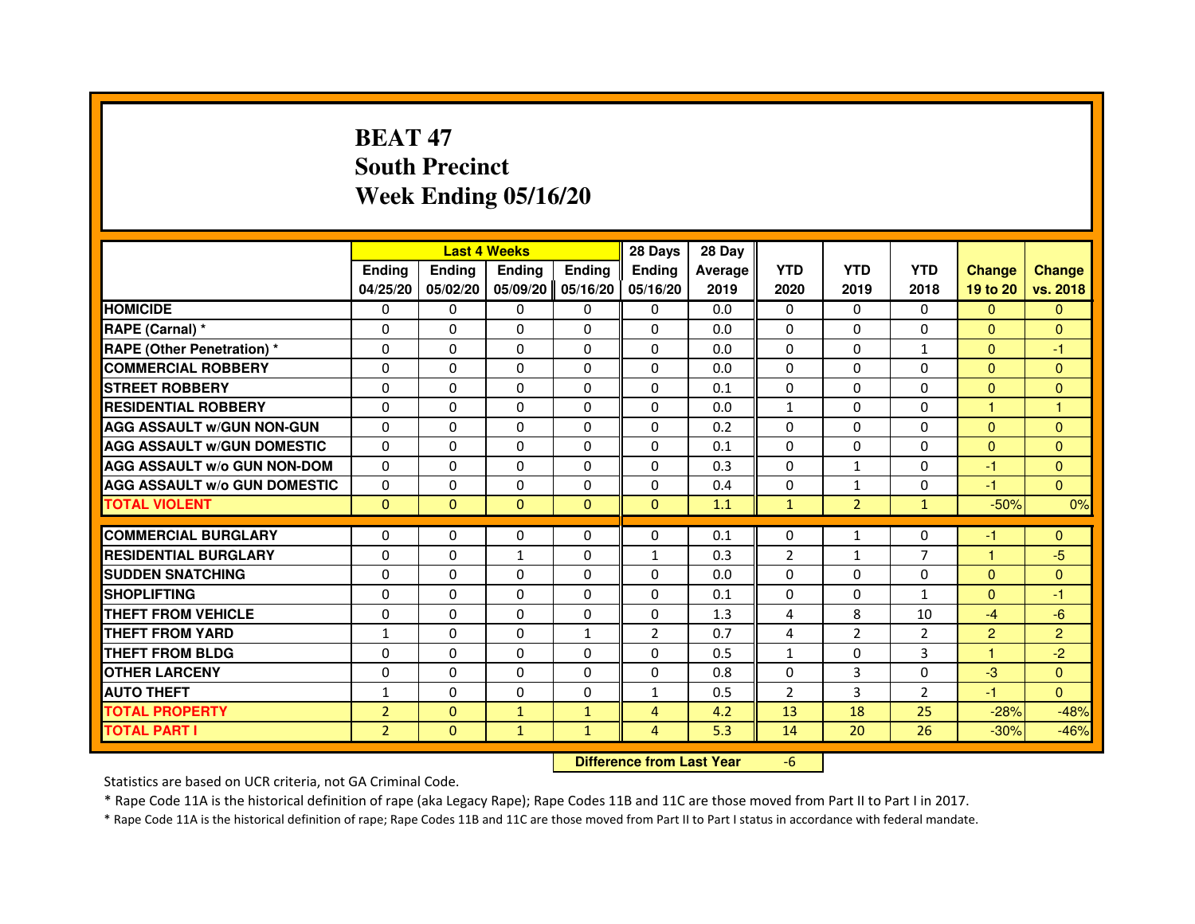# **BEAT 47 South PrecinctWeek Ending 05/16/20**

|                                     |                |                                  | <b>Last 4 Weeks</b> |               | 28 Days        | 28 Day  |                |                |                |                |                |
|-------------------------------------|----------------|----------------------------------|---------------------|---------------|----------------|---------|----------------|----------------|----------------|----------------|----------------|
|                                     | <b>Ending</b>  | <b>Ending</b>                    | <b>Ending</b>       | <b>Ending</b> | <b>Ending</b>  | Average | <b>YTD</b>     | <b>YTD</b>     | <b>YTD</b>     | <b>Change</b>  | <b>Change</b>  |
|                                     | 04/25/20       | 05/02/20                         | 05/09/20            | 05/16/20      | 05/16/20       | 2019    | 2020           | 2019           | 2018           | 19 to 20       | vs. 2018       |
| <b>HOMICIDE</b>                     | 0              | 0                                | $\mathbf{0}$        | 0             | 0              | 0.0     | $\mathbf{0}$   | $\Omega$       | $\Omega$       | $\Omega$       | $\mathbf{0}$   |
| RAPE (Carnal) *                     | 0              | 0                                | 0                   | 0             | 0              | 0.0     | 0              | 0              | 0              | $\mathbf{0}$   | $\mathbf{0}$   |
| <b>RAPE (Other Penetration) *</b>   | $\Omega$       | $\Omega$                         | $\Omega$            | $\Omega$      | $\mathbf{0}$   | 0.0     | $\mathbf{0}$   | $\mathbf{0}$   | $\mathbf{1}$   | $\Omega$       | -1             |
| <b>COMMERCIAL ROBBERY</b>           | 0              | $\Omega$                         | $\Omega$            | $\Omega$      | 0              | 0.0     | 0              | $\mathbf{0}$   | $\mathbf{0}$   | $\overline{0}$ | $\mathbf{0}$   |
| <b>STREET ROBBERY</b>               | $\Omega$       | $\Omega$                         | $\Omega$            | $\Omega$      | $\Omega$       | 0.1     | $\Omega$       | $\Omega$       | $\Omega$       | $\mathbf{0}$   | $\mathbf{0}$   |
| <b>RESIDENTIAL ROBBERY</b>          | 0              | 0                                | $\Omega$            | 0             | $\Omega$       | 0.0     | $\mathbf{1}$   | 0              | $\Omega$       | $\mathbf{1}$   | 1              |
| <b>AGG ASSAULT W/GUN NON-GUN</b>    | $\Omega$       | $\Omega$                         | 0                   | $\Omega$      | $\Omega$       | 0.2     | $\Omega$       | $\Omega$       | 0              | $\mathbf{0}$   | $\mathbf{0}$   |
| <b>AGG ASSAULT W/GUN DOMESTIC</b>   | $\Omega$       | $\Omega$                         | $\Omega$            | $\Omega$      | $\Omega$       | 0.1     | $\Omega$       | $\Omega$       | 0              | $\Omega$       | $\Omega$       |
| <b>AGG ASSAULT W/o GUN NON-DOM</b>  | $\Omega$       | $\Omega$                         | $\Omega$            | $\Omega$      | $\Omega$       | 0.3     | $\Omega$       | $\mathbf{1}$   | $\Omega$       | $-1$           | $\mathbf{0}$   |
| <b>AGG ASSAULT W/o GUN DOMESTIC</b> | 0              | 0                                | 0                   | $\Omega$      | $\Omega$       | 0.4     | 0              | 1              | 0              | $-1$           | $\Omega$       |
| <b>TOTAL VIOLENT</b>                | $\mathbf{0}$   | $\mathbf{0}$                     | $\mathbf{0}$        | $\mathbf{0}$  | $\mathbf{0}$   | 1.1     | $\mathbf{1}$   | $\overline{2}$ | $\mathbf{1}$   | $-50%$         | 0%             |
| <b>COMMERCIAL BURGLARY</b>          | 0              | 0                                | 0                   | 0             | 0              | 0.1     | 0              | 1              | 0              | $-1$           | $\mathbf{0}$   |
| <b>RESIDENTIAL BURGLARY</b>         | $\Omega$       | $\Omega$                         | $\mathbf{1}$        | $\Omega$      | $\mathbf{1}$   | 0.3     | $\overline{2}$ | $\mathbf{1}$   | $\overline{7}$ | $\mathbf{1}$   | $-5$           |
| <b>SUDDEN SNATCHING</b>             | $\Omega$       | $\Omega$                         | $\Omega$            | $\Omega$      | $\Omega$       | 0.0     | $\Omega$       | $\Omega$       | $\Omega$       | $\Omega$       | $\Omega$       |
| <b>SHOPLIFTING</b>                  | 0              | $\mathbf{0}$                     | 0                   | $\mathbf{0}$  | 0              | 0.1     | $\Omega$       | 0              | $\mathbf{1}$   | $\Omega$       | -1             |
| THEFT FROM VEHICLE                  | 0              | $\Omega$                         | 0                   | $\Omega$      | 0              | 1.3     | 4              | 8              | 10             | $-4$           | $-6$           |
| <b>THEFT FROM YARD</b>              | $\mathbf{1}$   | $\Omega$                         | $\Omega$            | $\mathbf{1}$  | $\overline{2}$ | 0.7     | 4              | $\overline{2}$ | $\overline{2}$ | $\overline{2}$ | $\overline{2}$ |
| <b>THEFT FROM BLDG</b>              | $\Omega$       | $\Omega$                         | $\Omega$            | $\Omega$      | $\Omega$       | 0.5     | $\mathbf{1}$   | $\Omega$       | 3              | $\mathbf{1}$   | $-2$           |
| <b>OTHER LARCENY</b>                | $\Omega$       | $\Omega$                         | 0                   | $\Omega$      | $\Omega$       | 0.8     | $\Omega$       | 3              | $\Omega$       | $-3$           | $\Omega$       |
| <b>AUTO THEFT</b>                   | $\mathbf{1}$   | $\Omega$                         | $\Omega$            | $\Omega$      | $\mathbf{1}$   | 0.5     | $\overline{2}$ | 3              | $\overline{2}$ | $-1$           | $\Omega$       |
| <b>TOTAL PROPERTY</b>               | $\overline{2}$ | $\mathbf{0}$                     | $\mathbf{1}$        | $\mathbf{1}$  | $\overline{4}$ | 4.2     | 13             | 18             | 25             | $-28%$         | $-48%$         |
| <b>TOTAL PART I</b>                 | $\overline{2}$ | $\mathbf{0}$                     | $\mathbf{1}$        | $\mathbf{1}$  | $\overline{4}$ | 5.3     | 14             | 20             | 26             | $-30%$         | $-46%$         |
|                                     |                | <b>Difference from Last Year</b> |                     | $-6$          |                |         |                |                |                |                |                |

 **Difference from Last Year**

Statistics are based on UCR criteria, not GA Criminal Code.

\* Rape Code 11A is the historical definition of rape (aka Legacy Rape); Rape Codes 11B and 11C are those moved from Part II to Part I in 2017.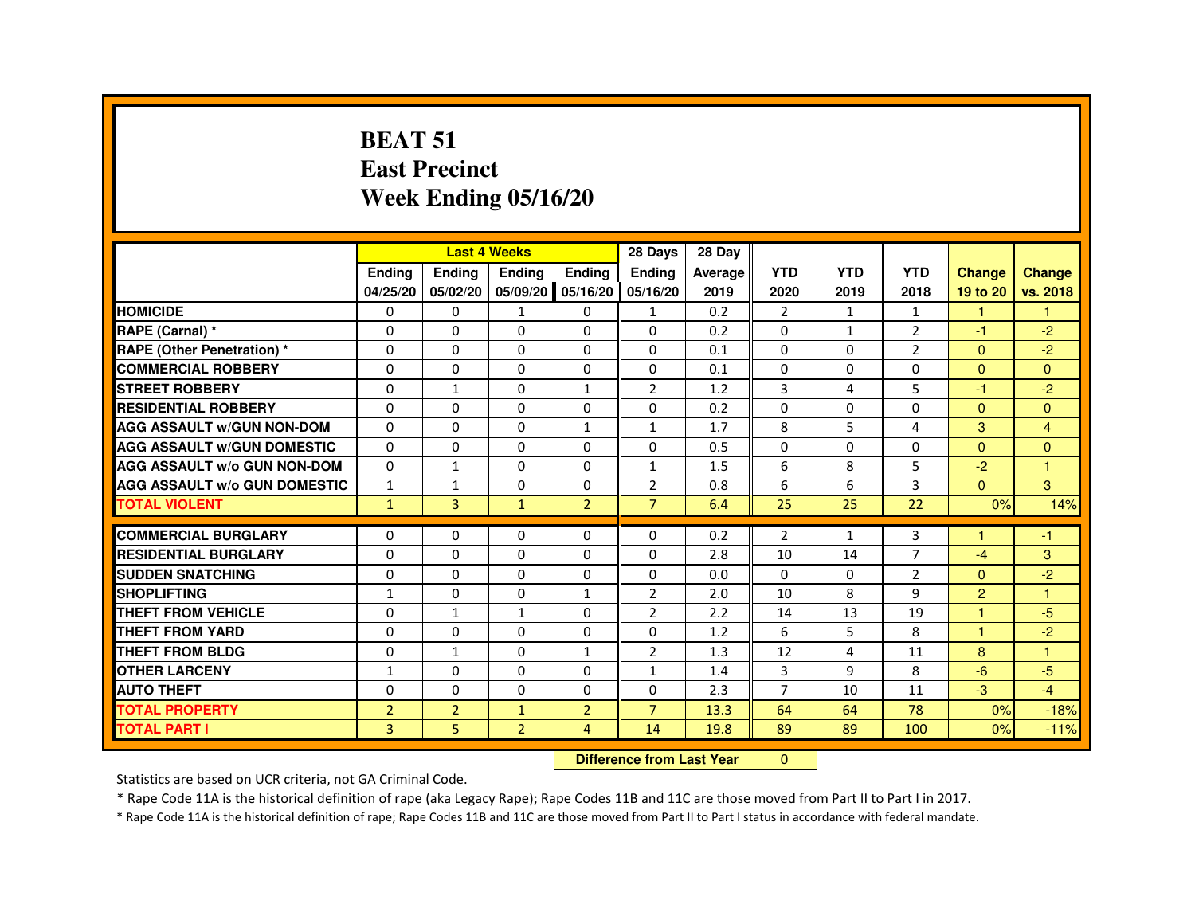#### **BEAT 51 East PrecinctWeek Ending 05/16/20**

|                                     |                |                                  | <b>Last 4 Weeks</b> |                | 28 Days        | 28 Day  |                |              |                |                |                      |
|-------------------------------------|----------------|----------------------------------|---------------------|----------------|----------------|---------|----------------|--------------|----------------|----------------|----------------------|
|                                     | <b>Ending</b>  | Ending                           | Ending              | <b>Ending</b>  | Ending         | Average | <b>YTD</b>     | <b>YTD</b>   | <b>YTD</b>     | <b>Change</b>  | <b>Change</b>        |
|                                     | 04/25/20       | 05/02/20                         | 05/09/20            | 05/16/20       | 05/16/20       | 2019    | 2020           | 2019         | 2018           | 19 to 20       | vs. 2018             |
| <b>HOMICIDE</b>                     | 0              | $\Omega$                         | $\mathbf{1}$        | 0              | $\mathbf{1}$   | 0.2     | $\overline{2}$ | $\mathbf{1}$ | 1              | $\mathbf{1}$   | $\mathbf{1}$         |
| RAPE (Carnal) *                     | 0              | 0                                | 0                   | $\Omega$       | $\Omega$       | 0.2     | 0              | $\mathbf{1}$ | $\overline{2}$ | $-1$           | $-2$                 |
| <b>RAPE (Other Penetration) *</b>   | $\Omega$       | $\Omega$                         | $\Omega$            | $\Omega$       | $\Omega$       | 0.1     | $\Omega$       | $\Omega$     | $\overline{2}$ | $\Omega$       | $-2$                 |
| <b>COMMERCIAL ROBBERY</b>           | $\Omega$       | $\Omega$                         | $\Omega$            | $\Omega$       | $\Omega$       | 0.1     | $\Omega$       | $\Omega$     | $\Omega$       | $\Omega$       | $\Omega$             |
| <b>STREET ROBBERY</b>               | $\Omega$       | $\mathbf{1}$                     | $\Omega$            | $\mathbf{1}$   | $\overline{2}$ | 1.2     | 3              | 4            | 5              | $-1$           | $-2$                 |
| <b>RESIDENTIAL ROBBERY</b>          | 0              | 0                                | 0                   | $\Omega$       | $\Omega$       | 0.2     | 0              | $\Omega$     | 0              | $\Omega$       | $\Omega$             |
| <b>AGG ASSAULT W/GUN NON-DOM</b>    | $\Omega$       | $\Omega$                         | $\Omega$            | $\mathbf{1}$   | $\mathbf{1}$   | 1.7     | 8              | 5            | 4              | 3              | $\overline{4}$       |
| <b>AGG ASSAULT W/GUN DOMESTIC</b>   | $\Omega$       | $\Omega$                         | $\Omega$            | $\Omega$       | $\Omega$       | 0.5     | $\Omega$       | $\Omega$     | 0              | $\Omega$       | $\mathbf{0}$         |
| <b>AGG ASSAULT W/o GUN NON-DOM</b>  | $\Omega$       | $\mathbf{1}$                     | 0                   | $\Omega$       | 1              | 1.5     | 6              | 8            | 5              | $-2$           | $\blacktriangleleft$ |
| <b>AGG ASSAULT W/o GUN DOMESTIC</b> | $\mathbf{1}$   | $\mathbf{1}$                     | $\Omega$            | $\Omega$       | 2              | 0.8     | 6              | 6            | 3              | $\Omega$       | 3                    |
| <b>TOTAL VIOLENT</b>                | $\mathbf{1}$   | $\overline{3}$                   | $\mathbf{1}$        | $\overline{2}$ | $\overline{7}$ | 6.4     | 25             | 25           | 22             | 0%             | 14%                  |
| <b>COMMERCIAL BURGLARY</b>          | 0              | 0                                | 0                   | $\Omega$       | $\Omega$       | 0.2     | $\overline{2}$ | $\mathbf{1}$ | 3              | -1             | -1                   |
| <b>RESIDENTIAL BURGLARY</b>         | $\Omega$       | $\Omega$                         | $\Omega$            | $\Omega$       | $\Omega$       | 2.8     | 10             | 14           | $\overline{7}$ | $-4$           | 3                    |
| <b>SUDDEN SNATCHING</b>             | $\Omega$       | $\Omega$                         | $\Omega$            | $\Omega$       | $\Omega$       | 0.0     | $\Omega$       | $\Omega$     | $\overline{2}$ | $\Omega$       | $-2$                 |
| <b>SHOPLIFTING</b>                  | 1              | 0                                | 0                   | 1              | $\overline{2}$ | 2.0     | 10             | 8            | 9              | $\overline{2}$ | $\blacktriangleleft$ |
| <b>THEFT FROM VEHICLE</b>           | $\Omega$       | $\mathbf{1}$                     | $\mathbf{1}$        | $\Omega$       | 2              | 2.2     | 14             | 13           | 19             | $\overline{1}$ | $-5$                 |
| <b>THEFT FROM YARD</b>              | $\Omega$       | $\Omega$                         | $\Omega$            | $\Omega$       | $\Omega$       | 1.2     | 6              | 5            | 8              | $\mathbf{1}$   | $-2$                 |
| <b>THEFT FROM BLDG</b>              | 0              | $\mathbf{1}$                     | $\Omega$            | $\mathbf{1}$   | $\overline{2}$ | 1.3     | 12             | 4            | 11             | 8              | $\overline{1}$       |
| <b>OTHER LARCENY</b>                | $\mathbf{1}$   | $\Omega$                         | $\Omega$            | $\Omega$       | $\mathbf{1}$   | 1.4     | 3              | 9            | 8              | $-6$           | $-5$                 |
| <b>AUTO THEFT</b>                   | 0              | 0                                | $\Omega$            | 0              | 0              | 2.3     | $\overline{7}$ | 10           | 11             | $-3$           | $-4$                 |
| <b>TOTAL PROPERTY</b>               | $\overline{2}$ | $\overline{2}$                   | $\mathbf{1}$        | $\overline{2}$ | $\overline{7}$ | 13.3    | 64             | 64           | 78             | 0%             | $-18%$               |
| <b>TOTAL PART I</b>                 | 3              | 5                                | $\overline{2}$      | 4              | 14             | 19.8    | 89             | 89           | 100            | 0%             | $-11%$               |
|                                     |                | <b>Difference from Last Year</b> |                     | $\Omega$       |                |         |                |              |                |                |                      |

 **Difference from Last Year**

Statistics are based on UCR criteria, not GA Criminal Code.

\* Rape Code 11A is the historical definition of rape (aka Legacy Rape); Rape Codes 11B and 11C are those moved from Part II to Part I in 2017.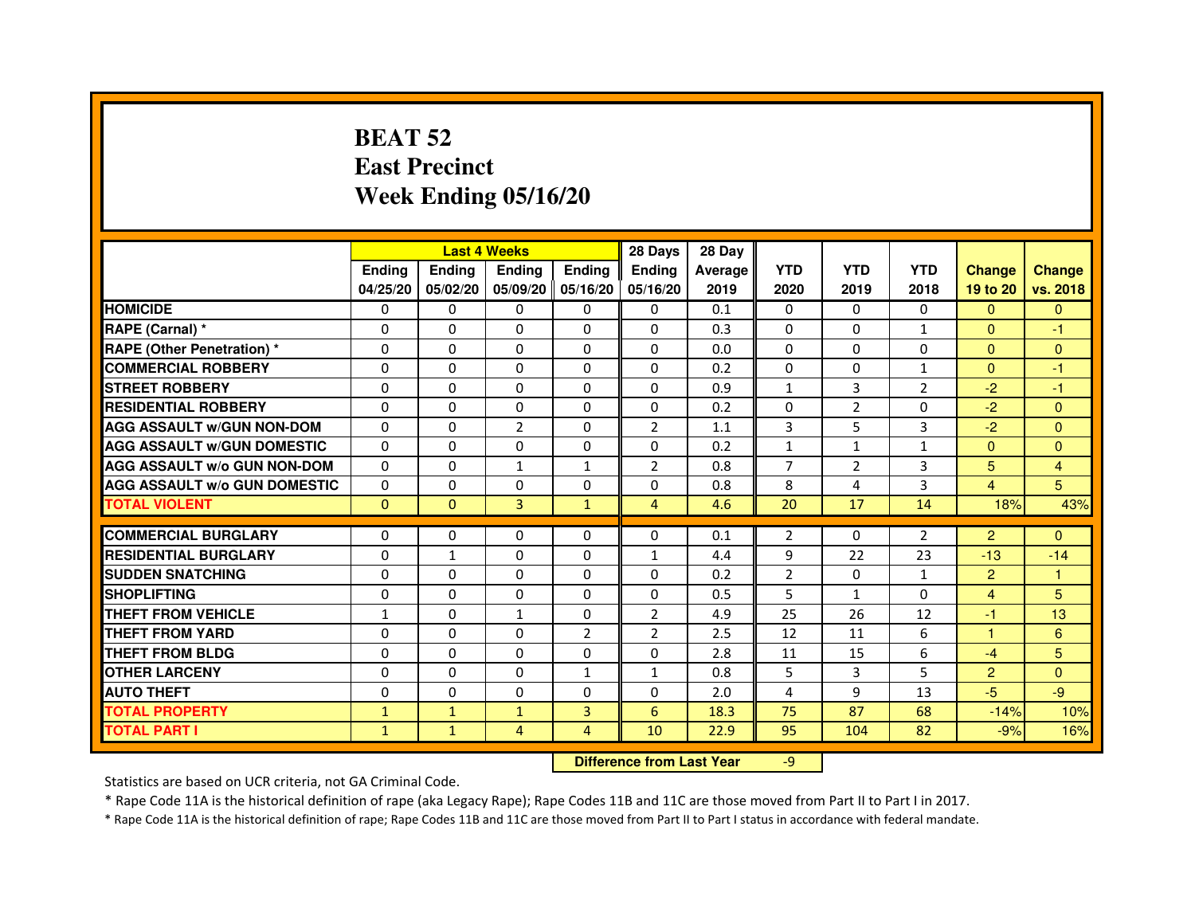# **BEAT 52 East PrecinctWeek Ending 05/16/20**

|                                     |               | <b>Last 4 Weeks</b> |                |                   | 28 Days                          | 28 Day  |                |              |              |                |                |
|-------------------------------------|---------------|---------------------|----------------|-------------------|----------------------------------|---------|----------------|--------------|--------------|----------------|----------------|
|                                     | <b>Ending</b> | Ending              | <b>Ending</b>  | <b>Ending</b>     | <b>Ending</b>                    | Average | <b>YTD</b>     | <b>YTD</b>   | <b>YTD</b>   | <b>Change</b>  | <b>Change</b>  |
|                                     | 04/25/20      | 05/02/20            |                | 05/09/20 05/16/20 | 05/16/20                         | 2019    | 2020           | 2019         | 2018         | 19 to 20       | vs. 2018       |
| <b>HOMICIDE</b>                     | 0             | 0                   | 0              | $\Omega$          | 0                                | 0.1     | $\Omega$       | $\Omega$     | 0            | $\Omega$       | $\mathbf{0}$   |
| RAPE (Carnal) *                     | 0             | $\mathbf{0}$        | 0              | 0                 | $\Omega$                         | 0.3     | 0              | 0            | 1            | $\Omega$       | $-1$           |
| <b>RAPE (Other Penetration) *</b>   | 0             | 0                   | 0              | $\mathbf{0}$      | $\Omega$                         | 0.0     | $\Omega$       | $\mathbf{0}$ | $\Omega$     | $\Omega$       | $\Omega$       |
| <b>COMMERCIAL ROBBERY</b>           | $\mathbf 0$   | 0                   | $\Omega$       | $\mathbf{0}$      | $\mathbf{0}$                     | 0.2     | $\mathbf{0}$   | $\mathbf{0}$ | $\mathbf{1}$ | $\Omega$       | $-1$           |
| <b>STREET ROBBERY</b>               | 0             | $\Omega$            | $\Omega$       | $\Omega$          | $\Omega$                         | 0.9     | $\mathbf{1}$   | 3            | 2            | $-2$           | $-1$           |
| <b>RESIDENTIAL ROBBERY</b>          | 0             | 0                   | $\Omega$       | 0                 | $\Omega$                         | 0.2     | $\Omega$       | 2            | $\Omega$     | $-2$           | $\mathbf{0}$   |
| <b>AGG ASSAULT W/GUN NON-DOM</b>    | $\Omega$      | $\Omega$            | $\overline{2}$ | $\Omega$          | $\overline{2}$                   | 1.1     | 3              | 5            | 3            | $-2$           | $\Omega$       |
| <b>AGG ASSAULT W/GUN DOMESTIC</b>   | $\Omega$      | $\Omega$            | 0              | $\Omega$          | $\Omega$                         | 0.2     | $\mathbf{1}$   | $\mathbf{1}$ | $\mathbf{1}$ | $\Omega$       | $\Omega$       |
| <b>AGG ASSAULT W/o GUN NON-DOM</b>  | $\Omega$      | $\Omega$            | $\mathbf{1}$   | $\mathbf{1}$      | 2                                | 0.8     | $\overline{7}$ | 2            | 3            | 5              | 4              |
| <b>AGG ASSAULT W/o GUN DOMESTIC</b> | $\Omega$      | 0                   | 0              | $\Omega$          | 0                                | 0.8     | 8              | 4            | 3            | 4              | 5              |
| <b>TOTAL VIOLENT</b>                | $\mathbf{0}$  | $\mathbf{0}$        | 3              | $\mathbf{1}$      | $\overline{4}$                   | 4.6     | 20             | 17           | 14           | 18%            | 43%            |
| <b>COMMERCIAL BURGLARY</b>          | 0             | 0                   | 0              | 0                 | 0                                | 0.1     | 2              | 0            | 2            | $\overline{2}$ | $\Omega$       |
| <b>RESIDENTIAL BURGLARY</b>         | 0             | $\mathbf{1}$        | $\Omega$       | $\mathbf{0}$      | $\mathbf{1}$                     | 4.4     | 9              | 22           | 23           | $-13$          | $-14$          |
| <b>SUDDEN SNATCHING</b>             | 0             | $\Omega$            | $\Omega$       | $\Omega$          | $\Omega$                         | 0.2     | $\overline{2}$ | $\Omega$     | $\mathbf{1}$ | $\overline{2}$ | $\mathbf{1}$   |
| <b>SHOPLIFTING</b>                  | 0             | $\mathbf{0}$        | 0              | $\mathbf{0}$      | $\mathbf{0}$                     | 0.5     | 5              | $\mathbf{1}$ | 0            | $\overline{4}$ | 5              |
| THEFT FROM VEHICLE                  | $\mathbf{1}$  | 0                   | $\mathbf{1}$   | 0                 | $\overline{2}$                   | 4.9     | 25             | 26           | 12           | $-1$           | 13             |
| <b>THEFT FROM YARD</b>              | $\Omega$      | 0                   | $\Omega$       | $\overline{2}$    | $\overline{2}$                   | 2.5     | 12             | 11           | 6            | $\mathbf{1}$   | $6\phantom{1}$ |
| <b>THEFT FROM BLDG</b>              | 0             | $\Omega$            | 0              | $\Omega$          | $\Omega$                         | 2.8     | 11             | 15           | 6            | $-4$           | 5              |
| <b>OTHER LARCENY</b>                | 0             | $\Omega$            | 0              | 1                 | $\mathbf{1}$                     | 0.8     | 5              | 3            | 5            | $\overline{2}$ | $\Omega$       |
| <b>AUTO THEFT</b>                   | $\Omega$      | 0                   | $\Omega$       | $\mathbf{0}$      | $\Omega$                         | 2.0     | 4              | 9            | 13           | $-5$           | $-9$           |
| <b>TOTAL PROPERTY</b>               | $\mathbf{1}$  | $\mathbf{1}$        | $\mathbf{1}$   | 3                 | 6                                | 18.3    | 75             | 87           | 68           | $-14%$         | 10%            |
| <b>TOTAL PART I</b>                 | $\mathbf{1}$  | $\mathbf{1}$        | 4              | $\overline{4}$    | 10                               | 22.9    | 95             | 104          | 82           | $-9%$          | 16%            |
|                                     |               |                     |                |                   | <b>Difference from Last Year</b> |         | $-9$           |              |              |                |                |

 **Difference from Last Year**

Statistics are based on UCR criteria, not GA Criminal Code.

\* Rape Code 11A is the historical definition of rape (aka Legacy Rape); Rape Codes 11B and 11C are those moved from Part II to Part I in 2017.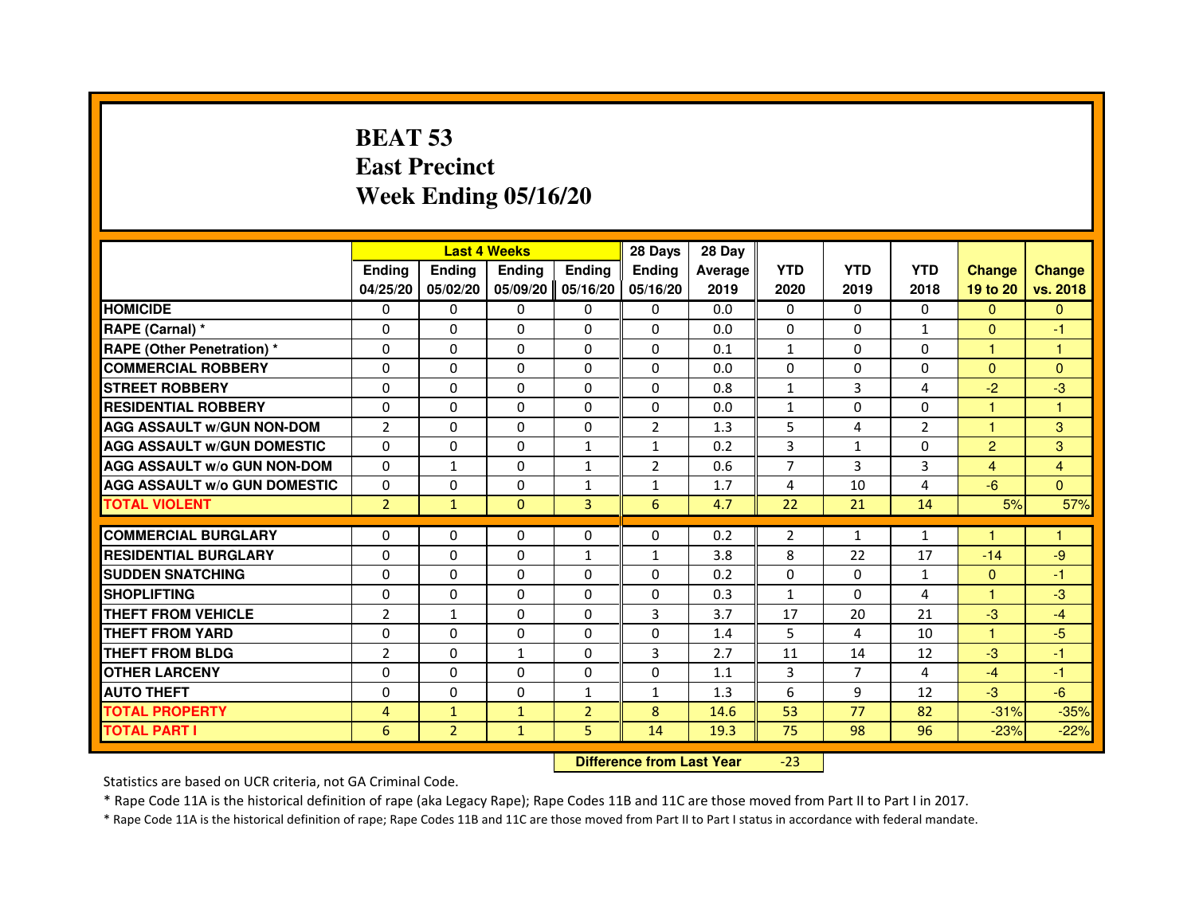# **BEAT 53 East PrecinctWeek Ending 05/16/20**

|                                     |                |                | <b>Last 4 Weeks</b> |                | 28 Days                          | 28 Day  |                |                |                |                |                |
|-------------------------------------|----------------|----------------|---------------------|----------------|----------------------------------|---------|----------------|----------------|----------------|----------------|----------------|
|                                     | <b>Ending</b>  | Ending         | <b>Ending</b>       | <b>Ending</b>  | <b>Endina</b>                    | Average | <b>YTD</b>     | <b>YTD</b>     | <b>YTD</b>     | <b>Change</b>  | <b>Change</b>  |
|                                     | 04/25/20       | 05/02/20       | 05/09/20            | 05/16/20       | 05/16/20                         | 2019    | 2020           | 2019           | 2018           | 19 to 20       | vs. 2018       |
| <b>HOMICIDE</b>                     | 0              | $\Omega$       | $\Omega$            | 0              | 0                                | 0.0     | 0              | $\Omega$       | $\Omega$       | $\Omega$       | $\mathbf{0}$   |
| RAPE (Carnal) *                     | 0              | $\mathbf{0}$   | 0                   | 0              | 0                                | 0.0     | 0              | 0              | $\mathbf{1}$   | $\Omega$       | -1             |
| RAPE (Other Penetration) *          | $\Omega$       | 0              | $\Omega$            | $\Omega$       | 0                                | 0.1     | $\mathbf{1}$   | $\mathbf{0}$   | 0              | 1              | 1              |
| <b>COMMERCIAL ROBBERY</b>           | $\Omega$       | $\Omega$       | $\Omega$            | $\Omega$       | $\Omega$                         | 0.0     | $\Omega$       | $\mathbf{0}$   | $\Omega$       | $\mathbf{0}$   | $\overline{0}$ |
| <b>STREET ROBBERY</b>               | $\Omega$       | $\Omega$       | $\Omega$            | $\Omega$       | $\Omega$                         | 0.8     | $\mathbf{1}$   | 3              | $\overline{a}$ | $-2$           | $-3$           |
| <b>RESIDENTIAL ROBBERY</b>          | 0              | 0              | 0                   | 0              | 0                                | 0.0     | $\mathbf{1}$   | $\mathbf{0}$   | $\Omega$       | 1              | 1              |
| <b>AGG ASSAULT w/GUN NON-DOM</b>    | $\overline{2}$ | $\Omega$       | $\Omega$            | $\Omega$       | $\overline{2}$                   | 1.3     | 5              | 4              | $\overline{2}$ | $\overline{1}$ | 3              |
| <b>AGG ASSAULT W/GUN DOMESTIC</b>   | $\Omega$       | $\Omega$       | $\Omega$            | $\mathbf{1}$   | $\mathbf{1}$                     | 0.2     | 3              | $\mathbf{1}$   | $\Omega$       | $\overline{2}$ | 3              |
| <b>AGG ASSAULT W/o GUN NON-DOM</b>  | $\Omega$       | $\mathbf{1}$   | $\Omega$            | $\mathbf{1}$   | $\overline{2}$                   | 0.6     | $\overline{7}$ | 3              | 3              | $\overline{4}$ | $\overline{4}$ |
| <b>AGG ASSAULT w/o GUN DOMESTIC</b> | $\Omega$       | $\Omega$       | 0                   | $\mathbf{1}$   | $\mathbf{1}$                     | 1.7     | $\overline{4}$ | 10             | 4              | $-6$           | $\Omega$       |
| <b>TOTAL VIOLENT</b>                | $\overline{2}$ | $\mathbf{1}$   | $\mathbf{0}$        | 3              | 6                                | 4.7     | 22             | 21             | 14             | 5%             | 57%            |
| <b>COMMERCIAL BURGLARY</b>          | 0              | 0              | 0                   | 0              | 0                                | 0.2     | 2              | $\mathbf{1}$   | $\mathbf{1}$   | 1              | 1              |
| <b>RESIDENTIAL BURGLARY</b>         | $\Omega$       | $\Omega$       | $\Omega$            | 1              | 1                                | 3.8     | 8              | 22             | 17             | $-14$          | $-9$           |
| <b>SUDDEN SNATCHING</b>             | $\Omega$       | $\Omega$       | $\Omega$            | $\Omega$       | $\Omega$                         | 0.2     | $\Omega$       | $\Omega$       | $\mathbf{1}$   | $\Omega$       | $-1$           |
| <b>SHOPLIFTING</b>                  | 0              | $\Omega$       | $\Omega$            | 0              | 0                                | 0.3     | $\mathbf{1}$   | $\mathbf{0}$   | 4              | $\mathbf{1}$   | $-3$           |
| THEFT FROM VEHICLE                  | $\overline{2}$ | $\mathbf{1}$   | 0                   | $\Omega$       | 3                                | 3.7     | 17             | 20             | 21             | $-3$           | $-4$           |
| <b>THEFT FROM YARD</b>              | $\Omega$       | $\Omega$       | $\Omega$            | $\Omega$       | $\Omega$                         | 1.4     | 5              | 4              | 10             | $\mathbf{1}$   | $-5$           |
| <b>THEFT FROM BLDG</b>              | $\overline{2}$ | $\Omega$       | $\mathbf{1}$        | $\Omega$       | $\overline{3}$                   | 2.7     | 11             | 14             | 12             | $-3$           | $-1$           |
| <b>OTHER LARCENY</b>                | 0              | $\mathbf{0}$   | $\mathbf{0}$        | 0              | 0                                | 1.1     | 3              | $\overline{7}$ | 4              | $-4$           | $-1$           |
| <b>AUTO THEFT</b>                   | $\Omega$       | $\Omega$       | $\Omega$            | $\mathbf{1}$   | $\mathbf{1}$                     | 1.3     | 6              | 9              | 12             | $-3$           | $-6$           |
| <b>TOTAL PROPERTY</b>               | 4              | $\mathbf{1}$   | $\mathbf{1}$        | $\overline{2}$ | 8                                | 14.6    | 53             | 77             | 82             | $-31%$         | $-35%$         |
| <b>TOTAL PART I</b>                 | 6              | $\overline{2}$ | $\mathbf{1}$        | 5              | 14                               | 19.3    | 75             | 98             | 96             | $-23%$         | $-22%$         |
|                                     |                |                |                     |                | <b>Difference from Last Year</b> |         | $-23$          |                |                |                |                |

Statistics are based on UCR criteria, not GA Criminal Code.

\* Rape Code 11A is the historical definition of rape (aka Legacy Rape); Rape Codes 11B and 11C are those moved from Part II to Part I in 2017.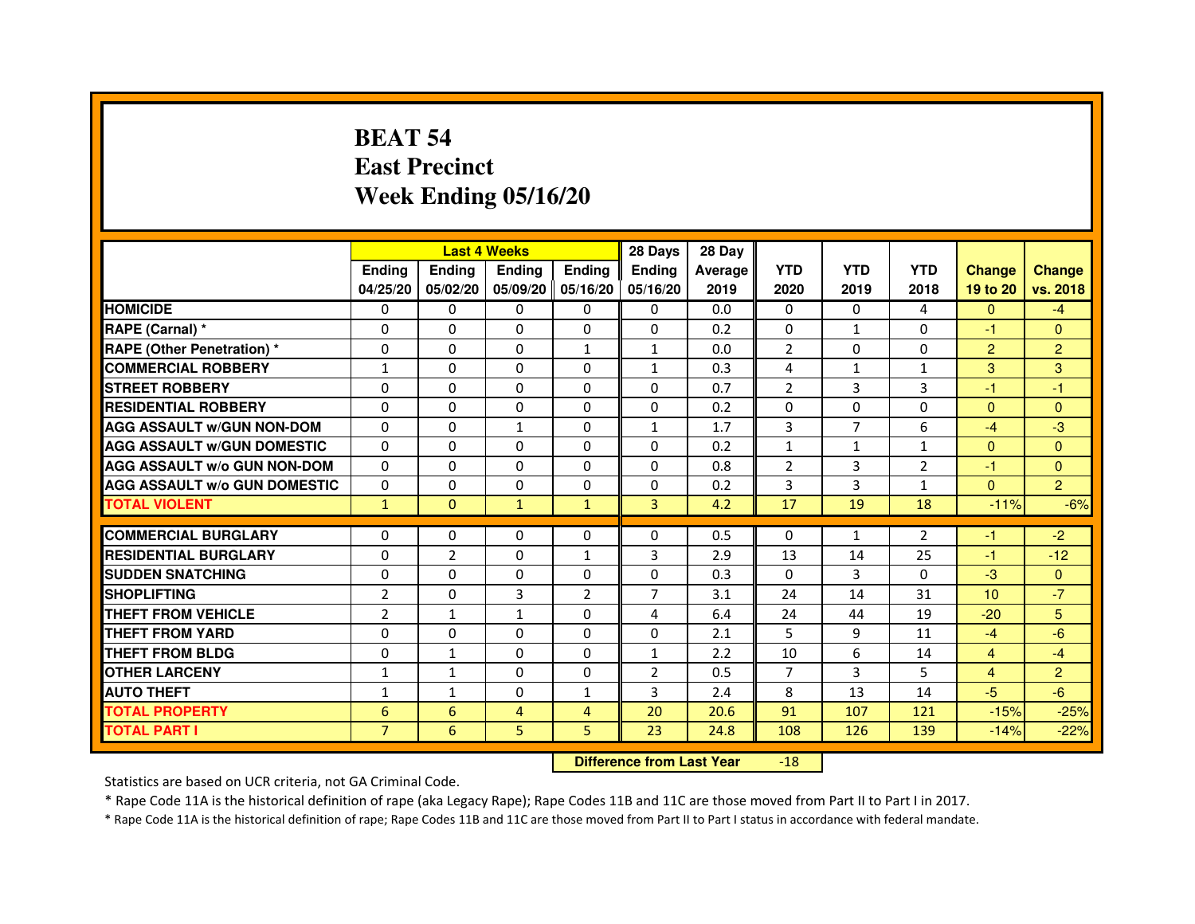# **BEAT 54 East PrecinctWeek Ending 05/16/20**

|                                     |                | <b>Last 4 Weeks</b> |               |                   | 28 Days        | 28 Day  |                |                |                |                 |                |
|-------------------------------------|----------------|---------------------|---------------|-------------------|----------------|---------|----------------|----------------|----------------|-----------------|----------------|
|                                     | <b>Endina</b>  | Ending              | <b>Endina</b> | <b>Endina</b>     | <b>Endina</b>  | Average | <b>YTD</b>     | <b>YTD</b>     | <b>YTD</b>     | <b>Change</b>   | <b>Change</b>  |
|                                     | 04/25/20       | 05/02/20            |               | 05/09/20 05/16/20 | 05/16/20       | 2019    | 2020           | 2019           | 2018           | 19 to 20        | vs. 2018       |
| <b>HOMICIDE</b>                     | $\mathbf{0}$   | 0                   | 0             | $\Omega$          | 0              | 0.0     | $\mathbf{0}$   | $\Omega$       | 4              | $\mathbf{0}$    | $-4$           |
| RAPE (Carnal) *                     | $\Omega$       | $\Omega$            | $\Omega$      | $\Omega$          | $\Omega$       | 0.2     | $\Omega$       | $\mathbf{1}$   | $\Omega$       | $-1$            | $\Omega$       |
| <b>RAPE (Other Penetration)*</b>    | 0              | $\mathbf{0}$        | $\Omega$      | $\mathbf{1}$      | $\mathbf{1}$   | 0.0     | 2              | $\Omega$       | $\Omega$       | $\overline{2}$  | $\overline{2}$ |
| <b>COMMERCIAL ROBBERY</b>           | 1              | 0                   | 0             | 0                 | $\mathbf{1}$   | 0.3     | 4              | $\mathbf{1}$   | $\mathbf{1}$   | 3               | 3              |
| <b>STREET ROBBERY</b>               | 0              | 0                   | 0             | 0                 | 0              | 0.7     | $\overline{2}$ | 3              | 3              | $-1$            | $-1$           |
| <b>RESIDENTIAL ROBBERY</b>          | 0              | $\Omega$            | 0             | $\Omega$          | 0              | 0.2     | 0              | 0              | 0              | $\Omega$        | $\Omega$       |
| <b>AGG ASSAULT W/GUN NON-DOM</b>    | $\Omega$       | $\Omega$            | 1             | $\Omega$          | $\mathbf{1}$   | 1.7     | 3              | $\overline{7}$ | 6              | $-4$            | -3             |
| <b>AGG ASSAULT W/GUN DOMESTIC</b>   | $\Omega$       | 0                   | 0             | 0                 | $\Omega$       | 0.2     | $\mathbf{1}$   | $\mathbf{1}$   | $\mathbf{1}$   | $\mathbf{0}$    | $\Omega$       |
| <b>AGG ASSAULT W/o GUN NON-DOM</b>  | 0              | 0                   | $\Omega$      | $\Omega$          | $\Omega$       | 0.8     | $\overline{2}$ | 3              | $\overline{2}$ | $-1$            | $\Omega$       |
| <b>AGG ASSAULT W/o GUN DOMESTIC</b> | $\Omega$       | 0                   | 0             | 0                 | $\Omega$       | 0.2     | 3              | 3              | 1              | $\Omega$        | $\overline{2}$ |
| <b>TOTAL VIOLENT</b>                | $\mathbf{1}$   | $\mathbf{0}$        | $\mathbf{1}$  | $\mathbf{1}$      | 3              | 4.2     | 17             | 19             | 18             | $-11%$          | $-6%$          |
|                                     |                |                     |               |                   |                |         |                |                |                |                 |                |
| <b>COMMERCIAL BURGLARY</b>          | 0              | 0                   | 0             | 0                 | 0              | 0.5     | 0              | $\mathbf{1}$   | $\overline{2}$ | $-1$            | $-2$           |
| <b>RESIDENTIAL BURGLARY</b>         | 0              | 2                   | 0             | $\mathbf{1}$      | 3              | 2.9     | 13             | 14             | 25             | $-1$            | $-12$          |
| <b>SUDDEN SNATCHING</b>             | 0              | $\Omega$            | $\Omega$      | $\Omega$          | $\Omega$       | 0.3     | $\Omega$       | 3              | $\Omega$       | $-3$            | $\Omega$       |
| <b>SHOPLIFTING</b>                  | $\overline{2}$ | $\Omega$            | 3             | $\overline{2}$    | $\overline{7}$ | 3.1     | 24             | 14             | 31             | 10 <sup>1</sup> | $-7$           |
| THEFT FROM VEHICLE                  | $\overline{2}$ | $\mathbf{1}$        | $\mathbf{1}$  | 0                 | 4              | 6.4     | 24             | 44             | 19             | $-20$           | 5              |
| <b>THEFT FROM YARD</b>              | 0              | 0                   | 0             | $\Omega$          | $\Omega$       | 2.1     | 5              | 9              | 11             | $-4$            | $-6$           |
| <b>THEFT FROM BLDG</b>              | 0              | $\mathbf{1}$        | 0             | $\Omega$          | $\mathbf{1}$   | 2.2     | 10             | 6              | 14             | $\overline{4}$  | $-4$           |
| <b>OTHER LARCENY</b>                | $\mathbf{1}$   | $\mathbf{1}$        | $\Omega$      | $\Omega$          | $\overline{2}$ | 0.5     | $\overline{7}$ | 3              | 5              | $\overline{4}$  | $\overline{2}$ |
| <b>AUTO THEFT</b>                   | $\mathbf{1}$   | $\mathbf{1}$        | $\Omega$      | $\mathbf{1}$      | 3              | 2.4     | 8              | 13             | 14             | $-5$            | $-6$           |
| <b>TOTAL PROPERTY</b>               | 6              | 6                   | 4             | 4                 | 20             | 20.6    | 91             | 107            | 121            | $-15%$          | $-25%$         |
| <b>TOTAL PART I</b>                 | $\overline{7}$ | 6                   | 5             | 5.                | 23             | 24.8    | 108            | 126            | 139            | $-14%$          | $-22%$         |

 **Difference from Last Year**-18

Statistics are based on UCR criteria, not GA Criminal Code.

\* Rape Code 11A is the historical definition of rape (aka Legacy Rape); Rape Codes 11B and 11C are those moved from Part II to Part I in 2017.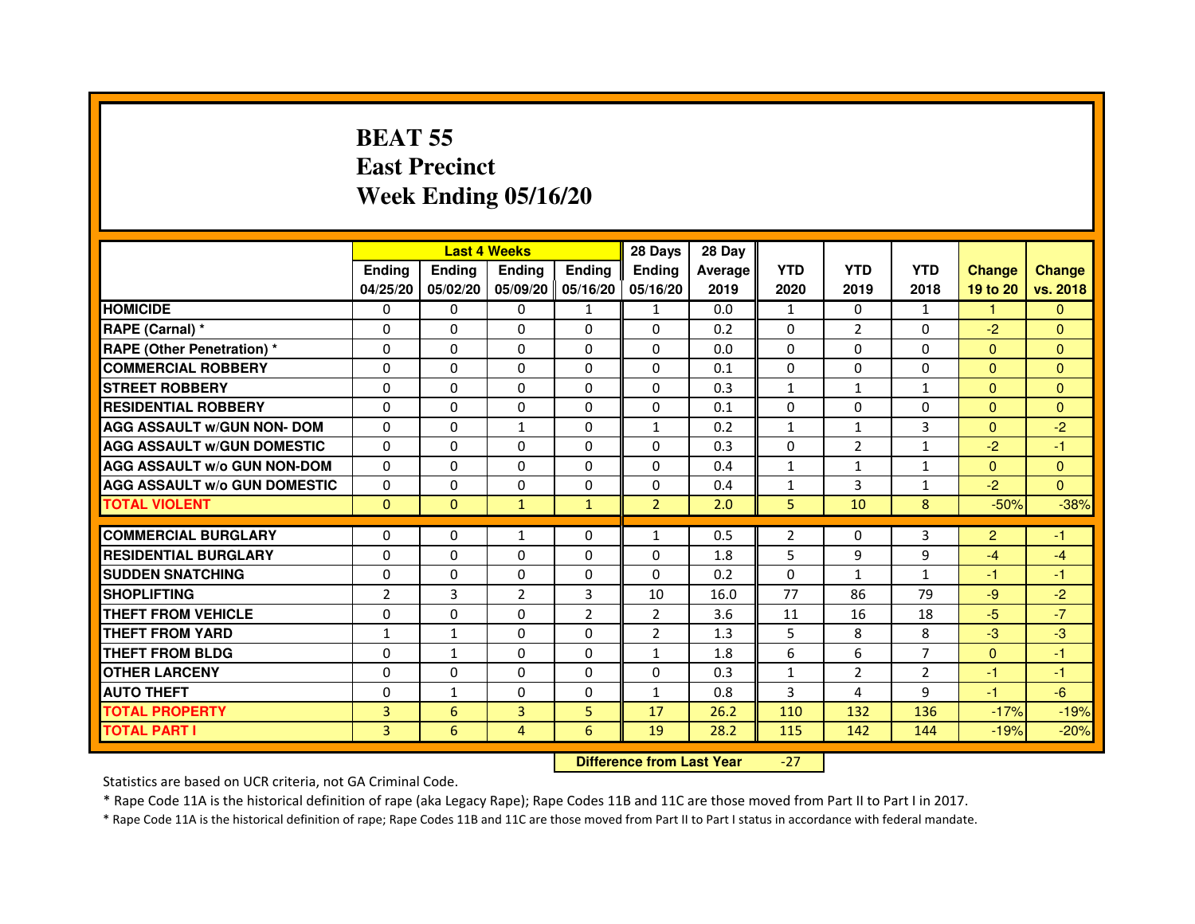# **BEAT 55 East PrecinctWeek Ending 05/16/20**

|                                     |                |                                  | <b>Last 4 Weeks</b> |                | 28 Days        | 28 Day  |              |                |              |                |                |
|-------------------------------------|----------------|----------------------------------|---------------------|----------------|----------------|---------|--------------|----------------|--------------|----------------|----------------|
|                                     | <b>Ending</b>  | <b>Ending</b>                    | Ending              | Ending         | Ending         | Average | <b>YTD</b>   | <b>YTD</b>     | <b>YTD</b>   | <b>Change</b>  | <b>Change</b>  |
|                                     | 04/25/20       | 05/02/20                         | 05/09/20            | 05/16/20       | 05/16/20       | 2019    | 2020         | 2019           | 2018         | 19 to 20       | vs. 2018       |
| <b>HOMICIDE</b>                     | $\Omega$       | $\Omega$                         | 0                   | $\mathbf{1}$   | $\mathbf{1}$   | 0.0     | $\mathbf{1}$ | $\Omega$       | $\mathbf{1}$ | $\mathbf{1}$   | $\Omega$       |
| RAPE (Carnal) *                     | $\Omega$       | $\mathbf{0}$                     | 0                   | 0              | 0              | 0.2     | 0            | $\overline{2}$ | 0            | $-2$           | $\mathbf{0}$   |
| RAPE (Other Penetration) *          | $\Omega$       | 0                                | $\Omega$            | $\Omega$       | $\Omega$       | 0.0     | $\Omega$     | $\Omega$       | $\Omega$     | $\Omega$       | $\overline{0}$ |
| <b>COMMERCIAL ROBBERY</b>           | $\Omega$       | $\Omega$                         | $\Omega$            | $\Omega$       | $\Omega$       | 0.1     | 0            | $\Omega$       | $\Omega$     | $\mathbf{0}$   | $\mathbf{0}$   |
| <b>STREET ROBBERY</b>               | $\Omega$       | $\Omega$                         | $\Omega$            | $\Omega$       | $\Omega$       | 0.3     | $\mathbf{1}$ | $\mathbf{1}$   | $\mathbf{1}$ | $\Omega$       | $\Omega$       |
| <b>RESIDENTIAL ROBBERY</b>          | 0              | 0                                | 0                   | 0              | 0              | 0.1     | 0            | 0              | $\Omega$     | $\Omega$       | $\overline{0}$ |
| <b>AGG ASSAULT w/GUN NON- DOM</b>   | $\Omega$       | $\Omega$                         | $\mathbf{1}$        | $\Omega$       | $\mathbf{1}$   | 0.2     | $\mathbf{1}$ | $\mathbf{1}$   | 3            | $\Omega$       | $-2$           |
| <b>AGG ASSAULT W/GUN DOMESTIC</b>   | $\Omega$       | $\Omega$                         | $\Omega$            | $\Omega$       | $\Omega$       | 0.3     | $\Omega$     | $\overline{2}$ | $\mathbf{1}$ | $-2$           | $-1$           |
| <b>AGG ASSAULT W/o GUN NON-DOM</b>  | $\Omega$       | $\Omega$                         | $\Omega$            | $\Omega$       | $\Omega$       | 0.4     | $\mathbf{1}$ | $\mathbf{1}$   | $\mathbf{1}$ | $\Omega$       | $\mathbf{0}$   |
| <b>AGG ASSAULT W/o GUN DOMESTIC</b> | $\Omega$       | $\Omega$                         | $\Omega$            | $\Omega$       | $\Omega$       | 0.4     | $\mathbf{1}$ | 3              | $\mathbf{1}$ | $-2$           | $\Omega$       |
| <b>TOTAL VIOLENT</b>                | $\mathbf{0}$   | $\mathbf{0}$                     | $\mathbf{1}$        | $\mathbf{1}$   | $\overline{2}$ | 2.0     | 5            | 10             | 8            | $-50%$         | $-38%$         |
| <b>COMMERCIAL BURGLARY</b>          | $\mathbf{0}$   | 0                                | $\mathbf{1}$        | 0              | $\mathbf{1}$   | 0.5     | 2            | 0              | 3            | $\overline{2}$ | $-1$           |
| <b>RESIDENTIAL BURGLARY</b>         | $\Omega$       | $\Omega$                         | $\Omega$            | $\Omega$       | $\mathbf 0$    | 1.8     | 5            | 9              | 9            | $-4$           | $-4$           |
| <b>SUDDEN SNATCHING</b>             | $\Omega$       | $\Omega$                         | $\Omega$            | $\Omega$       | $\Omega$       | 0.2     | $\Omega$     | $\mathbf{1}$   | 1            | $-1$           | $-1$           |
| <b>SHOPLIFTING</b>                  | $\overline{2}$ | $\overline{3}$                   | $\overline{2}$      | $\overline{3}$ | 10             | 16.0    | 77           | 86             | 79           | $-9$           | $-2$           |
| THEFT FROM VEHICLE                  | $\Omega$       | 0                                | $\Omega$            | $\overline{2}$ | $\overline{2}$ | 3.6     | 11           | 16             | 18           | $-5$           | $-7$           |
| <b>THEFT FROM YARD</b>              | $\mathbf{1}$   | $\mathbf{1}$                     | $\Omega$            | $\Omega$       | $\overline{2}$ | 1.3     | 5            | 8              | 8            | $-3$           | $-3$           |
| <b>THEFT FROM BLDG</b>              | $\Omega$       | $\mathbf{1}$                     | $\Omega$            | $\Omega$       | $\mathbf{1}$   | 1.8     | 6            | 6              | 7            | $\Omega$       | $-1$           |
| <b>OTHER LARCENY</b>                | $\mathbf{0}$   | $\Omega$                         | $\Omega$            | $\Omega$       | $\Omega$       | 0.3     | $\mathbf{1}$ | $\overline{2}$ | 2            | $-1$           | $-1$           |
| <b>AUTO THEFT</b>                   | $\Omega$       | $\mathbf{1}$                     | $\Omega$            | $\Omega$       | $\mathbf{1}$   | 0.8     | 3            | 4              | 9            | $-1$           | $-6$           |
| <b>TOTAL PROPERTY</b>               | $\overline{3}$ | 6                                | $\overline{3}$      | 5              | 17             | 26.2    | 110          | 132            | 136          | $-17%$         | $-19%$         |
| <b>TOTAL PART I</b>                 | 3 <sup>1</sup> | 6                                | $\overline{4}$      | 6              | 19             | 28.2    | 115          | 142            | 144          | $-19%$         | $-20%$         |
|                                     |                | <b>Difference from Last Year</b> |                     | $-27$          |                |         |              |                |              |                |                |

 **Difference from Last Year**

Statistics are based on UCR criteria, not GA Criminal Code.

\* Rape Code 11A is the historical definition of rape (aka Legacy Rape); Rape Codes 11B and 11C are those moved from Part II to Part I in 2017.